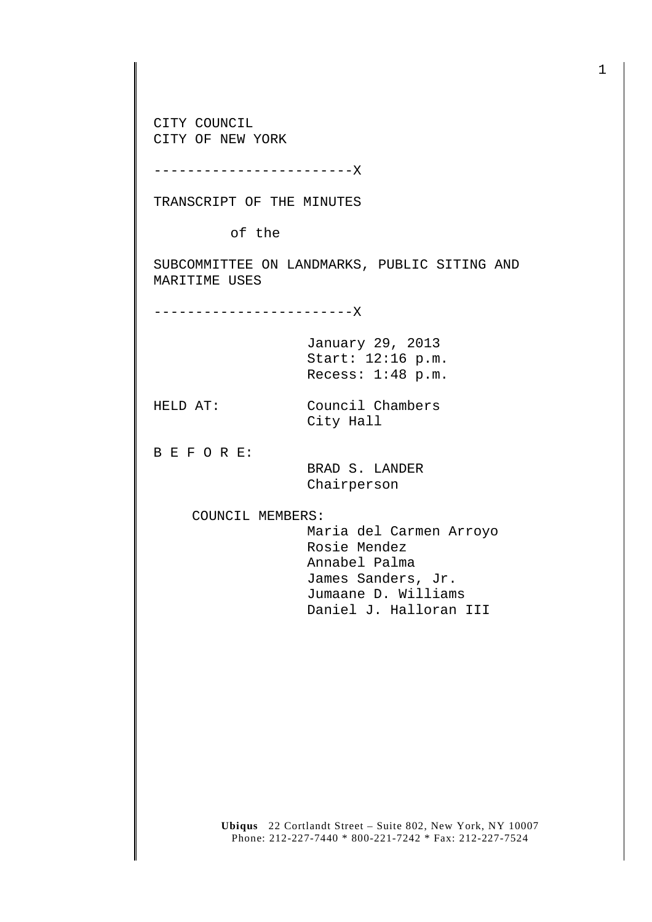CITY COUNCIL CITY OF NEW YORK

------------------------X

TRANSCRIPT OF THE MINUTES

of the

SUBCOMMITTEE ON LANDMARKS, PUBLIC SITING AND MARITIME USES

------------------------X

January 29, 2013 Start: 12:16 p.m. Recess: 1:48 p.m.

HELD AT: Council Chambers City Hall

B E F O R E:

 BRAD S. LANDER Chairperson

COUNCIL MEMBERS:

 Maria del Carmen Arroyo Rosie Mendez Annabel Palma James Sanders, Jr. Jumaane D. Williams Daniel J. Halloran III

**Ubiqus** 22 Cortlandt Street – Suite 802, New York, NY 10007 Phone: 212-227-7440 \* 800-221-7242 \* Fax: 212-227-7524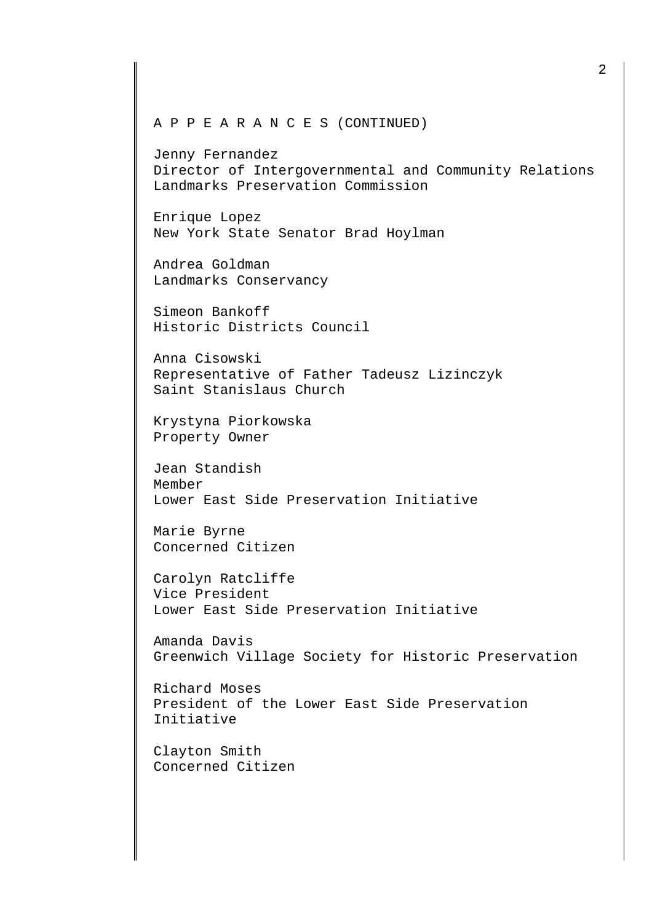## A P P E A R A N C E S (CONTINUED)

Jenny Fernandez Director of Intergovernmental and Community Relations Landmarks Preservation Commission

Enrique Lopez New York State Senator Brad Hoylman

Andrea Goldman Landmarks Conservancy

Simeon Bankoff Historic Districts Council

Anna Cisowski Representative of Father Tadeusz Lizinczyk Saint Stanislaus Church

Krystyna Piorkowska Property Owner

Jean Standish Member Lower East Side Preservation Initiative

Marie Byrne Concerned Citizen

Carolyn Ratcliffe Vice President Lower East Side Preservation Initiative

Amanda Davis Greenwich Village Society for Historic Preservation

Richard Moses President of the Lower East Side Preservation Initiative

Clayton Smith Concerned Citizen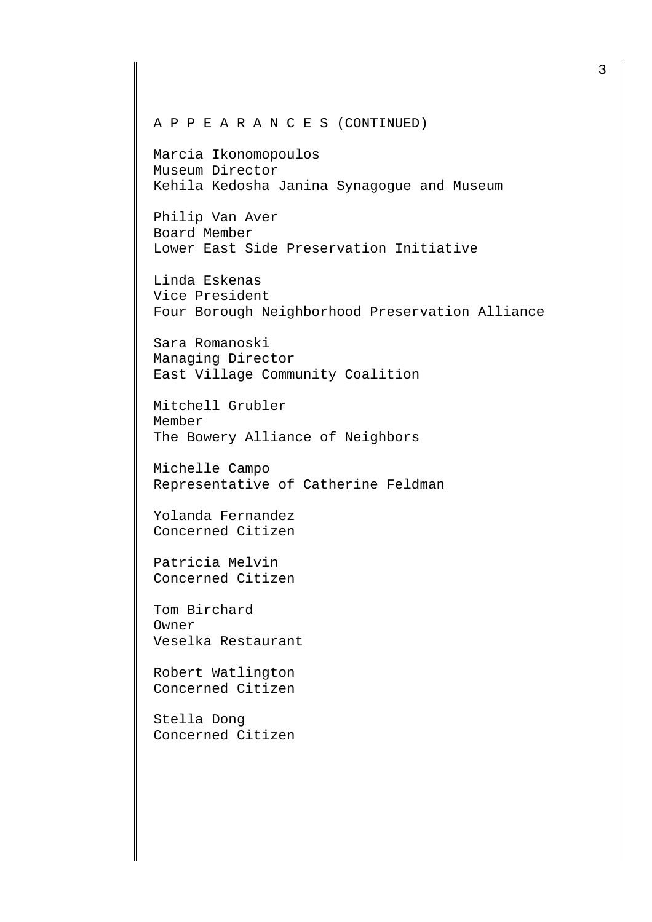## A P P E A R A N C E S (CONTINUED)

Marcia Ikonomopoulos Museum Director Kehila Kedosha Janina Synagogue and Museum

Philip Van Aver Board Member Lower East Side Preservation Initiative

Linda Eskenas Vice President Four Borough Neighborhood Preservation Alliance

Sara Romanoski Managing Director East Village Community Coalition

Mitchell Grubler Member The Bowery Alliance of Neighbors

Michelle Campo Representative of Catherine Feldman

Yolanda Fernandez Concerned Citizen

Patricia Melvin Concerned Citizen

Tom Birchard Owner Veselka Restaurant

Robert Watlington Concerned Citizen

Stella Dong Concerned Citizen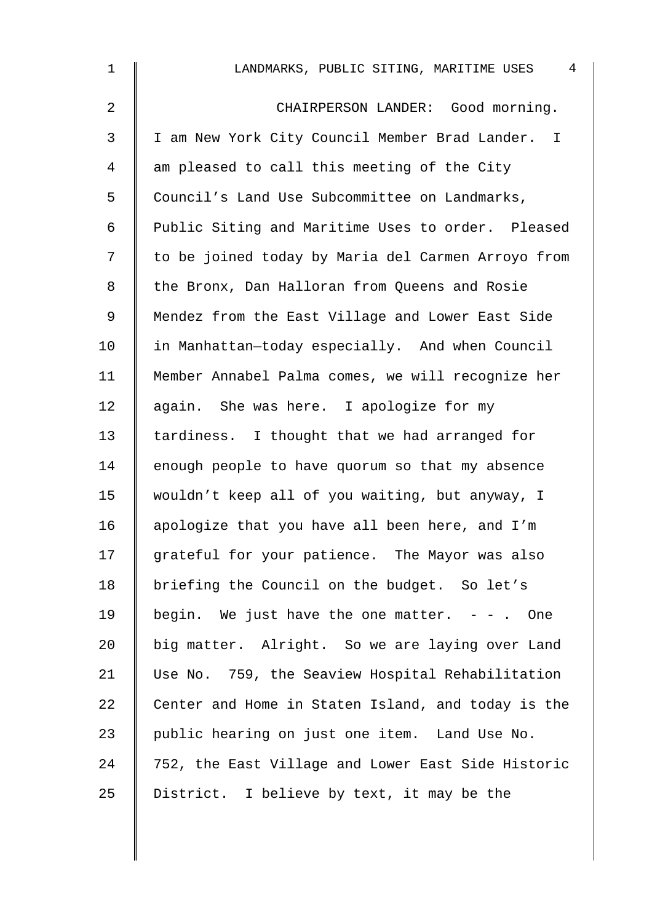| $\mathbf 1$ | 4<br>LANDMARKS, PUBLIC SITING, MARITIME USES       |
|-------------|----------------------------------------------------|
| 2           | CHAIRPERSON LANDER: Good morning.                  |
| 3           | I am New York City Council Member Brad Lander. I   |
| 4           | am pleased to call this meeting of the City        |
| 5           | Council's Land Use Subcommittee on Landmarks,      |
| 6           | Public Siting and Maritime Uses to order. Pleased  |
| 7           | to be joined today by Maria del Carmen Arroyo from |
| 8           | the Bronx, Dan Halloran from Queens and Rosie      |
| $\mathsf 9$ | Mendez from the East Village and Lower East Side   |
| 10          | in Manhattan-today especially. And when Council    |
| 11          | Member Annabel Palma comes, we will recognize her  |
| 12          | again. She was here. I apologize for my            |
| 13          | tardiness. I thought that we had arranged for      |
| 14          | enough people to have quorum so that my absence    |
| 15          | wouldn't keep all of you waiting, but anyway, I    |
| 16          | apologize that you have all been here, and I'm     |
| 17          | grateful for your patience. The Mayor was also     |
| 18          | briefing the Council on the budget. So let's       |
| 19          | begin. We just have the one matter. $-$ - . One    |
| 20          | big matter. Alright. So we are laying over Land    |
| 21          | Use No. 759, the Seaview Hospital Rehabilitation   |
| 22          | Center and Home in Staten Island, and today is the |
| 23          | public hearing on just one item. Land Use No.      |
| 24          | 752, the East Village and Lower East Side Historic |
| 25          | District. I believe by text, it may be the         |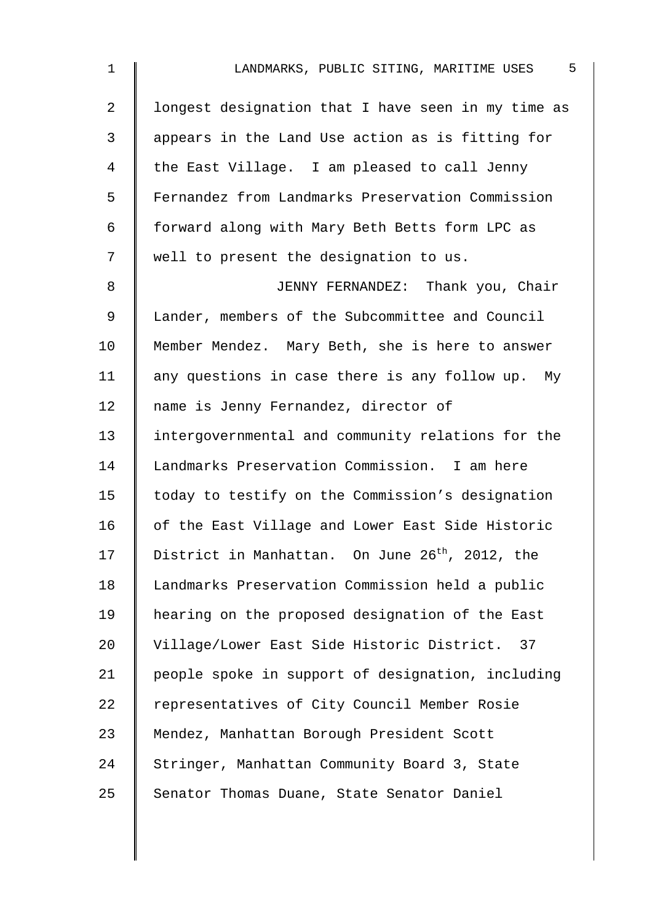| $\mathbf 1$ | 5<br>LANDMARKS, PUBLIC SITING, MARITIME USES                |
|-------------|-------------------------------------------------------------|
| 2           | longest designation that I have seen in my time as          |
| 3           | appears in the Land Use action as is fitting for            |
| 4           | the East Village. I am pleased to call Jenny                |
| 5           | Fernandez from Landmarks Preservation Commission            |
| 6           | forward along with Mary Beth Betts form LPC as              |
| 7           | well to present the designation to us.                      |
| 8           | JENNY FERNANDEZ: Thank you, Chair                           |
| $\mathsf 9$ | Lander, members of the Subcommittee and Council             |
| 10          | Member Mendez. Mary Beth, she is here to answer             |
| 11          | any questions in case there is any follow up. My            |
| 12          | name is Jenny Fernandez, director of                        |
| 13          | intergovernmental and community relations for the           |
| 14          | Landmarks Preservation Commission. I am here                |
| 15          | today to testify on the Commission's designation            |
| 16          | of the East Village and Lower East Side Historic            |
| 17          | District in Manhattan. On June 26 <sup>th</sup> , 2012, the |
| 18          | Landmarks Preservation Commission held a public             |
| 19          | hearing on the proposed designation of the East             |
| 20          | Village/Lower East Side Historic District. 37               |
| 21          | people spoke in support of designation, including           |
| 22          | representatives of City Council Member Rosie                |
| 23          | Mendez, Manhattan Borough President Scott                   |
| 24          | Stringer, Manhattan Community Board 3, State                |
| 25          | Senator Thomas Duane, State Senator Daniel                  |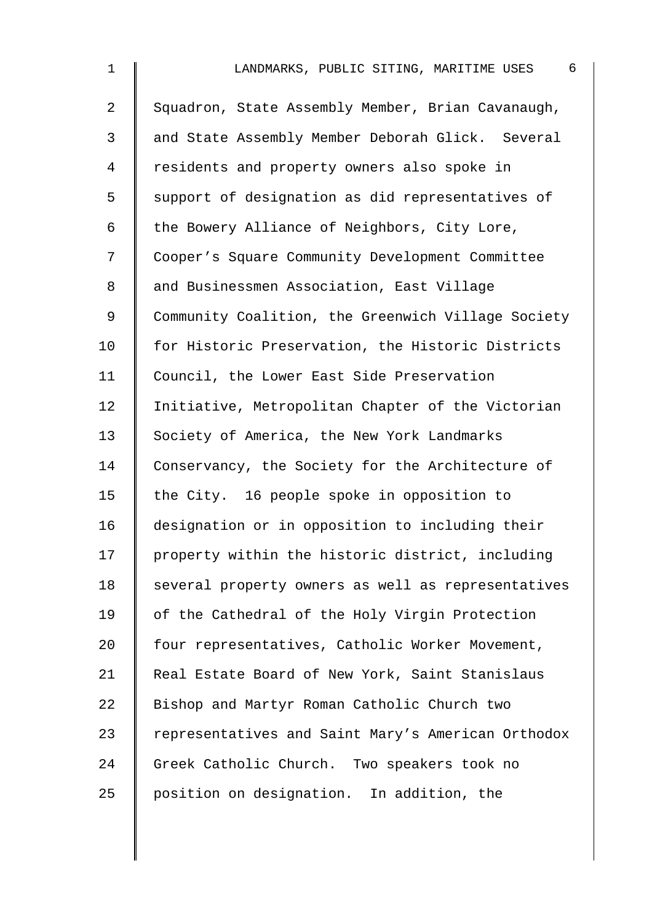| $\mathbf 1$    | LANDMARKS, PUBLIC SITING, MARITIME USES<br>6       |
|----------------|----------------------------------------------------|
| $\overline{2}$ | Squadron, State Assembly Member, Brian Cavanaugh,  |
| 3              | and State Assembly Member Deborah Glick. Several   |
| $\overline{4}$ | residents and property owners also spoke in        |
| 5              | support of designation as did representatives of   |
| 6              | the Bowery Alliance of Neighbors, City Lore,       |
| 7              | Cooper's Square Community Development Committee    |
| $\,8\,$        | and Businessmen Association, East Village          |
| $\mathsf 9$    | Community Coalition, the Greenwich Village Society |
| 10             | for Historic Preservation, the Historic Districts  |
| 11             | Council, the Lower East Side Preservation          |
| 12             | Initiative, Metropolitan Chapter of the Victorian  |
| 13             | Society of America, the New York Landmarks         |
| 14             | Conservancy, the Society for the Architecture of   |
| 15             | the City. 16 people spoke in opposition to         |
| 16             | designation or in opposition to including their    |
| 17             | property within the historic district, including   |
| 18             | several property owners as well as representatives |
| 19             | of the Cathedral of the Holy Virgin Protection     |
| 20             | four representatives, Catholic Worker Movement,    |
| 21             | Real Estate Board of New York, Saint Stanislaus    |
| 22             | Bishop and Martyr Roman Catholic Church two        |
| 23             | representatives and Saint Mary's American Orthodox |
| 24             | Greek Catholic Church. Two speakers took no        |
| 25             | position on designation. In addition, the          |
|                |                                                    |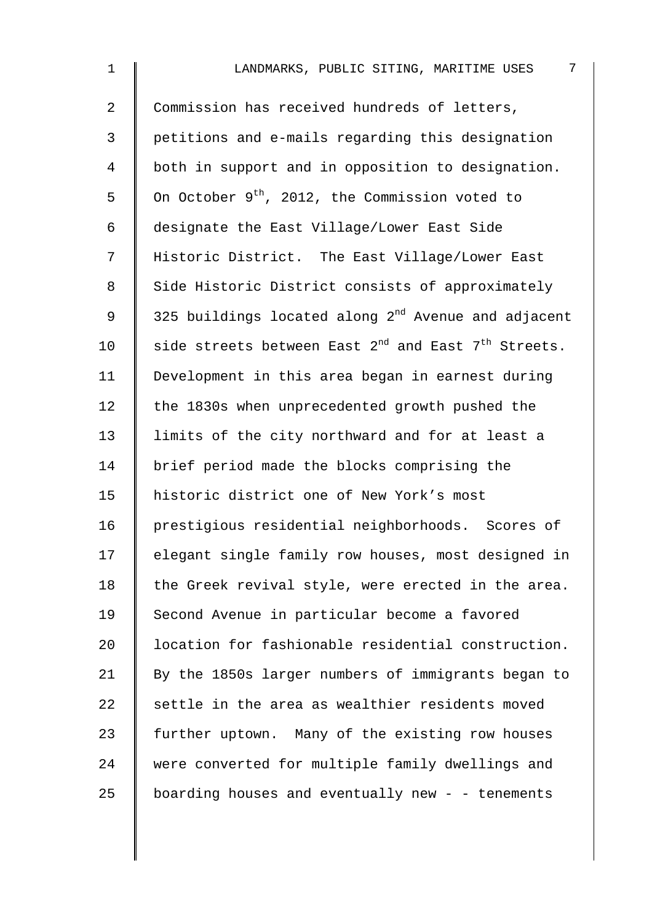| $\mathbf{1}$ | 7<br>LANDMARKS, PUBLIC SITING, MARITIME USES                    |
|--------------|-----------------------------------------------------------------|
| 2            | Commission has received hundreds of letters,                    |
| 3            | petitions and e-mails regarding this designation                |
| 4            | both in support and in opposition to designation.               |
| 5            | On October 9 <sup>th</sup> , 2012, the Commission voted to      |
| 6            | designate the East Village/Lower East Side                      |
| 7            | Historic District. The East Village/Lower East                  |
| 8            | Side Historic District consists of approximately                |
| 9            | 325 buildings located along 2 <sup>nd</sup> Avenue and adjacent |
| 10           | side streets between East $2^{nd}$ and East $7^{th}$ Streets.   |
| 11           | Development in this area began in earnest during                |
| 12           | the 1830s when unprecedented growth pushed the                  |
| 13           | limits of the city northward and for at least a                 |
| 14           | brief period made the blocks comprising the                     |
| 15           | historic district one of New York's most                        |
| 16           | prestigious residential neighborhoods. Scores of                |
| 17           | elegant single family row houses, most designed in              |
| 18           | the Greek revival style, were erected in the area.              |
| 19           | Second Avenue in particular become a favored                    |
| 20           | location for fashionable residential construction.              |
| 21           | By the 1850s larger numbers of immigrants began to              |
| 22           | settle in the area as wealthier residents moved                 |
| 23           | further uptown. Many of the existing row houses                 |
| 24           | were converted for multiple family dwellings and                |
| 25           | boarding houses and eventually new - - tenements                |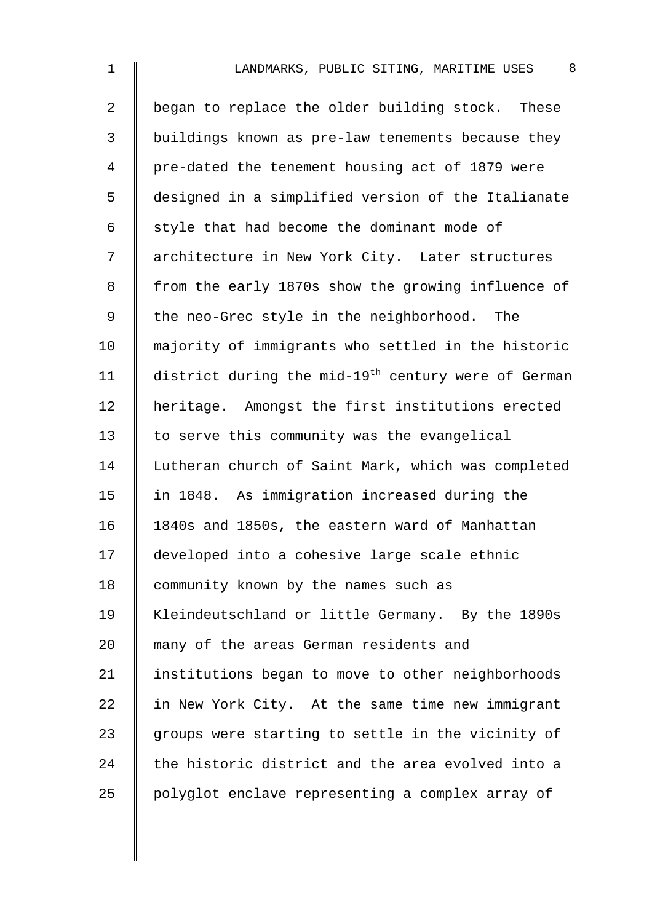| $\mathbf 1$    | 8<br>LANDMARKS, PUBLIC SITING, MARITIME USES                    |
|----------------|-----------------------------------------------------------------|
| $\overline{2}$ | began to replace the older building stock. These                |
| 3              | buildings known as pre-law tenements because they               |
| 4              | pre-dated the tenement housing act of 1879 were                 |
| 5              | designed in a simplified version of the Italianate              |
| 6              | style that had become the dominant mode of                      |
| 7              | architecture in New York City. Later structures                 |
| 8              | from the early 1870s show the growing influence of              |
| 9              | the neo-Grec style in the neighborhood. The                     |
| 10             | majority of immigrants who settled in the historic              |
| 11             | district during the mid-19 <sup>th</sup> century were of German |
| 12             | heritage. Amongst the first institutions erected                |
| 13             | to serve this community was the evangelical                     |
| 14             | Lutheran church of Saint Mark, which was completed              |
| 15             | in 1848. As immigration increased during the                    |
| 16             | 1840s and 1850s, the eastern ward of Manhattan                  |
| 17             | developed into a cohesive large scale ethnic                    |
| 18             | community known by the names such as                            |
| 19             | Kleindeutschland or little Germany. By the 1890s                |
| 20             | many of the areas German residents and                          |
| 21             | institutions began to move to other neighborhoods               |
| 22             | in New York City. At the same time new immigrant                |
| 23             | groups were starting to settle in the vicinity of               |
| 24             | the historic district and the area evolved into a               |
| 25             | polyglot enclave representing a complex array of                |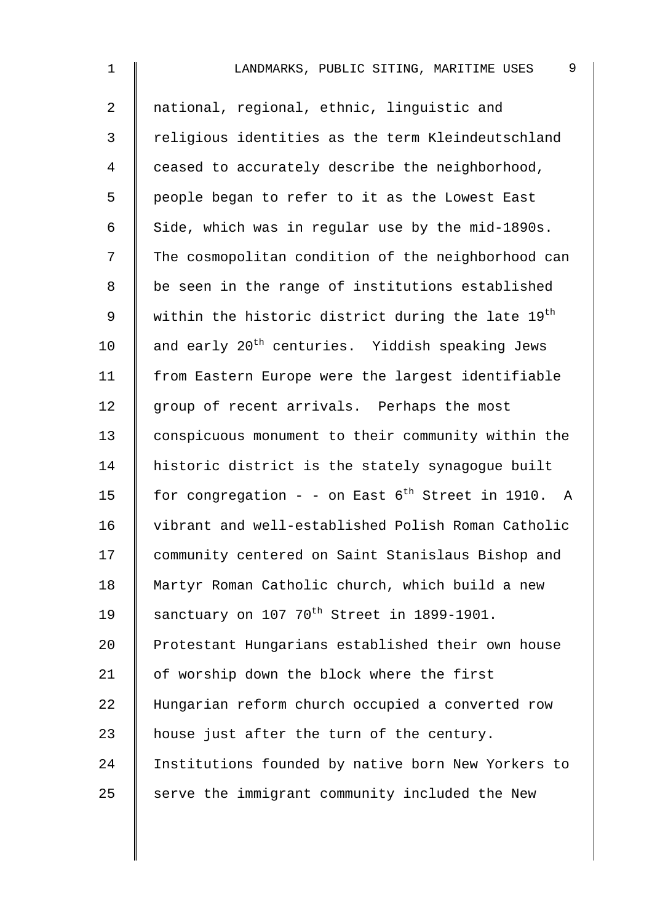| $\mathbf 1$    | 9<br>LANDMARKS, PUBLIC SITING, MARITIME USES                |
|----------------|-------------------------------------------------------------|
| $\overline{2}$ | national, regional, ethnic, linguistic and                  |
| 3              | religious identities as the term Kleindeutschland           |
| $\overline{4}$ | ceased to accurately describe the neighborhood,             |
| 5              | people began to refer to it as the Lowest East              |
| 6              | Side, which was in regular use by the mid-1890s.            |
| 7              | The cosmopolitan condition of the neighborhood can          |
| $8\,$          | be seen in the range of institutions established            |
| $\mathsf 9$    | within the historic district during the late 19th           |
| 10             | and early 20 <sup>th</sup> centuries. Yiddish speaking Jews |
| 11             | from Eastern Europe were the largest identifiable           |
| 12             | group of recent arrivals. Perhaps the most                  |
| 13             | conspicuous monument to their community within the          |
| 14             | historic district is the stately synagogue built            |
| 15             | for congregation - - on East $6^{th}$ Street in 1910. A     |
| 16             | vibrant and well-established Polish Roman Catholic          |
| 17             | community centered on Saint Stanislaus Bishop and           |
| 18             | Martyr Roman Catholic church, which build a new             |
| 19             | sanctuary on 107 70 <sup>th</sup> Street in 1899-1901.      |
| 20             | Protestant Hungarians established their own house           |
| 21             | of worship down the block where the first                   |
| 22             | Hungarian reform church occupied a converted row            |
| 23             | house just after the turn of the century.                   |
| 24             | Institutions founded by native born New Yorkers to          |
| 25             | serve the immigrant community included the New              |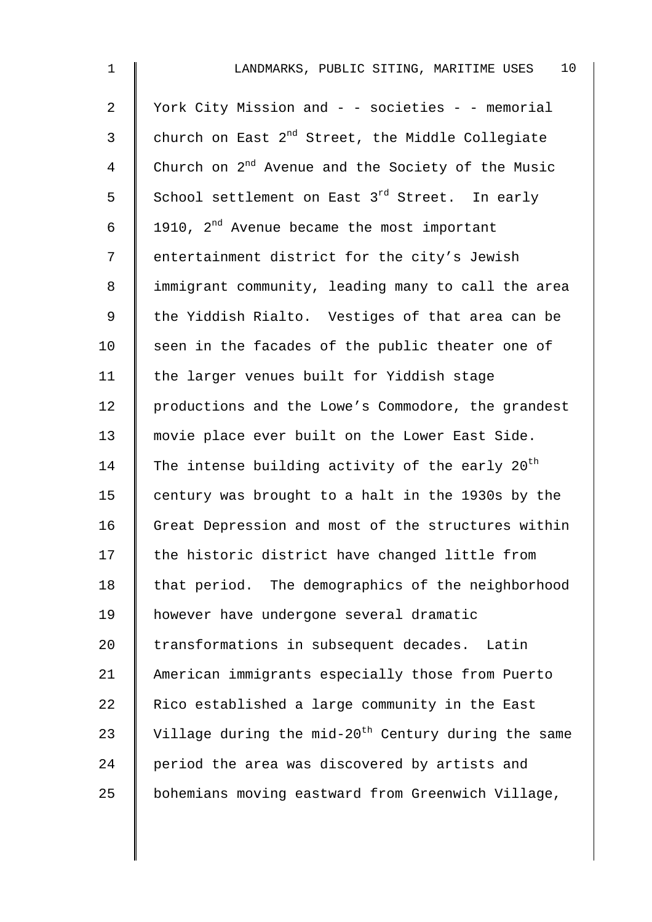| $\mathbf 1$ | 10 <sub>o</sub><br>LANDMARKS, PUBLIC SITING, MARITIME USES      |
|-------------|-----------------------------------------------------------------|
| 2           | York City Mission and - - societies - - memorial                |
| 3           | church on East 2 <sup>nd</sup> Street, the Middle Collegiate    |
| 4           | Church on 2 <sup>nd</sup> Avenue and the Society of the Music   |
| 5           | School settlement on East 3 <sup>rd</sup> Street. In early      |
| 6           | 1910, 2 <sup>nd</sup> Avenue became the most important          |
| 7           | entertainment district for the city's Jewish                    |
| 8           | immigrant community, leading many to call the area              |
| 9           | the Yiddish Rialto. Vestiges of that area can be                |
| 10          | seen in the facades of the public theater one of                |
| 11          | the larger venues built for Yiddish stage                       |
| 12          | productions and the Lowe's Commodore, the grandest              |
| 13          | movie place ever built on the Lower East Side.                  |
| 14          | The intense building activity of the early 20 <sup>th</sup>     |
| 15          | century was brought to a halt in the 1930s by the               |
| 16          | Great Depression and most of the structures within              |
| 17          | the historic district have changed little from                  |
| 18          | that period. The demographics of the neighborhood               |
| 19          | however have undergone several dramatic                         |
| 20          | transformations in subsequent decades. Latin                    |
| 21          | American immigrants especially those from Puerto                |
| 22          | Rico established a large community in the East                  |
| 23          | Village during the mid-20 <sup>th</sup> Century during the same |
| 24          | period the area was discovered by artists and                   |
| 25          | bohemians moving eastward from Greenwich Village,               |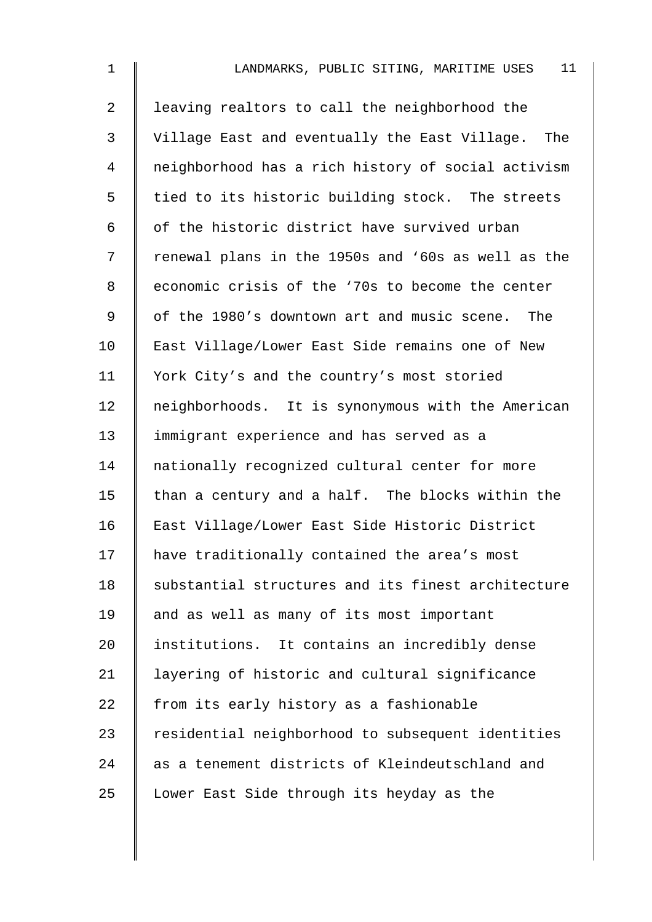| $\mathbf{1}$   | 11<br>LANDMARKS, PUBLIC SITING, MARITIME USES      |
|----------------|----------------------------------------------------|
| $\overline{a}$ | leaving realtors to call the neighborhood the      |
| $\mathfrak{Z}$ | Village East and eventually the East Village. The  |
| 4              | neighborhood has a rich history of social activism |
| 5              | tied to its historic building stock. The streets   |
| 6              | of the historic district have survived urban       |
| 7              | renewal plans in the 1950s and '60s as well as the |
| 8              | economic crisis of the '70s to become the center   |
| 9              | of the 1980's downtown art and music scene. The    |
| 10             | East Village/Lower East Side remains one of New    |
| 11             | York City's and the country's most storied         |
| 12             | neighborhoods. It is synonymous with the American  |
| 13             | immigrant experience and has served as a           |
| 14             | nationally recognized cultural center for more     |
| 15             | than a century and a half. The blocks within the   |
| 16             | East Village/Lower East Side Historic District     |
| 17             | have traditionally contained the area's most       |
| 18             | substantial structures and its finest architecture |
| 19             | and as well as many of its most important          |
| 20             | institutions. It contains an incredibly dense      |
| 21             | layering of historic and cultural significance     |
| 22             | from its early history as a fashionable            |
| 23             | residential neighborhood to subsequent identities  |
| 24             | as a tenement districts of Kleindeutschland and    |
| 25             | Lower East Side through its heyday as the          |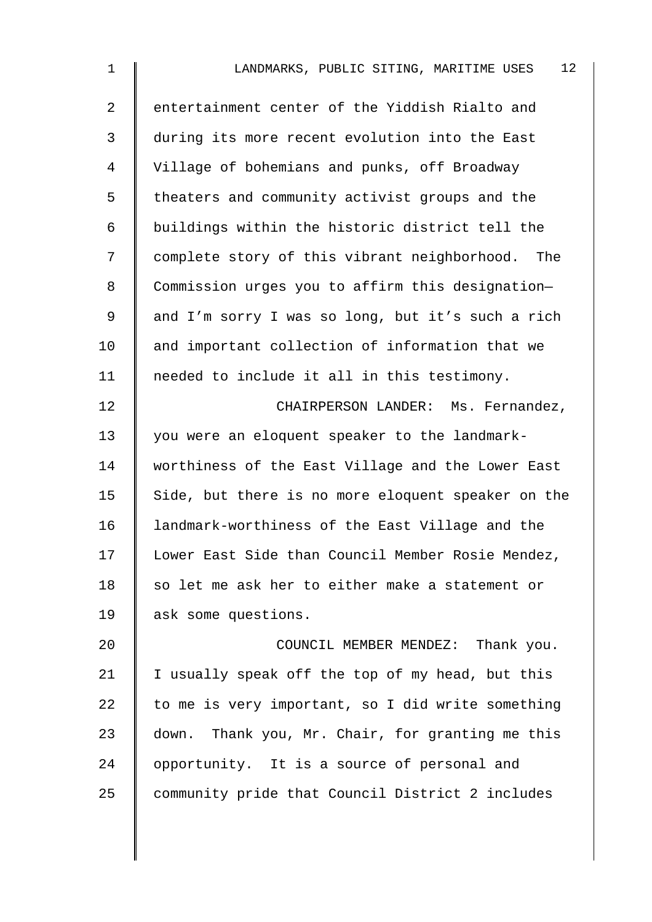| $\mathbf{1}$   | 12 <sup>°</sup><br>LANDMARKS, PUBLIC SITING, MARITIME USES |
|----------------|------------------------------------------------------------|
| $\overline{2}$ | entertainment center of the Yiddish Rialto and             |
| 3              | during its more recent evolution into the East             |
| 4              | Village of bohemians and punks, off Broadway               |
| 5              | theaters and community activist groups and the             |
| 6              | buildings within the historic district tell the            |
| 7              | complete story of this vibrant neighborhood. The           |
| 8              | Commission urges you to affirm this designation-           |
| 9              | and I'm sorry I was so long, but it's such a rich          |
| 10             | and important collection of information that we            |
| 11             | needed to include it all in this testimony.                |
| 12             | CHAIRPERSON LANDER: Ms. Fernandez,                         |
| 13             | you were an eloquent speaker to the landmark-              |
| 14             | worthiness of the East Village and the Lower East          |
| 15             | Side, but there is no more eloquent speaker on the         |
| 16             | landmark-worthiness of the East Village and the            |
| 17             | Lower East Side than Council Member Rosie Mendez,          |
| 18             | so let me ask her to either make a statement or            |
| 19             | ask some questions.                                        |
| 20             | COUNCIL MEMBER MENDEZ: Thank you.                          |
| 21             | I usually speak off the top of my head, but this           |
| 22             | to me is very important, so I did write something          |
| 23             | Thank you, Mr. Chair, for granting me this<br>down.        |
| 24             | opportunity. It is a source of personal and                |
| 25             | community pride that Council District 2 includes           |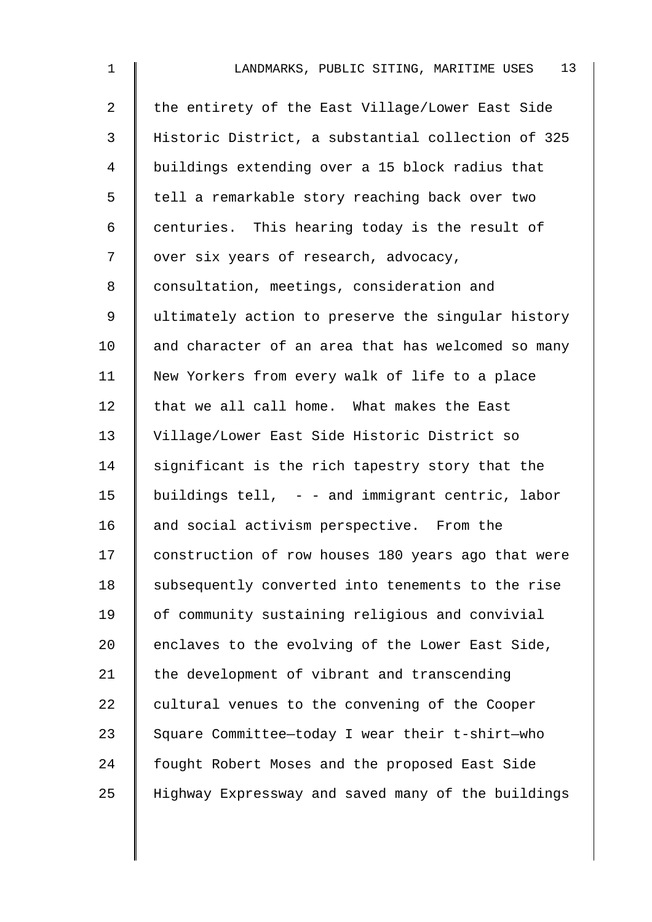| $\mathbf 1$    | 13<br>LANDMARKS, PUBLIC SITING, MARITIME USES      |
|----------------|----------------------------------------------------|
| $\overline{2}$ | the entirety of the East Village/Lower East Side   |
| 3              | Historic District, a substantial collection of 325 |
| 4              | buildings extending over a 15 block radius that    |
| 5              | tell a remarkable story reaching back over two     |
| 6              | centuries. This hearing today is the result of     |
| 7              | over six years of research, advocacy,              |
| 8              | consultation, meetings, consideration and          |
| 9              | ultimately action to preserve the singular history |
| 10             | and character of an area that has welcomed so many |
| 11             | New Yorkers from every walk of life to a place     |
| 12             | that we all call home. What makes the East         |
| 13             | Village/Lower East Side Historic District so       |
| 14             | significant is the rich tapestry story that the    |
| 15             | buildings tell, $-$ - and immigrant centric, labor |
| 16             | and social activism perspective. From the          |
| 17             | construction of row houses 180 years ago that were |
| 18             | subsequently converted into tenements to the rise  |
| 19             | of community sustaining religious and convivial    |
| 20             | enclaves to the evolving of the Lower East Side,   |
| 21             | the development of vibrant and transcending        |
| 22             | cultural venues to the convening of the Cooper     |
| 23             | Square Committee-today I wear their t-shirt-who    |
| 24             | fought Robert Moses and the proposed East Side     |
| 25             | Highway Expressway and saved many of the buildings |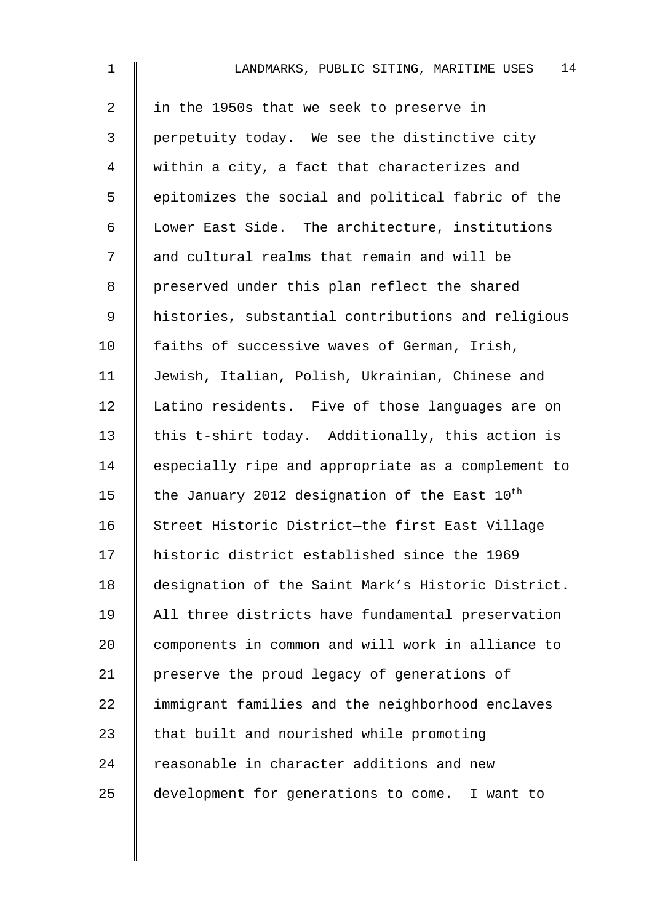| $\mathbf{1}$   | 14<br>LANDMARKS, PUBLIC SITING, MARITIME USES             |
|----------------|-----------------------------------------------------------|
| $\overline{a}$ | in the 1950s that we seek to preserve in                  |
| $\mathfrak{Z}$ | perpetuity today. We see the distinctive city             |
| 4              | within a city, a fact that characterizes and              |
| 5              | epitomizes the social and political fabric of the         |
| 6              | Lower East Side. The architecture, institutions           |
| 7              | and cultural realms that remain and will be               |
| 8              | preserved under this plan reflect the shared              |
| 9              | histories, substantial contributions and religious        |
| 10             | faiths of successive waves of German, Irish,              |
| 11             | Jewish, Italian, Polish, Ukrainian, Chinese and           |
| 12             | Latino residents. Five of those languages are on          |
| 13             | this t-shirt today. Additionally, this action is          |
| 14             | especially ripe and appropriate as a complement to        |
| 15             | the January 2012 designation of the East 10 <sup>th</sup> |
| 16             | Street Historic District-the first East Village           |
| 17             | historic district established since the 1969              |
| 18             | designation of the Saint Mark's Historic District.        |
| 19             | All three districts have fundamental preservation         |
| 20             | components in common and will work in alliance to         |
| 21             | preserve the proud legacy of generations of               |
| 22             | immigrant families and the neighborhood enclaves          |
| 23             | that built and nourished while promoting                  |
| 24             | reasonable in character additions and new                 |
| 25             | development for generations to come. I want to            |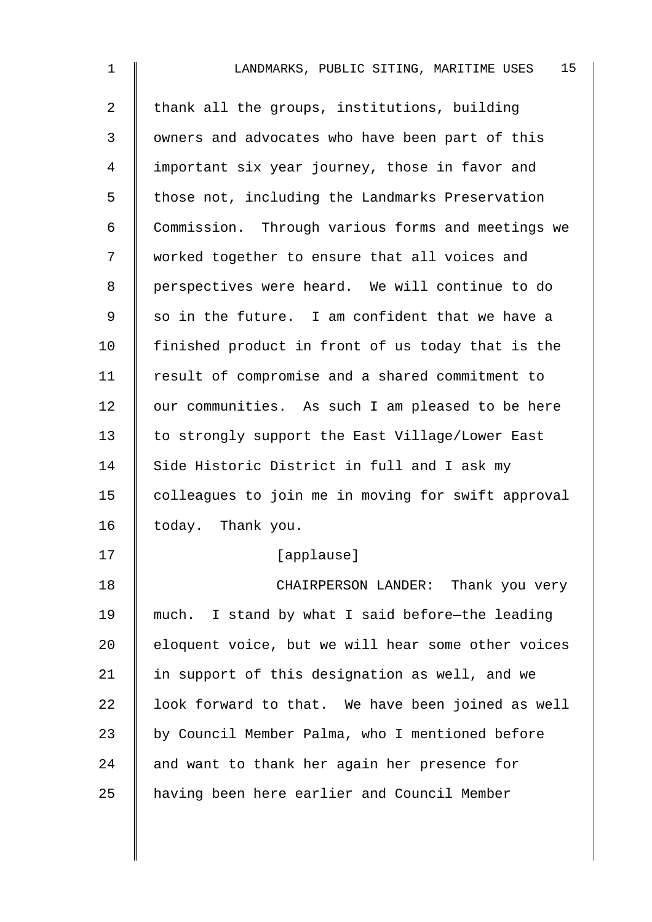| $\mathbf 1$    | 15<br>LANDMARKS, PUBLIC SITING, MARITIME USES      |
|----------------|----------------------------------------------------|
| $\overline{a}$ | thank all the groups, institutions, building       |
| 3              | owners and advocates who have been part of this    |
| 4              | important six year journey, those in favor and     |
| 5              | those not, including the Landmarks Preservation    |
| 6              | Commission. Through various forms and meetings we  |
| 7              | worked together to ensure that all voices and      |
| 8              | perspectives were heard. We will continue to do    |
| 9              | so in the future. I am confident that we have a    |
| 10             | finished product in front of us today that is the  |
| 11             | result of compromise and a shared commitment to    |
| 12             | our communities. As such I am pleased to be here   |
| 13             | to strongly support the East Village/Lower East    |
| 14             | Side Historic District in full and I ask my        |
| 15             | colleagues to join me in moving for swift approval |
| 16             | today. Thank you.                                  |
| 17             | [applause]                                         |
| 18             | CHAIRPERSON LANDER: Thank you very                 |
| 19             | much. I stand by what I said before-the leading    |
| 20             | eloquent voice, but we will hear some other voices |
| 21             | in support of this designation as well, and we     |
| 22             | look forward to that. We have been joined as well  |
| 23             | by Council Member Palma, who I mentioned before    |
| 24             | and want to thank her again her presence for       |
| 25             | having been here earlier and Council Member        |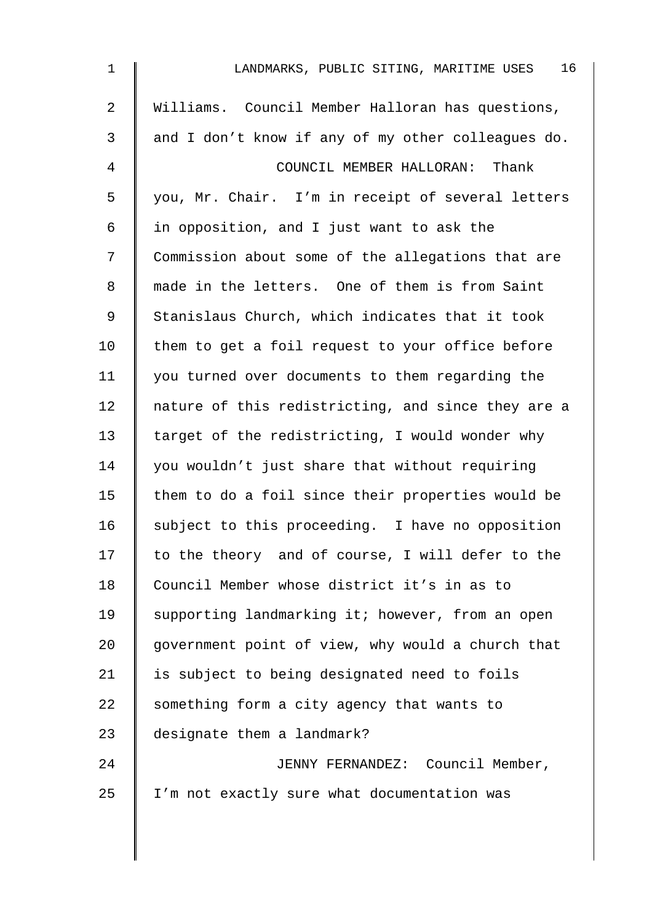| $\mathbf 1$    | 16<br>LANDMARKS, PUBLIC SITING, MARITIME USES      |
|----------------|----------------------------------------------------|
| $\overline{2}$ | Williams. Council Member Halloran has questions,   |
| 3              | and I don't know if any of my other colleagues do. |
| 4              | COUNCIL MEMBER HALLORAN: Thank                     |
| 5              | you, Mr. Chair. I'm in receipt of several letters  |
| 6              | in opposition, and I just want to ask the          |
| 7              | Commission about some of the allegations that are  |
| 8              | made in the letters. One of them is from Saint     |
| 9              | Stanislaus Church, which indicates that it took    |
| 10             | them to get a foil request to your office before   |
| 11             | you turned over documents to them regarding the    |
| 12             | nature of this redistricting, and since they are a |
| 13             | target of the redistricting, I would wonder why    |
| 14             | you wouldn't just share that without requiring     |
| 15             | them to do a foil since their properties would be  |
| 16             | subject to this proceeding. I have no opposition   |
| 17             | to the theory and of course, I will defer to the   |
| 18             | Council Member whose district it's in as to        |
| 19             | supporting landmarking it; however, from an open   |
| 20             | government point of view, why would a church that  |
| 21             | is subject to being designated need to foils       |
| 22             | something form a city agency that wants to         |
| 23             | designate them a landmark?                         |
| 24             | JENNY FERNANDEZ: Council Member,                   |
| 25             | I'm not exactly sure what documentation was        |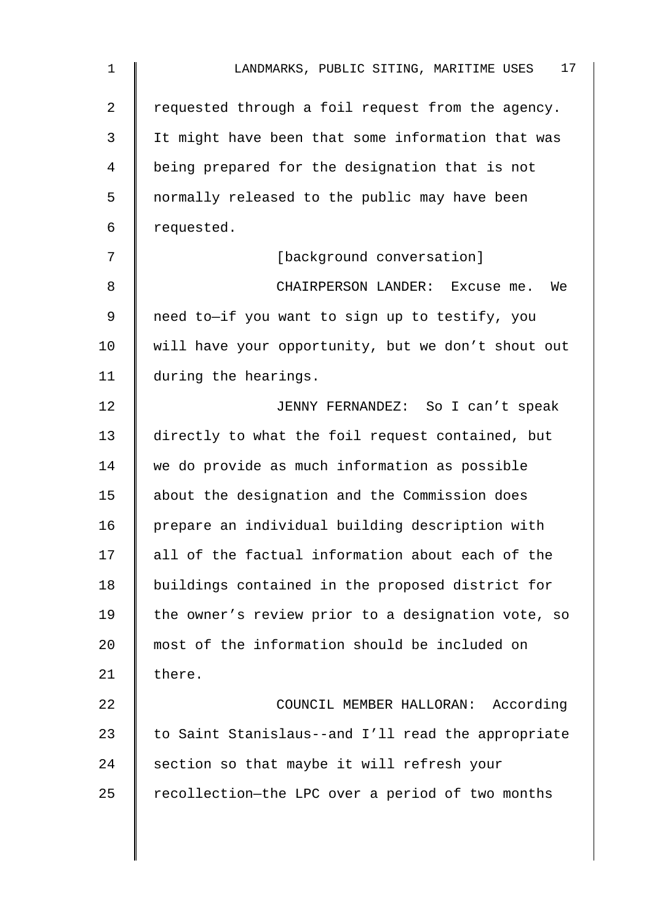| $\mathbf{1}$   | 17 <sub>2</sub><br>LANDMARKS, PUBLIC SITING, MARITIME USES |
|----------------|------------------------------------------------------------|
| $\overline{2}$ | requested through a foil request from the agency.          |
| 3              | It might have been that some information that was          |
| 4              | being prepared for the designation that is not             |
| 5              | normally released to the public may have been              |
| 6              | requested.                                                 |
| 7              | [background conversation]                                  |
| 8              | CHAIRPERSON LANDER: Excuse me.<br>We                       |
| 9              | need to-if you want to sign up to testify, you             |
| 10             | will have your opportunity, but we don't shout out         |
| 11             | during the hearings.                                       |
| 12             | JENNY FERNANDEZ: So I can't speak                          |
| 13             | directly to what the foil request contained, but           |
| 14             | we do provide as much information as possible              |
| 15             | about the designation and the Commission does              |
| 16             | prepare an individual building description with            |
| 17             | all of the factual information about each of the           |
| 18             | buildings contained in the proposed district for           |
| 19             | the owner's review prior to a designation vote, so         |
| 20             | most of the information should be included on              |
| 21             | there.                                                     |
| 22             | COUNCIL MEMBER HALLORAN: According                         |
| 23             | to Saint Stanislaus--and I'll read the appropriate         |
| 24             | section so that maybe it will refresh your                 |
| 25             | recollection-the LPC over a period of two months           |
|                |                                                            |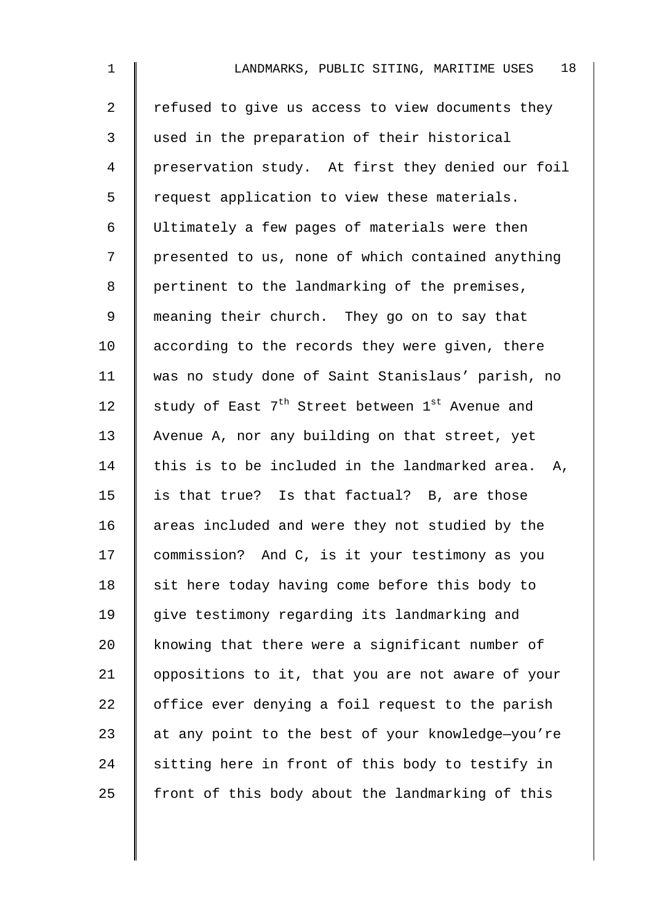| $\mathbf{1}$   | 18<br>LANDMARKS, PUBLIC SITING, MARITIME USES                           |
|----------------|-------------------------------------------------------------------------|
| $\overline{2}$ | refused to give us access to view documents they                        |
| 3              | used in the preparation of their historical                             |
| $\overline{4}$ | preservation study. At first they denied our foil                       |
| 5              | request application to view these materials.                            |
| 6              | Ultimately a few pages of materials were then                           |
| 7              | presented to us, none of which contained anything                       |
| 8              | pertinent to the landmarking of the premises,                           |
| 9              | meaning their church. They go on to say that                            |
| 10             | according to the records they were given, there                         |
| 11             | was no study done of Saint Stanislaus' parish, no                       |
| 12             | study of East 7 <sup>th</sup> Street between 1 <sup>st</sup> Avenue and |
| 13             | Avenue A, nor any building on that street, yet                          |
| 14             | this is to be included in the landmarked area. A,                       |
| 15             | is that true? Is that factual? B, are those                             |
| 16             | areas included and were they not studied by the                         |
| 17             | commission? And C, is it your testimony as you                          |
| 18             | sit here today having come before this body to                          |
| 19             | give testimony regarding its landmarking and                            |
| 20             | knowing that there were a significant number of                         |
| 21             | oppositions to it, that you are not aware of your                       |
| 22             | office ever denying a foil request to the parish                        |
| 23             | at any point to the best of your knowledge-you're                       |
| 24             | sitting here in front of this body to testify in                        |
| 25             | front of this body about the landmarking of this                        |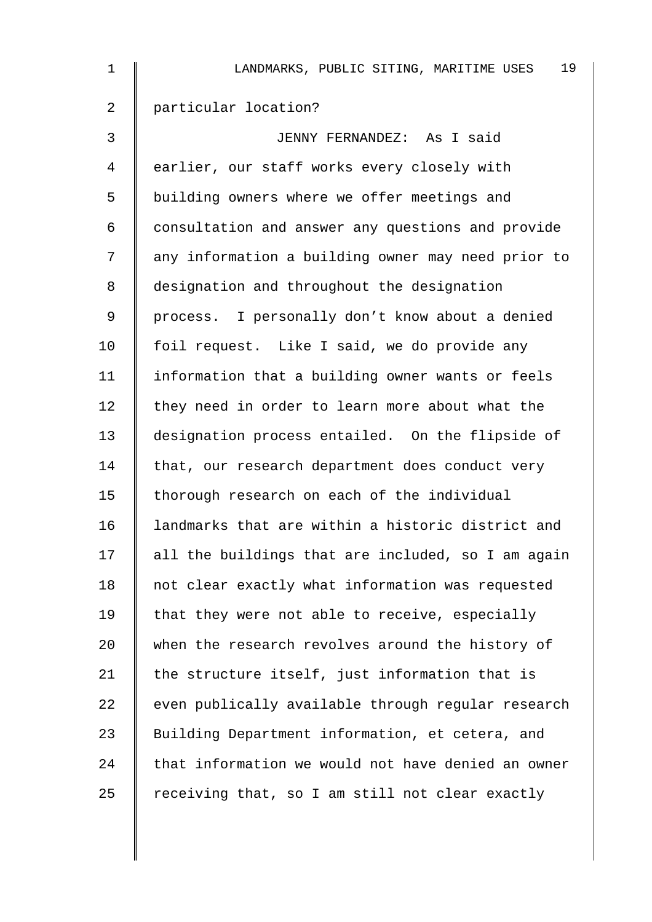| $\mathbf 1$ | 19<br>LANDMARKS, PUBLIC SITING, MARITIME USES      |
|-------------|----------------------------------------------------|
| 2           | particular location?                               |
| 3           | JENNY FERNANDEZ: As I said                         |
| 4           | earlier, our staff works every closely with        |
| 5           | building owners where we offer meetings and        |
| 6           | consultation and answer any questions and provide  |
| 7           | any information a building owner may need prior to |
| 8           | designation and throughout the designation         |
| 9           | process. I personally don't know about a denied    |
| 10          | foil request. Like I said, we do provide any       |
| 11          | information that a building owner wants or feels   |
| 12          | they need in order to learn more about what the    |
| 13          | designation process entailed. On the flipside of   |
| 14          | that, our research department does conduct very    |
| 15          | thorough research on each of the individual        |
| 16          | landmarks that are within a historic district and  |
| 17          | all the buildings that are included, so I am again |
| 18          | not clear exactly what information was requested   |
| 19          | that they were not able to receive, especially     |
| 20          | when the research revolves around the history of   |
| 21          | the structure itself, just information that is     |
| 22          | even publically available through regular research |
| 23          | Building Department information, et cetera, and    |
| 24          | that information we would not have denied an owner |
| 25          | receiving that, so I am still not clear exactly    |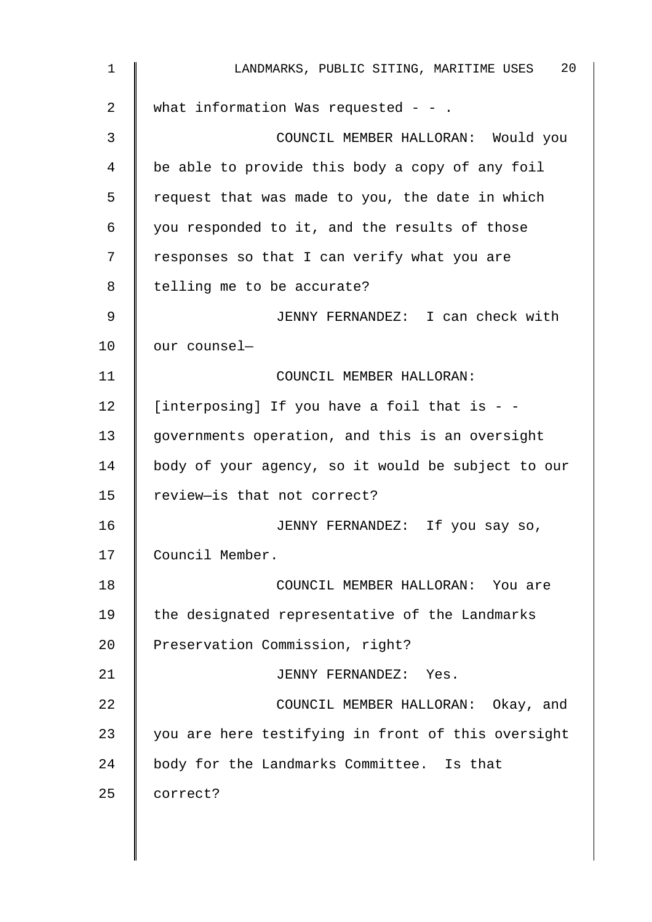| 1               | 20<br>LANDMARKS, PUBLIC SITING, MARITIME USES      |
|-----------------|----------------------------------------------------|
| 2               | what information Was requested - - .               |
| 3               | COUNCIL MEMBER HALLORAN: Would you                 |
| 4               | be able to provide this body a copy of any foil    |
| 5               | request that was made to you, the date in which    |
| 6               | you responded to it, and the results of those      |
| 7               | responses so that I can verify what you are        |
| 8               | telling me to be accurate?                         |
| 9               | JENNY FERNANDEZ: I can check with                  |
| 10 <sub>1</sub> | our counsel-                                       |
| 11              | COUNCIL MEMBER HALLORAN:                           |
| 12              | [interposing] If you have a foil that is - -       |
| 13              | governments operation, and this is an oversight    |
| 14              | body of your agency, so it would be subject to our |
| 15              | review-is that not correct?                        |
| 16              | JENNY FERNANDEZ: If you say so,                    |
| 17              | Council Member.                                    |
| 18              | COUNCIL MEMBER HALLORAN: You are                   |
| 19              | the designated representative of the Landmarks     |
| 20              | Preservation Commission, right?                    |
| 21              | JENNY FERNANDEZ: Yes.                              |
| 22              | COUNCIL MEMBER HALLORAN: Okay, and                 |
| 23              | you are here testifying in front of this oversight |
| 24              | body for the Landmarks Committee. Is that          |
| 25              | correct?                                           |
|                 |                                                    |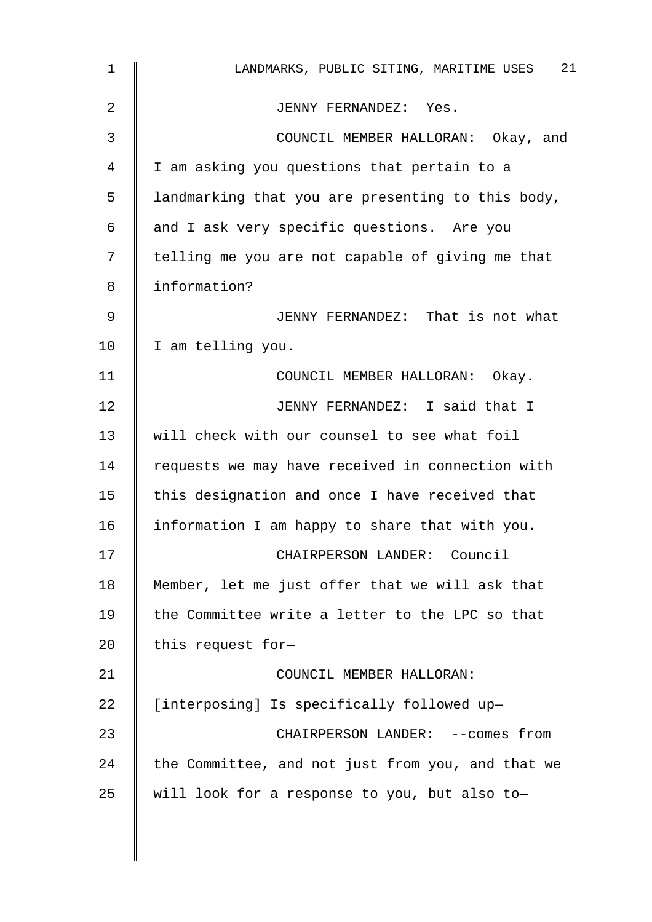| $\mathbf 1$ | 21<br>LANDMARKS, PUBLIC SITING, MARITIME USES     |
|-------------|---------------------------------------------------|
| 2           | JENNY FERNANDEZ: Yes.                             |
| 3           | COUNCIL MEMBER HALLORAN: Okay, and                |
| 4           | I am asking you questions that pertain to a       |
| 5           | landmarking that you are presenting to this body, |
| 6           | and I ask very specific questions. Are you        |
| 7           | telling me you are not capable of giving me that  |
| 8           | information?                                      |
| 9           | JENNY FERNANDEZ: That is not what                 |
| 10          | I am telling you.                                 |
| 11          | COUNCIL MEMBER HALLORAN: Okay.                    |
| 12          | JENNY FERNANDEZ: I said that I                    |
| 13          | will check with our counsel to see what foil      |
| 14          | requests we may have received in connection with  |
| 15          | this designation and once I have received that    |
| 16          | information I am happy to share that with you.    |
| 17          | CHAIRPERSON LANDER: Council                       |
| 18          | Member, let me just offer that we will ask that   |
| 19          | the Committee write a letter to the LPC so that   |
| 20          | this request for-                                 |
| 21          | COUNCIL MEMBER HALLORAN:                          |
| 22          | [interposing] Is specifically followed up-        |
| 23          | CHAIRPERSON LANDER: -- comes from                 |
| 24          | the Committee, and not just from you, and that we |
| 25          | will look for a response to you, but also to-     |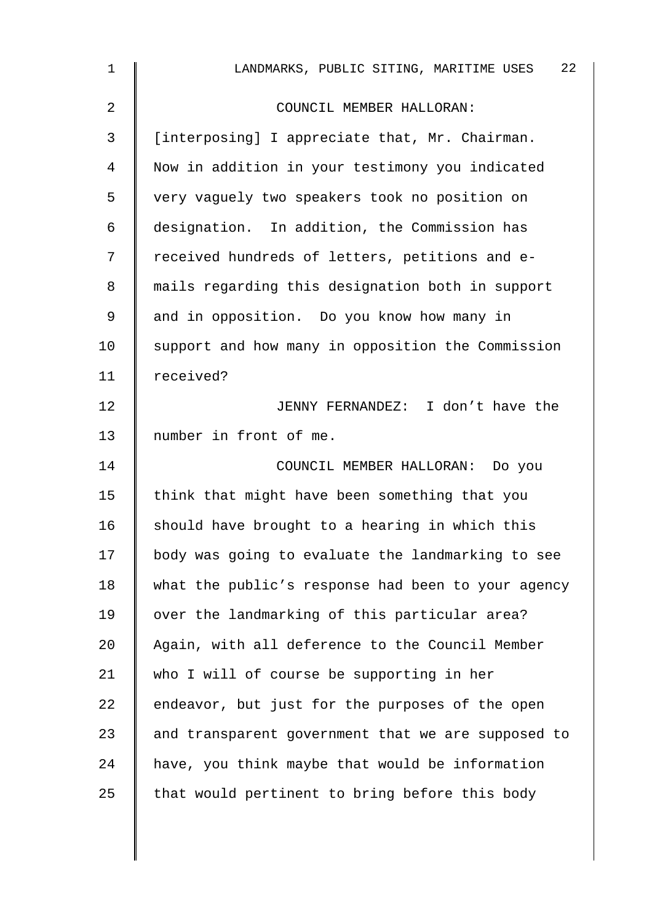| 1               | 22<br>LANDMARKS, PUBLIC SITING, MARITIME USES      |
|-----------------|----------------------------------------------------|
| 2               | COUNCIL MEMBER HALLORAN:                           |
| 3               | [interposing] I appreciate that, Mr. Chairman.     |
| 4               | Now in addition in your testimony you indicated    |
| 5               | very vaguely two speakers took no position on      |
| 6               | designation. In addition, the Commission has       |
| 7               | received hundreds of letters, petitions and e-     |
| 8               | mails regarding this designation both in support   |
| 9               | and in opposition. Do you know how many in         |
| 10              | support and how many in opposition the Commission  |
| 11              | received?                                          |
| 12 <sub>2</sub> | JENNY FERNANDEZ: I don't have the                  |
| 13              | number in front of me.                             |
| 14              | COUNCIL MEMBER HALLORAN: Do you                    |
| 15              | think that might have been something that you      |
| 16              | should have brought to a hearing in which this     |
| 17              | body was going to evaluate the landmarking to see  |
| 18              | what the public's response had been to your agency |
| 19              | over the landmarking of this particular area?      |
| 20              | Again, with all deference to the Council Member    |
| 21              | who I will of course be supporting in her          |
| 22              | endeavor, but just for the purposes of the open    |
| 23              | and transparent government that we are supposed to |
| 24              | have, you think maybe that would be information    |
| 25              | that would pertinent to bring before this body     |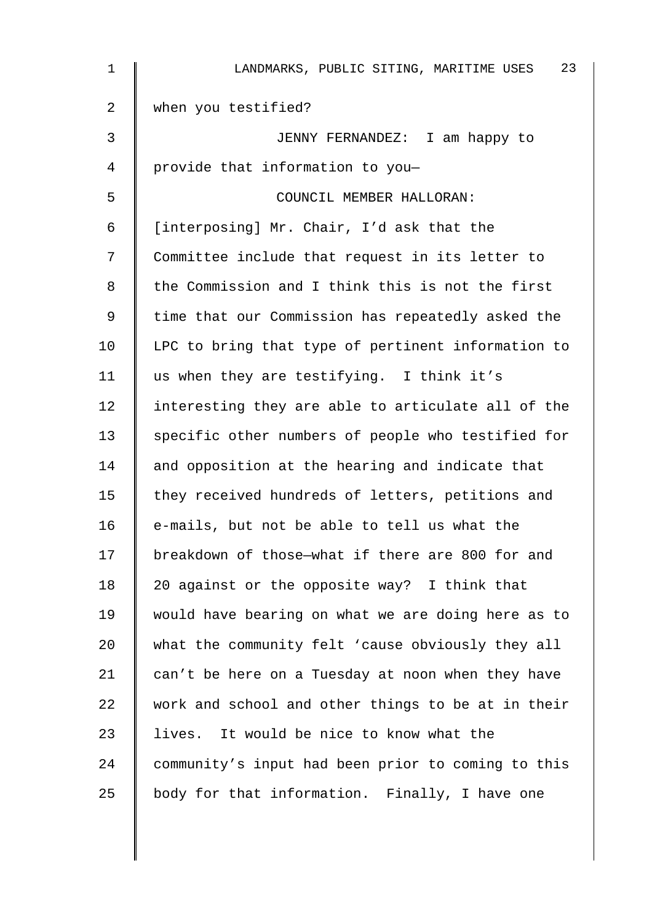| 1  | 23<br>LANDMARKS, PUBLIC SITING, MARITIME USES      |
|----|----------------------------------------------------|
| 2  | when you testified?                                |
| 3  | JENNY FERNANDEZ: I am happy to                     |
| 4  | provide that information to you-                   |
| 5  | COUNCIL MEMBER HALLORAN:                           |
| 6  | [interposing] Mr. Chair, I'd ask that the          |
| 7  | Committee include that request in its letter to    |
| 8  | the Commission and I think this is not the first   |
| 9  | time that our Commission has repeatedly asked the  |
| 10 | LPC to bring that type of pertinent information to |
| 11 | us when they are testifying. I think it's          |
| 12 | interesting they are able to articulate all of the |
| 13 | specific other numbers of people who testified for |
| 14 | and opposition at the hearing and indicate that    |
| 15 | they received hundreds of letters, petitions and   |
| 16 | e-mails, but not be able to tell us what the       |
| 17 | breakdown of those-what if there are 800 for and   |
| 18 | 20 against or the opposite way? I think that       |
| 19 | would have bearing on what we are doing here as to |
| 20 | what the community felt 'cause obviously they all  |
| 21 | can't be here on a Tuesday at noon when they have  |
| 22 | work and school and other things to be at in their |
| 23 | lives. It would be nice to know what the           |
| 24 | community's input had been prior to coming to this |
| 25 | body for that information. Finally, I have one     |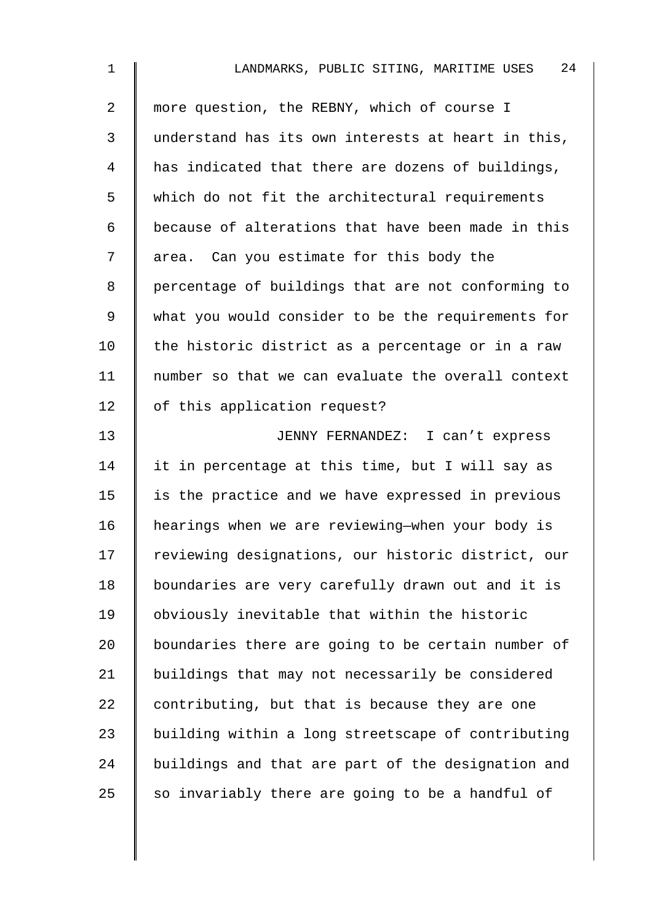| $\mathbf 1$    | 24<br>LANDMARKS, PUBLIC SITING, MARITIME USES      |
|----------------|----------------------------------------------------|
| $\overline{2}$ | more question, the REBNY, which of course I        |
| 3              | understand has its own interests at heart in this, |
| 4              | has indicated that there are dozens of buildings,  |
| 5              | which do not fit the architectural requirements    |
| 6              | because of alterations that have been made in this |
| 7              | area. Can you estimate for this body the           |
| 8              | percentage of buildings that are not conforming to |
| 9              | what you would consider to be the requirements for |
| 10             | the historic district as a percentage or in a raw  |
| 11             | number so that we can evaluate the overall context |
| 12             | of this application request?                       |
| 13             | JENNY FERNANDEZ: I can't express                   |
| 14             | it in percentage at this time, but I will say as   |
| 15             | is the practice and we have expressed in previous  |
| 16             | hearings when we are reviewing-when your body is   |
| 17             | reviewing designations, our historic district, our |
| 18             | boundaries are very carefully drawn out and it is  |
| 19             | obviously inevitable that within the historic      |
| 20             | boundaries there are going to be certain number of |
| 21             | buildings that may not necessarily be considered   |
| 22             | contributing, but that is because they are one     |
| 23             | building within a long streetscape of contributing |
| 24             | buildings and that are part of the designation and |
| 25             | so invariably there are going to be a handful of   |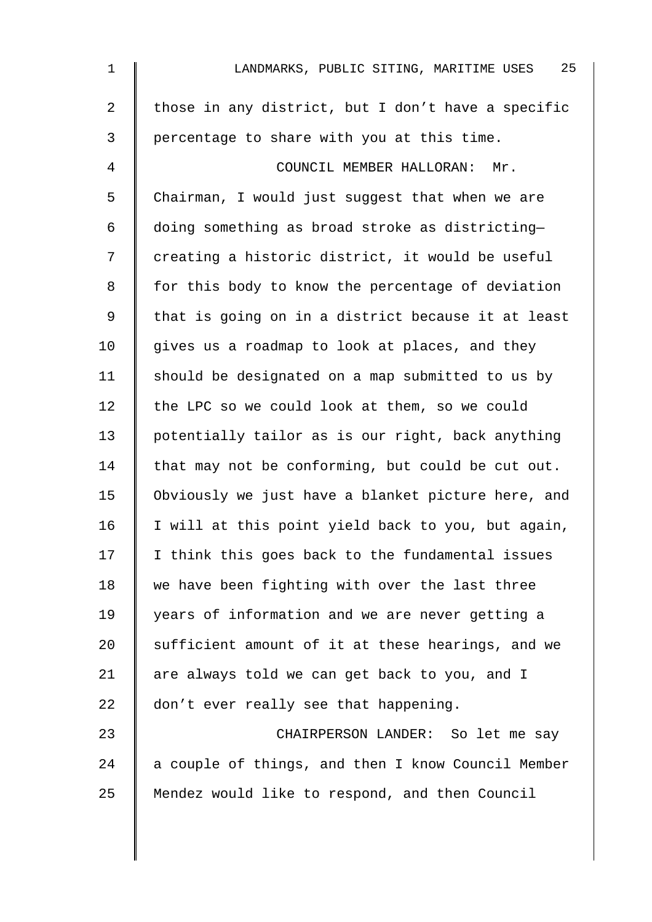| $\mathbf 1$    | 25<br>LANDMARKS, PUBLIC SITING, MARITIME USES      |
|----------------|----------------------------------------------------|
| $\overline{2}$ | those in any district, but I don't have a specific |
| 3              | percentage to share with you at this time.         |
| 4              | COUNCIL MEMBER HALLORAN: Mr.                       |
| 5              | Chairman, I would just suggest that when we are    |
| 6              | doing something as broad stroke as districting-    |
| 7              | creating a historic district, it would be useful   |
| 8              | for this body to know the percentage of deviation  |
| 9              | that is going on in a district because it at least |
| 10             | gives us a roadmap to look at places, and they     |
| 11             | should be designated on a map submitted to us by   |
| 12             | the LPC so we could look at them, so we could      |
| 13             | potentially tailor as is our right, back anything  |
| 14             | that may not be conforming, but could be cut out.  |
| 15             | Obviously we just have a blanket picture here, and |
| 16             | I will at this point yield back to you, but again, |
| 17             | I think this goes back to the fundamental issues   |
| 18             | we have been fighting with over the last three     |
| 19             | years of information and we are never getting a    |
| 20             | sufficient amount of it at these hearings, and we  |
| 21             | are always told we can get back to you, and I      |
| 22             | don't ever really see that happening.              |
| 23             | CHAIRPERSON LANDER: So let me say                  |
| 24             | a couple of things, and then I know Council Member |
| 25             | Mendez would like to respond, and then Council     |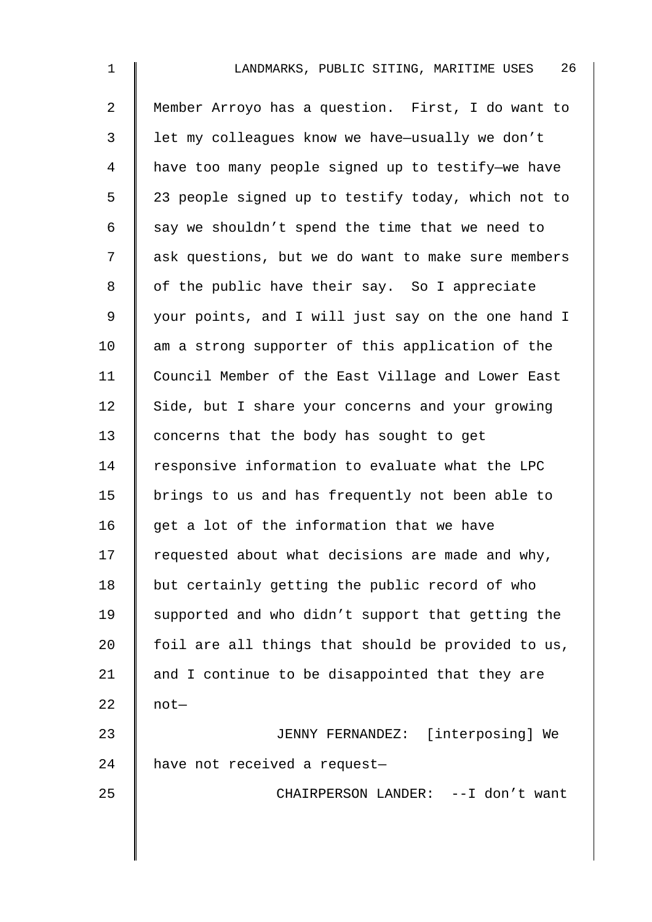| $\mathbf 1$ | 26<br>LANDMARKS, PUBLIC SITING, MARITIME USES      |
|-------------|----------------------------------------------------|
| 2           | Member Arroyo has a question. First, I do want to  |
| 3           | let my colleagues know we have-usually we don't    |
| 4           | have too many people signed up to testify-we have  |
| 5           | 23 people signed up to testify today, which not to |
| 6           | say we shouldn't spend the time that we need to    |
| 7           | ask questions, but we do want to make sure members |
| 8           | of the public have their say. So I appreciate      |
| 9           | your points, and I will just say on the one hand I |
| 10          | am a strong supporter of this application of the   |
| 11          | Council Member of the East Village and Lower East  |
| 12          | Side, but I share your concerns and your growing   |
| 13          | concerns that the body has sought to get           |
| 14          | responsive information to evaluate what the LPC    |
| 15          | brings to us and has frequently not been able to   |
| 16          | get a lot of the information that we have          |
| 17          | requested about what decisions are made and why,   |
| 18          | but certainly getting the public record of who     |
| 19          | supported and who didn't support that getting the  |
| 20          | foil are all things that should be provided to us, |
| 21          | and I continue to be disappointed that they are    |
| 22          | $not-$                                             |
| 23          | JENNY FERNANDEZ: [interposing] We                  |
| 24          | have not received a request-                       |
| 25          | CHAIRPERSON LANDER: -- I don't want                |
|             |                                                    |
|             |                                                    |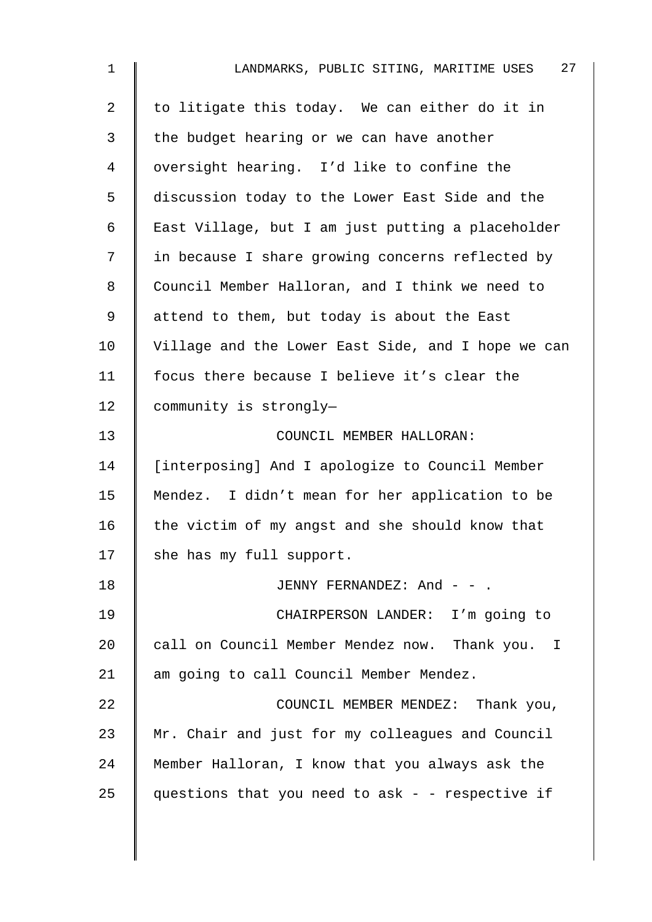| $\mathbf{1}$   | 27<br>LANDMARKS, PUBLIC SITING, MARITIME USES      |
|----------------|----------------------------------------------------|
| $\overline{a}$ | to litigate this today. We can either do it in     |
| 3              | the budget hearing or we can have another          |
| 4              | oversight hearing. I'd like to confine the         |
| 5              | discussion today to the Lower East Side and the    |
| 6              | East Village, but I am just putting a placeholder  |
| 7              | in because I share growing concerns reflected by   |
| 8              | Council Member Halloran, and I think we need to    |
| 9              | attend to them, but today is about the East        |
| 10             | Village and the Lower East Side, and I hope we can |
| 11             | focus there because I believe it's clear the       |
| 12             | community is strongly-                             |
| 13             | COUNCIL MEMBER HALLORAN:                           |
| 14             | [interposing] And I apologize to Council Member    |
| 15             | Mendez. I didn't mean for her application to be    |
| 16             | the victim of my angst and she should know that    |
| 17             | she has my full support.                           |
| 18             | JENNY FERNANDEZ: And - - .                         |
| 19             | CHAIRPERSON LANDER: I'm going to                   |
| 20             | call on Council Member Mendez now. Thank you. I    |
| 21             | am going to call Council Member Mendez.            |
| 22             | COUNCIL MEMBER MENDEZ: Thank you,                  |
| 23             | Mr. Chair and just for my colleagues and Council   |
| 24             | Member Halloran, I know that you always ask the    |
| 25             | questions that you need to ask - - respective if   |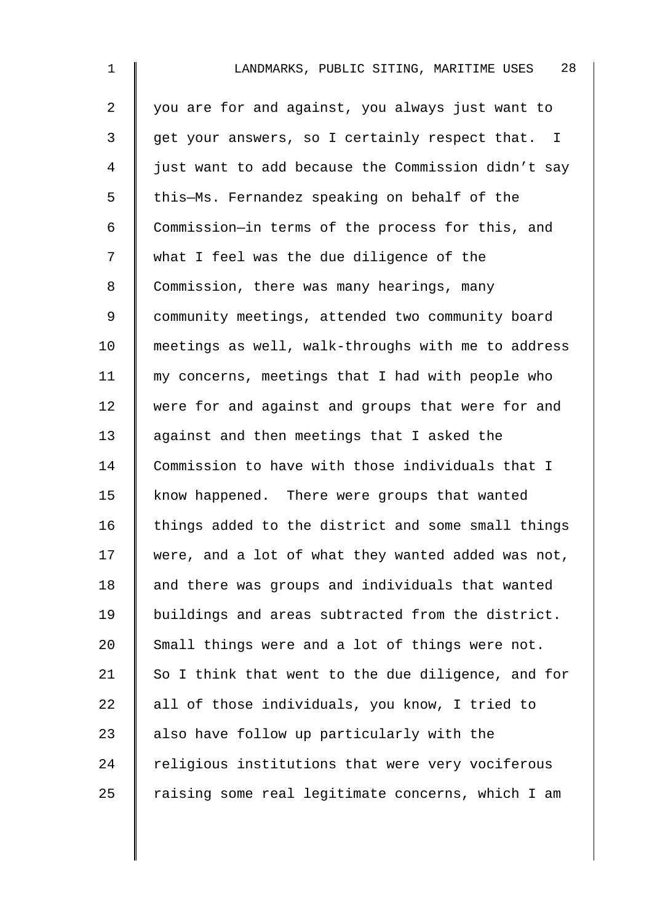| $\mathbf 1$    | 28<br>LANDMARKS, PUBLIC SITING, MARITIME USES                  |
|----------------|----------------------------------------------------------------|
| $\overline{a}$ | you are for and against, you always just want to               |
| 3              | get your answers, so I certainly respect that.<br>$\mathbf{I}$ |
| 4              | just want to add because the Commission didn't say             |
| 5              | this-Ms. Fernandez speaking on behalf of the                   |
| 6              | Commission-in terms of the process for this, and               |
| 7              | what I feel was the due diligence of the                       |
| 8              | Commission, there was many hearings, many                      |
| 9              | community meetings, attended two community board               |
| 10             | meetings as well, walk-throughs with me to address             |
| 11             | my concerns, meetings that I had with people who               |
| 12             | were for and against and groups that were for and              |
| 13             | against and then meetings that I asked the                     |
| 14             | Commission to have with those individuals that I               |
| 15             | know happened. There were groups that wanted                   |
| 16             | things added to the district and some small things             |
| 17             | were, and a lot of what they wanted added was not,             |
| 18             | and there was groups and individuals that wanted               |
| 19             | buildings and areas subtracted from the district.              |
| 20             | Small things were and a lot of things were not.                |
| 21             | So I think that went to the due diligence, and for             |
| 22             | all of those individuals, you know, I tried to                 |
| 23             | also have follow up particularly with the                      |
| 24             | religious institutions that were very vociferous               |
| 25             | raising some real legitimate concerns, which I am              |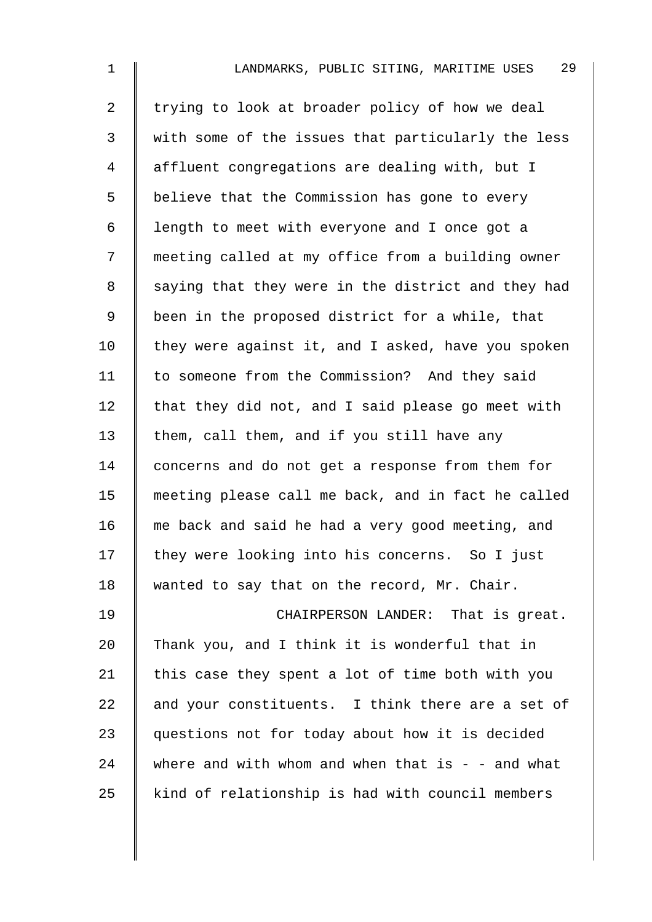| $\mathbf 1$    | 29<br>LANDMARKS, PUBLIC SITING, MARITIME USES       |
|----------------|-----------------------------------------------------|
| $\overline{2}$ | trying to look at broader policy of how we deal     |
| 3              | with some of the issues that particularly the less  |
| $\overline{4}$ | affluent congregations are dealing with, but I      |
| 5              | believe that the Commission has gone to every       |
| 6              | length to meet with everyone and I once got a       |
| 7              | meeting called at my office from a building owner   |
| 8              | saying that they were in the district and they had  |
| $\mathsf 9$    | been in the proposed district for a while, that     |
| 10             | they were against it, and I asked, have you spoken  |
| 11             | to someone from the Commission? And they said       |
| 12             | that they did not, and I said please go meet with   |
| 13             | them, call them, and if you still have any          |
| 14             | concerns and do not get a response from them for    |
| 15             | meeting please call me back, and in fact he called  |
| 16             | me back and said he had a very good meeting, and    |
| 17             | they were looking into his concerns. So I just      |
| 18             | wanted to say that on the record, Mr. Chair.        |
| 19             | CHAIRPERSON LANDER: That is great.                  |
| 20             | Thank you, and I think it is wonderful that in      |
| 21             | this case they spent a lot of time both with you    |
| 22             | and your constituents. I think there are a set of   |
| 23             | questions not for today about how it is decided     |
| 24             | where and with whom and when that is $-$ - and what |
| 25             | kind of relationship is had with council members    |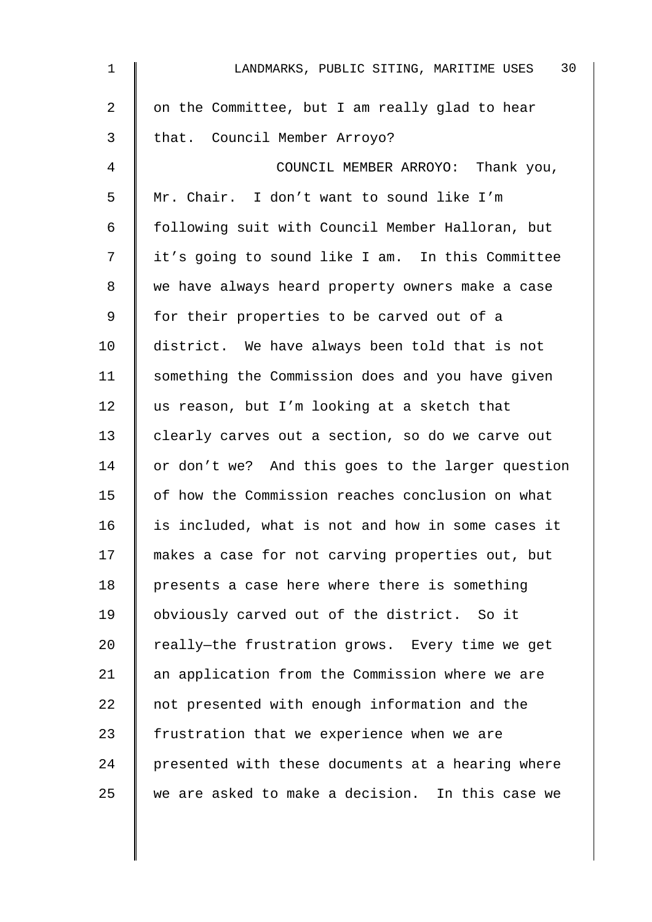| $\mathbf 1$    | 30<br>LANDMARKS, PUBLIC SITING, MARITIME USES     |
|----------------|---------------------------------------------------|
| $\overline{a}$ | on the Committee, but I am really glad to hear    |
| 3              | that. Council Member Arroyo?                      |
| 4              | COUNCIL MEMBER ARROYO: Thank you,                 |
| 5              | Mr. Chair. I don't want to sound like I'm         |
| 6              | following suit with Council Member Halloran, but  |
| 7              | it's going to sound like I am. In this Committee  |
| 8              | we have always heard property owners make a case  |
| 9              | for their properties to be carved out of a        |
| 10             | district. We have always been told that is not    |
| 11             | something the Commission does and you have given  |
| 12             | us reason, but I'm looking at a sketch that       |
| 13             | clearly carves out a section, so do we carve out  |
| 14             | or don't we? And this goes to the larger question |
| 15             | of how the Commission reaches conclusion on what  |
| 16             | is included, what is not and how in some cases it |
| 17             | makes a case for not carving properties out, but  |
| 18             | presents a case here where there is something     |
| 19             | obviously carved out of the district. So it       |
| 20             | really-the frustration grows. Every time we get   |
| 21             | an application from the Commission where we are   |
| 22             | not presented with enough information and the     |
| 23             | frustration that we experience when we are        |
| 24             | presented with these documents at a hearing where |
| 25             | we are asked to make a decision. In this case we  |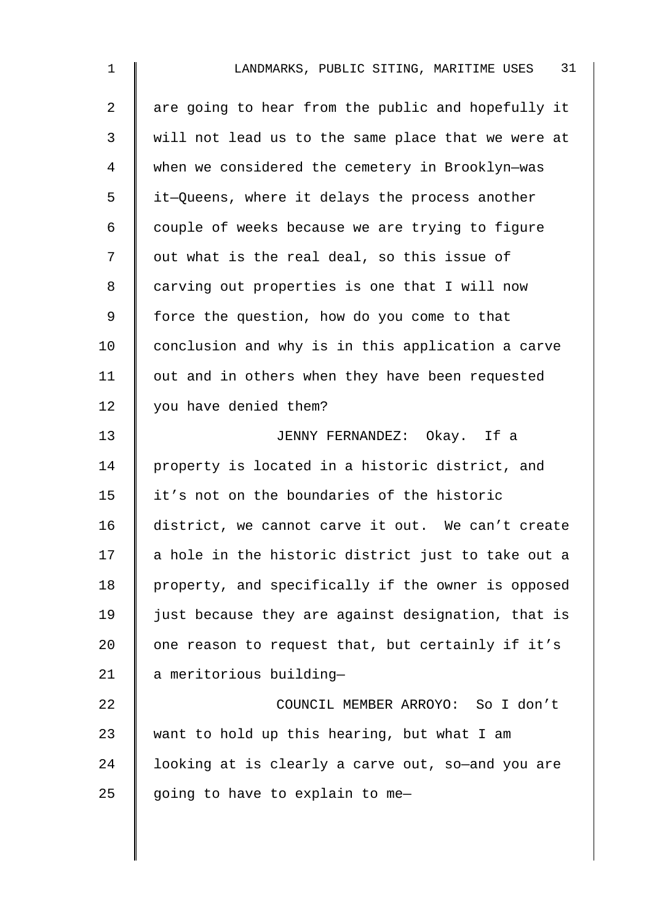| 1              | 31<br>LANDMARKS, PUBLIC SITING, MARITIME USES      |
|----------------|----------------------------------------------------|
| $\overline{2}$ | are going to hear from the public and hopefully it |
| $\mathfrak{Z}$ | will not lead us to the same place that we were at |
| 4              | when we considered the cemetery in Brooklyn-was    |
| 5              | it-Queens, where it delays the process another     |
| 6              | couple of weeks because we are trying to figure    |
| 7              | out what is the real deal, so this issue of        |
| 8              | carving out properties is one that I will now      |
| 9              | force the question, how do you come to that        |
| 10             | conclusion and why is in this application a carve  |
| 11             | out and in others when they have been requested    |
| 12             | you have denied them?                              |
| 13             | JENNY FERNANDEZ: Okay. If a                        |
| 14             | property is located in a historic district, and    |
| 15             | it's not on the boundaries of the historic         |
| 16             | district, we cannot carve it out. We can't create  |
| 17             | a hole in the historic district just to take out a |
| 18             | property, and specifically if the owner is opposed |
| 19             | just because they are against designation, that is |
| 20             | one reason to request that, but certainly if it's  |
| 21             | a meritorious building-                            |
| 22             | COUNCIL MEMBER ARROYO: So I don't                  |
| 23             | want to hold up this hearing, but what I am        |
| 24             | looking at is clearly a carve out, so-and you are  |
| 25             | going to have to explain to me-                    |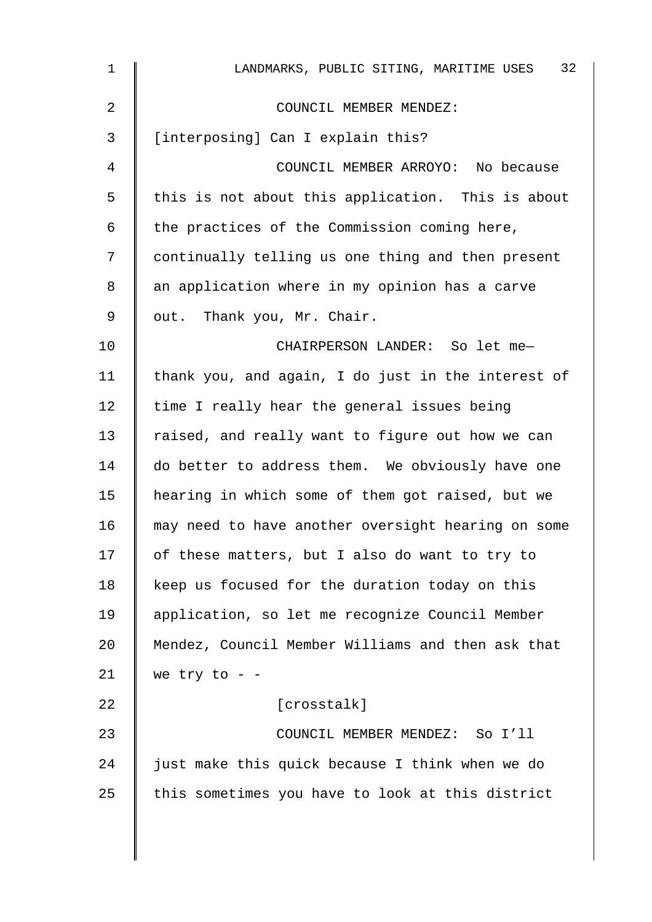| $\mathbf{1}$   | 32<br>LANDMARKS, PUBLIC SITING, MARITIME USES      |
|----------------|----------------------------------------------------|
| $\overline{a}$ | COUNCIL MEMBER MENDEZ:                             |
| 3              | [interposing] Can I explain this?                  |
| 4              | COUNCIL MEMBER ARROYO: No because                  |
| 5              | this is not about this application. This is about  |
| 6              | the practices of the Commission coming here,       |
| 7              | continually telling us one thing and then present  |
| 8              | an application where in my opinion has a carve     |
| 9              | out. Thank you, Mr. Chair.                         |
| 10             | CHAIRPERSON LANDER: So let me-                     |
| 11             | thank you, and again, I do just in the interest of |
| 12             | time I really hear the general issues being        |
| 13             | raised, and really want to figure out how we can   |
| 14             | do better to address them. We obviously have one   |
| 15             | hearing in which some of them got raised, but we   |
| 16             | may need to have another oversight hearing on some |
| 17             | of these matters, but I also do want to try to     |
| 18             | keep us focused for the duration today on this     |
| 19             | application, so let me recognize Council Member    |
| 20             | Mendez, Council Member Williams and then ask that  |
| 21             | we try to - $-$                                    |
| 22             | [crosstalk]                                        |
| 23             | COUNCIL MEMBER MENDEZ: So I'll                     |
| 24             | just make this quick because I think when we do    |
| 25             | this sometimes you have to look at this district   |
|                |                                                    |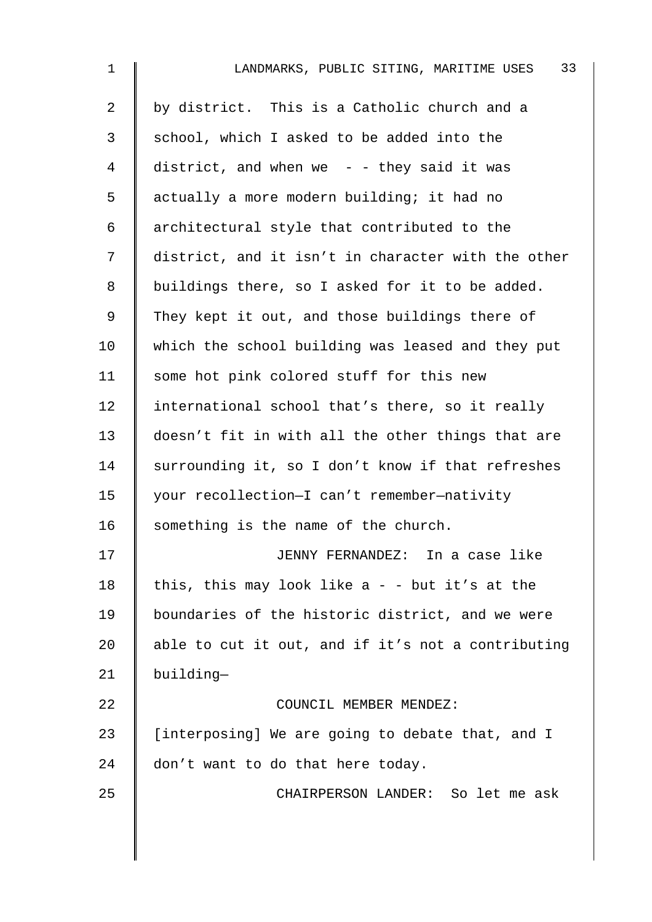| $\mathbf 1$    | 33<br>LANDMARKS, PUBLIC SITING, MARITIME USES      |
|----------------|----------------------------------------------------|
| $\overline{a}$ | by district. This is a Catholic church and a       |
| 3              | school, which I asked to be added into the         |
| $\overline{4}$ | district, and when we $-$ - they said it was       |
| 5              | actually a more modern building; it had no         |
| 6              | architectural style that contributed to the        |
| 7              | district, and it isn't in character with the other |
| 8              | buildings there, so I asked for it to be added.    |
| $\mathsf 9$    | They kept it out, and those buildings there of     |
| 10             | which the school building was leased and they put  |
| 11             | some hot pink colored stuff for this new           |
| 12             | international school that's there, so it really    |
| 13             | doesn't fit in with all the other things that are  |
| 14             | surrounding it, so I don't know if that refreshes  |
| 15             | your recollection-I can't remember-nativity        |
| 16             | something is the name of the church.               |
| 17             | JENNY FERNANDEZ: In a case like                    |
| 18             | this, this may look like $a - -$ but it's at the   |
| 19             | boundaries of the historic district, and we were   |
| 20             | able to cut it out, and if it's not a contributing |
| 21             | building-                                          |
| 22             | COUNCIL MEMBER MENDEZ:                             |
| 23             | [interposing] We are going to debate that, and I   |
| 24             | don't want to do that here today.                  |
| 25             | CHAIRPERSON LANDER: So let me ask                  |
|                |                                                    |
|                |                                                    |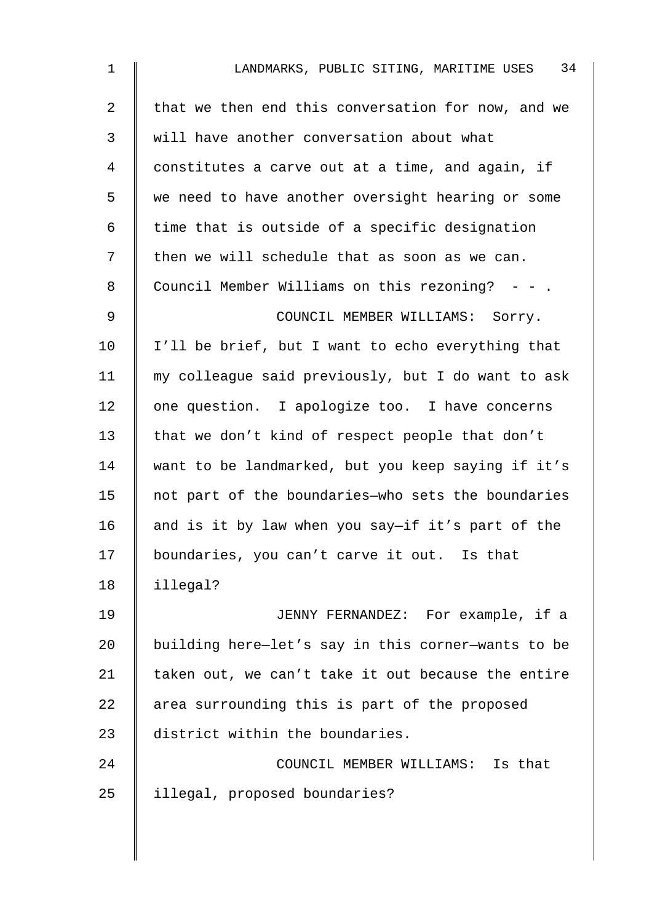| $\mathbf{1}$ | 34<br>LANDMARKS, PUBLIC SITING, MARITIME USES      |
|--------------|----------------------------------------------------|
| 2            | that we then end this conversation for now, and we |
| 3            | will have another conversation about what          |
| 4            | constitutes a carve out at a time, and again, if   |
| 5            | we need to have another oversight hearing or some  |
| 6            | time that is outside of a specific designation     |
| 7            | then we will schedule that as soon as we can.      |
| 8            | Council Member Williams on this rezoning? - - .    |
| $\mathsf 9$  | COUNCIL MEMBER WILLIAMS: Sorry.                    |
| 10           | I'll be brief, but I want to echo everything that  |
| 11           | my colleague said previously, but I do want to ask |
| 12           | one question. I apologize too. I have concerns     |
| 13           | that we don't kind of respect people that don't    |
| 14           | want to be landmarked, but you keep saying if it's |
| 15           | not part of the boundaries-who sets the boundaries |
| 16           | and is it by law when you say-if it's part of the  |
| 17           | boundaries, you can't carve it out. Is that        |
| 18           | illegal?                                           |
| 19           | JENNY FERNANDEZ: For example, if a                 |
| 20           | building here-let's say in this corner-wants to be |
| 21           | taken out, we can't take it out because the entire |
| 22           | area surrounding this is part of the proposed      |
| 23           | district within the boundaries.                    |
| 24           | COUNCIL MEMBER WILLIAMS: Is that                   |
| 25           | illegal, proposed boundaries?                      |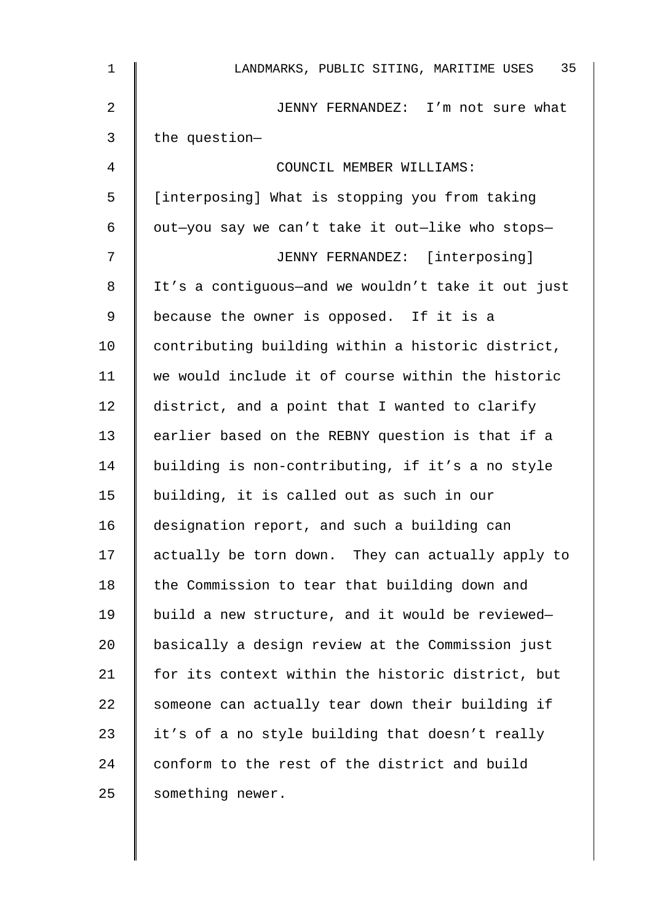| $\mathbf 1$    | 35<br>LANDMARKS, PUBLIC SITING, MARITIME USES      |
|----------------|----------------------------------------------------|
| $\overline{2}$ | JENNY FERNANDEZ: I'm not sure what                 |
| 3              | the question-                                      |
| 4              | COUNCIL MEMBER WILLIAMS:                           |
| 5              | [interposing] What is stopping you from taking     |
| 6              | out-you say we can't take it out-like who stops-   |
| 7              | JENNY FERNANDEZ: [interposing]                     |
| 8              | It's a contiguous-and we wouldn't take it out just |
| 9              | because the owner is opposed. If it is a           |
| 10             | contributing building within a historic district,  |
| 11             | we would include it of course within the historic  |
| 12             | district, and a point that I wanted to clarify     |
| 13             | earlier based on the REBNY question is that if a   |
| 14             | building is non-contributing, if it's a no style   |
| 15             | building, it is called out as such in our          |
| 16             | designation report, and such a building can        |
| 17             | actually be torn down. They can actually apply to  |
| 18             | the Commission to tear that building down and      |
| 19             | build a new structure, and it would be reviewed-   |
| 20             | basically a design review at the Commission just   |
| 21             | for its context within the historic district, but  |
| 22             | someone can actually tear down their building if   |
| 23             | it's of a no style building that doesn't really    |
| 24             | conform to the rest of the district and build      |
| 25             | something newer.                                   |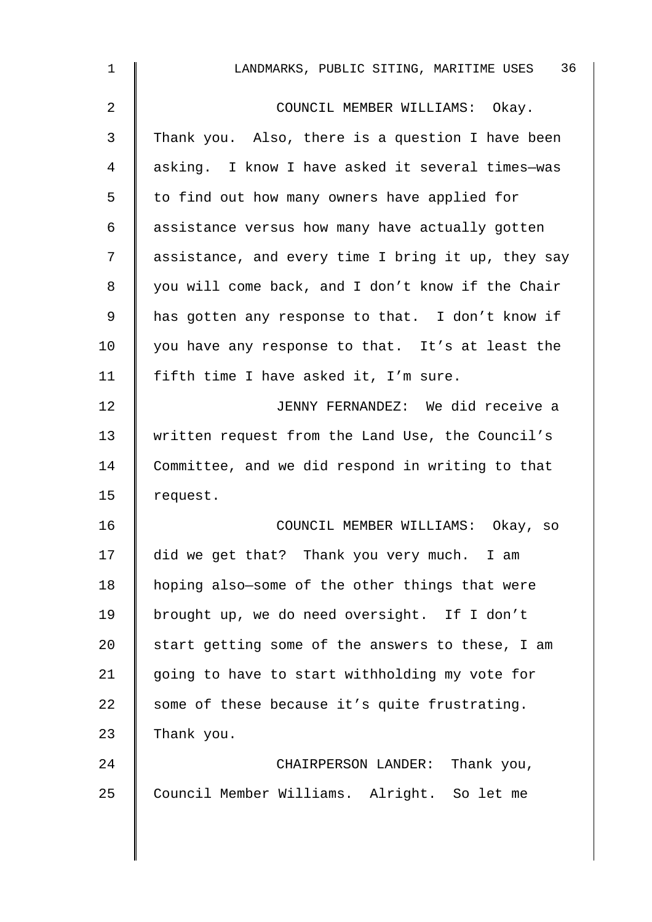| $\mathbf{1}$   | 36<br>LANDMARKS, PUBLIC SITING, MARITIME USES      |
|----------------|----------------------------------------------------|
| $\overline{2}$ | COUNCIL MEMBER WILLIAMS: Okay.                     |
| 3              | Thank you. Also, there is a question I have been   |
| 4              | asking. I know I have asked it several times-was   |
| 5              | to find out how many owners have applied for       |
| 6              | assistance versus how many have actually gotten    |
| 7              | assistance, and every time I bring it up, they say |
| 8              | you will come back, and I don't know if the Chair  |
| 9              | has gotten any response to that. I don't know if   |
| 10             | you have any response to that. It's at least the   |
| 11             | fifth time I have asked it, I'm sure.              |
| 12             | JENNY FERNANDEZ: We did receive a                  |
| 13             | written request from the Land Use, the Council's   |
| 14             | Committee, and we did respond in writing to that   |
| 15             | request.                                           |
| 16             | COUNCIL MEMBER WILLIAMS: Okay, so                  |
| 17             | did we get that? Thank you very much. I am         |
| 18             | hoping also-some of the other things that were     |
| 19             | brought up, we do need oversight. If I don't       |
| 20             | start getting some of the answers to these, I am   |
| 21             | going to have to start withholding my vote for     |
| 22             | some of these because it's quite frustrating.      |
| 23             | Thank you.                                         |
| 24             | CHAIRPERSON LANDER: Thank you,                     |
| 25             | Council Member Williams. Alright. So let me        |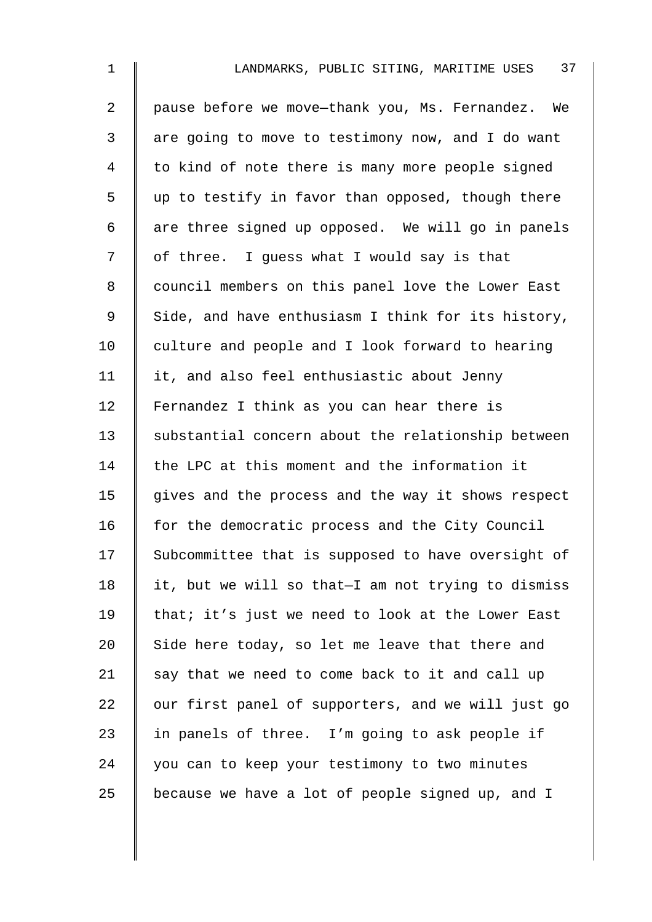| $\mathbf 1$    | 37<br>LANDMARKS, PUBLIC SITING, MARITIME USES      |
|----------------|----------------------------------------------------|
| $\overline{a}$ | pause before we move-thank you, Ms. Fernandez. We  |
| 3              | are going to move to testimony now, and I do want  |
| $\overline{4}$ | to kind of note there is many more people signed   |
| 5              | up to testify in favor than opposed, though there  |
| $\epsilon$     | are three signed up opposed. We will go in panels  |
| 7              | of three. I guess what I would say is that         |
| 8              | council members on this panel love the Lower East  |
| 9              | Side, and have enthusiasm I think for its history, |
| 10             | culture and people and I look forward to hearing   |
| 11             | it, and also feel enthusiastic about Jenny         |
| 12             | Fernandez I think as you can hear there is         |
| 13             | substantial concern about the relationship between |
| 14             | the LPC at this moment and the information it      |
| 15             | gives and the process and the way it shows respect |
| 16             | for the democratic process and the City Council    |
| 17             | Subcommittee that is supposed to have oversight of |
| 18             | it, but we will so that-I am not trying to dismiss |
| 19             | that; it's just we need to look at the Lower East  |
| 20             | Side here today, so let me leave that there and    |
| 21             | say that we need to come back to it and call up    |
| 22             | our first panel of supporters, and we will just go |
| 23             | in panels of three. I'm going to ask people if     |
| 24             | you can to keep your testimony to two minutes      |
| 25             | because we have a lot of people signed up, and I   |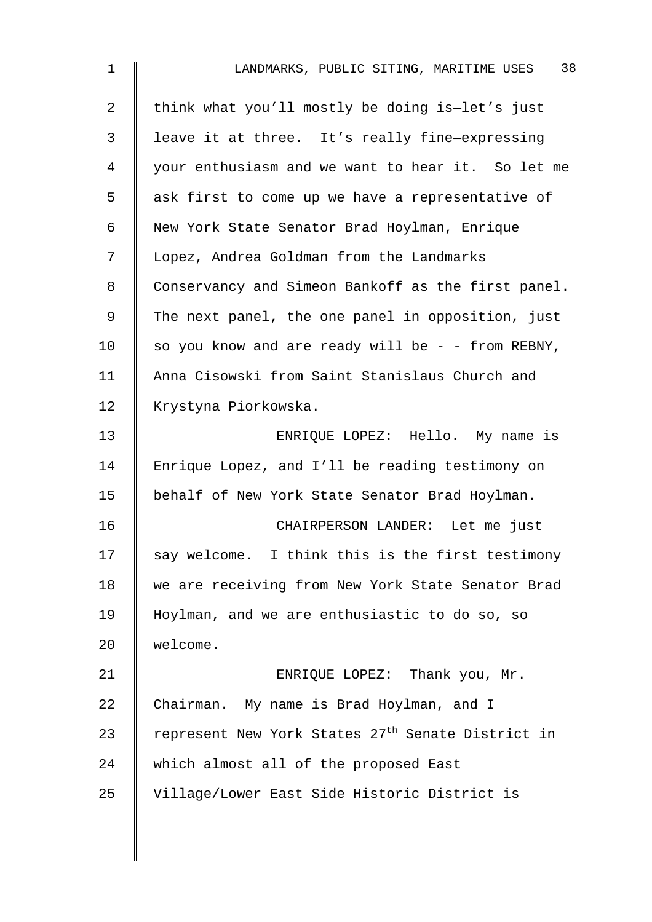| $\mathbf 1$ | 38<br>LANDMARKS, PUBLIC SITING, MARITIME USES                 |
|-------------|---------------------------------------------------------------|
| 2           | think what you'll mostly be doing is-let's just               |
| 3           | leave it at three. It's really fine-expressing                |
| 4           | your enthusiasm and we want to hear it. So let me             |
| 5           | ask first to come up we have a representative of              |
| 6           | New York State Senator Brad Hoylman, Enrique                  |
| 7           | Lopez, Andrea Goldman from the Landmarks                      |
| 8           | Conservancy and Simeon Bankoff as the first panel.            |
| 9           | The next panel, the one panel in opposition, just             |
| 10          | so you know and are ready will be - - from REBNY,             |
| 11          | Anna Cisowski from Saint Stanislaus Church and                |
| 12          | Krystyna Piorkowska.                                          |
| 13          | ENRIQUE LOPEZ: Hello. My name is                              |
| 14          | Enrique Lopez, and I'll be reading testimony on               |
| 15          | behalf of New York State Senator Brad Hoylman.                |
| 16          | CHAIRPERSON LANDER: Let me just                               |
| 17          | say welcome. I think this is the first testimony              |
| 18          | we are receiving from New York State Senator Brad             |
| 19          | Hoylman, and we are enthusiastic to do so, so                 |
| 20          | welcome.                                                      |
| 21          | ENRIQUE LOPEZ: Thank you, Mr.                                 |
| 22          | Chairman. My name is Brad Hoylman, and I                      |
| 23          | represent New York States 27 <sup>th</sup> Senate District in |
| 24          | which almost all of the proposed East                         |
| 25          | Village/Lower East Side Historic District is                  |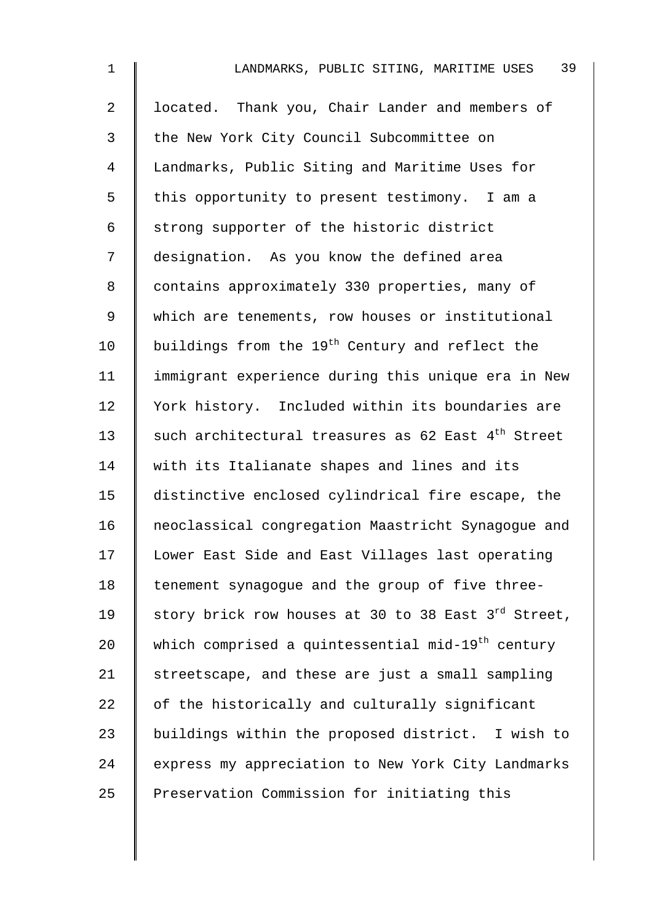| $\mathbf{1}$   | 39<br>LANDMARKS, PUBLIC SITING, MARITIME USES                   |
|----------------|-----------------------------------------------------------------|
| $\overline{2}$ | located. Thank you, Chair Lander and members of                 |
| 3              | the New York City Council Subcommittee on                       |
| 4              | Landmarks, Public Siting and Maritime Uses for                  |
| 5              | this opportunity to present testimony. I am a                   |
| 6              | strong supporter of the historic district                       |
| 7              | designation. As you know the defined area                       |
| 8              | contains approximately 330 properties, many of                  |
| 9              | which are tenements, row houses or institutional                |
| 10             | buildings from the 19 <sup>th</sup> Century and reflect the     |
| 11             | immigrant experience during this unique era in New              |
| 12             | York history. Included within its boundaries are                |
| 13             | such architectural treasures as 62 East 4 <sup>th</sup> Street  |
| 14             | with its Italianate shapes and lines and its                    |
| 15             | distinctive enclosed cylindrical fire escape, the               |
| 16             | neoclassical congregation Maastricht Synagogue and              |
| 17             | Lower East Side and East Villages last operating                |
| 18             | tenement synagogue and the group of five three-                 |
| 19             | story brick row houses at 30 to 38 East 3 <sup>rd</sup> Street, |
| 20             | which comprised a quintessential mid-19 <sup>th</sup> century   |
| 21             | streetscape, and these are just a small sampling                |
| 22             | of the historically and culturally significant                  |
| 23             | buildings within the proposed district. I wish to               |
| 24             | express my appreciation to New York City Landmarks              |
| 25             | Preservation Commission for initiating this                     |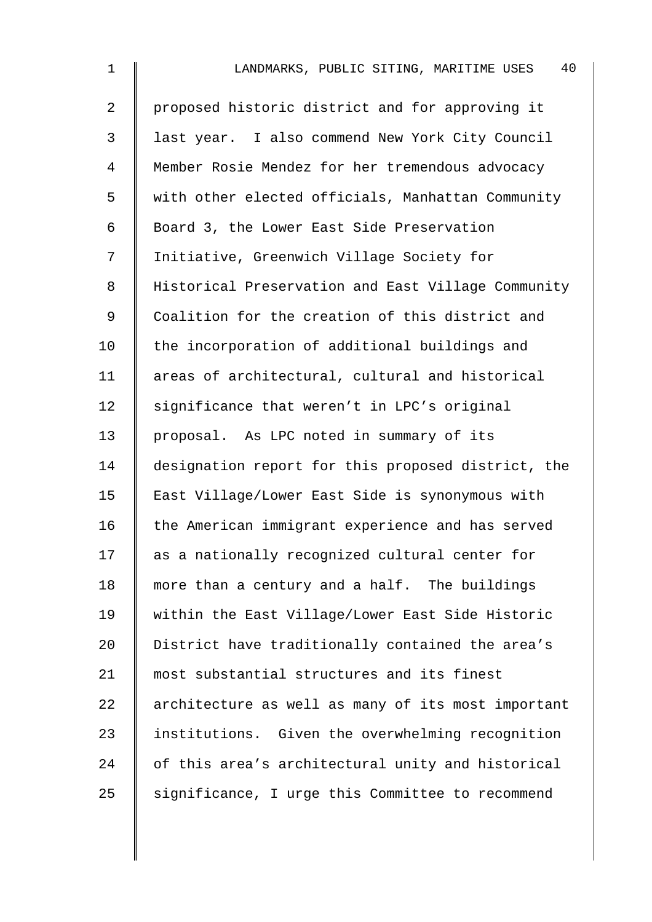| $\mathbf 1$    | 40<br>LANDMARKS, PUBLIC SITING, MARITIME USES      |
|----------------|----------------------------------------------------|
| $\overline{2}$ | proposed historic district and for approving it    |
| 3              | last year. I also commend New York City Council    |
| 4              | Member Rosie Mendez for her tremendous advocacy    |
| 5              | with other elected officials, Manhattan Community  |
| 6              | Board 3, the Lower East Side Preservation          |
| 7              | Initiative, Greenwich Village Society for          |
| 8              | Historical Preservation and East Village Community |
| 9              | Coalition for the creation of this district and    |
| 10             | the incorporation of additional buildings and      |
| 11             | areas of architectural, cultural and historical    |
| 12             | significance that weren't in LPC's original        |
| 13             | proposal. As LPC noted in summary of its           |
| 14             | designation report for this proposed district, the |
| 15             | East Village/Lower East Side is synonymous with    |
| 16             | the American immigrant experience and has served   |
| 17             | as a nationally recognized cultural center for     |
| 18             | more than a century and a half. The buildings      |
| 19             | within the East Village/Lower East Side Historic   |
| 20             | District have traditionally contained the area's   |
| 21             | most substantial structures and its finest         |
| 22             | architecture as well as many of its most important |
| 23             | institutions. Given the overwhelming recognition   |
| 24             | of this area's architectural unity and historical  |
| 25             | significance, I urge this Committee to recommend   |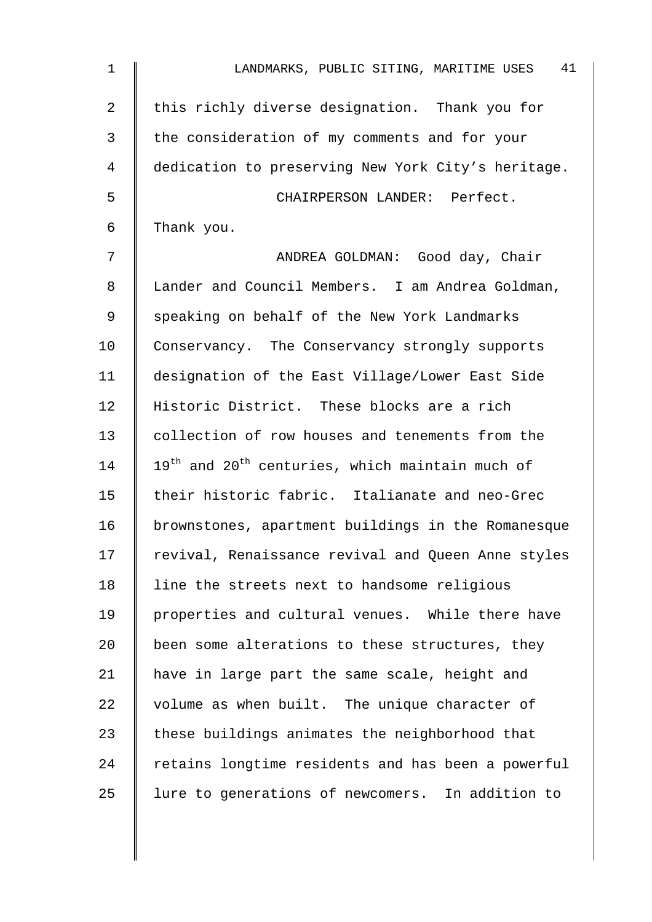| $\mathbf 1$ | 41<br>LANDMARKS, PUBLIC SITING, MARITIME USES       |
|-------------|-----------------------------------------------------|
| 2           | this richly diverse designation. Thank you for      |
| 3           | the consideration of my comments and for your       |
| 4           | dedication to preserving New York City's heritage.  |
| 5           | CHAIRPERSON LANDER: Perfect.                        |
| 6           | Thank you.                                          |
| 7           | ANDREA GOLDMAN: Good day, Chair                     |
| 8           | Lander and Council Members. I am Andrea Goldman,    |
| 9           | speaking on behalf of the New York Landmarks        |
| 10          | Conservancy. The Conservancy strongly supports      |
| 11          | designation of the East Village/Lower East Side     |
| 12          | Historic District. These blocks are a rich          |
| 13          | collection of row houses and tenements from the     |
| 14          | $19th$ and $20th$ centuries, which maintain much of |
| 15          | their historic fabric. Italianate and neo-Grec      |
| 16          | brownstones, apartment buildings in the Romanesque  |
| 17          | revival, Renaissance revival and Queen Anne styles  |
| 18          | line the streets next to handsome religious         |
| 19          | properties and cultural venues. While there have    |
| 20          | been some alterations to these structures, they     |
| 21          | have in large part the same scale, height and       |
| 22          | volume as when built. The unique character of       |
| 23          | these buildings animates the neighborhood that      |
| 24          | retains longtime residents and has been a powerful  |
| 25          | lure to generations of newcomers. In addition to    |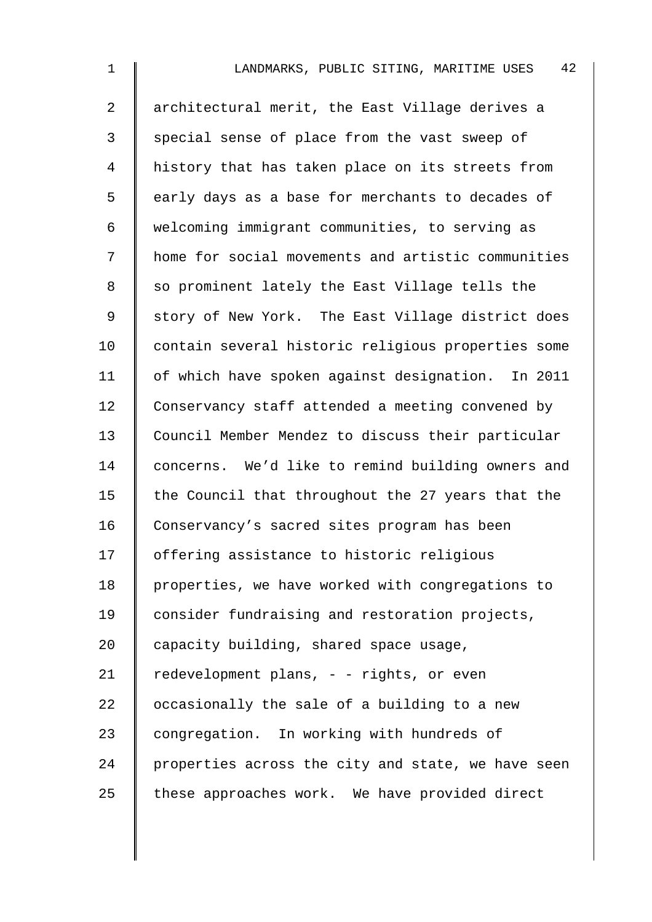| $\mathbf 1$    | 42<br>LANDMARKS, PUBLIC SITING, MARITIME USES      |
|----------------|----------------------------------------------------|
| $\overline{2}$ | architectural merit, the East Village derives a    |
| 3              | special sense of place from the vast sweep of      |
| 4              | history that has taken place on its streets from   |
| 5              | early days as a base for merchants to decades of   |
| 6              | welcoming immigrant communities, to serving as     |
| 7              | home for social movements and artistic communities |
| 8              | so prominent lately the East Village tells the     |
| 9              | story of New York. The East Village district does  |
| 10             | contain several historic religious properties some |
| 11             | of which have spoken against designation. In 2011  |
| 12             | Conservancy staff attended a meeting convened by   |
| 13             | Council Member Mendez to discuss their particular  |
| 14             | concerns. We'd like to remind building owners and  |
| 15             | the Council that throughout the 27 years that the  |
| 16             | Conservancy's sacred sites program has been        |
| 17             | offering assistance to historic religious          |
| 18             | properties, we have worked with congregations to   |
| 19             | consider fundraising and restoration projects,     |
| 20             | capacity building, shared space usage,             |
| 21             | redevelopment plans, - - rights, or even           |
| 22             | occasionally the sale of a building to a new       |
| 23             | congregation. In working with hundreds of          |
| 24             | properties across the city and state, we have seen |
| 25             | these approaches work. We have provided direct     |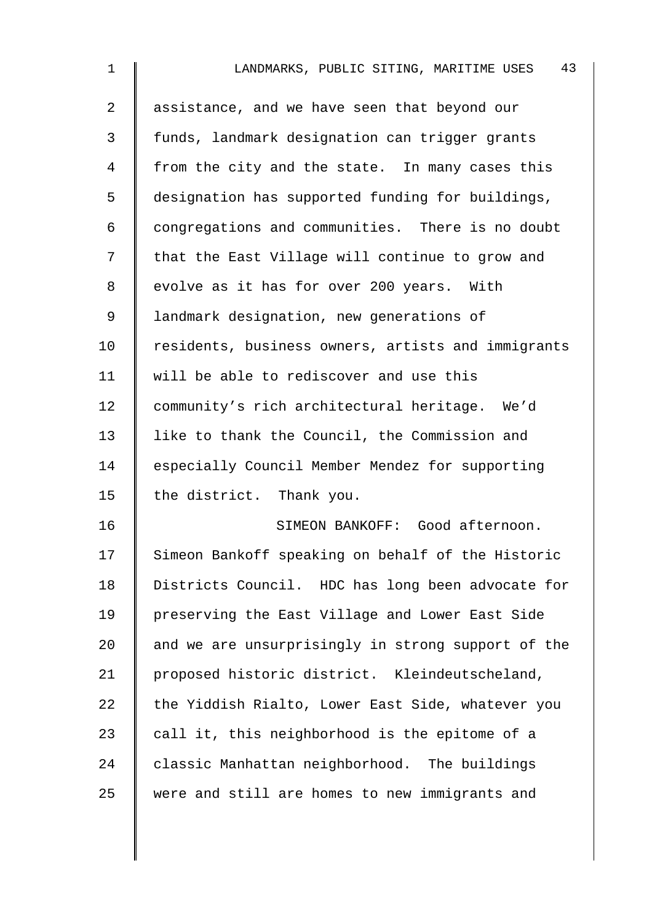| $\mathbf 1$    | 43<br>LANDMARKS, PUBLIC SITING, MARITIME USES      |
|----------------|----------------------------------------------------|
| $\overline{2}$ | assistance, and we have seen that beyond our       |
| 3              | funds, landmark designation can trigger grants     |
| 4              | from the city and the state. In many cases this    |
| 5              | designation has supported funding for buildings,   |
| 6              | congregations and communities. There is no doubt   |
| 7              | that the East Village will continue to grow and    |
| 8              | evolve as it has for over 200 years. With          |
| 9              | landmark designation, new generations of           |
| 10             | residents, business owners, artists and immigrants |
| 11             | will be able to rediscover and use this            |
| 12             | community's rich architectural heritage. We'd      |
| 13             | like to thank the Council, the Commission and      |
| 14             | especially Council Member Mendez for supporting    |
| 15             | the district. Thank you.                           |
| 16             | SIMEON BANKOFF: Good afternoon.                    |
| 17             | Simeon Bankoff speaking on behalf of the Historic  |
| 18             | Districts Council. HDC has long been advocate for  |
| 19             | preserving the East Village and Lower East Side    |
| 20             | and we are unsurprisingly in strong support of the |
| 21             | proposed historic district. Kleindeutscheland,     |
| 22             | the Yiddish Rialto, Lower East Side, whatever you  |
| 23             | call it, this neighborhood is the epitome of a     |
| 24             | classic Manhattan neighborhood. The buildings      |
| 25             | were and still are homes to new immigrants and     |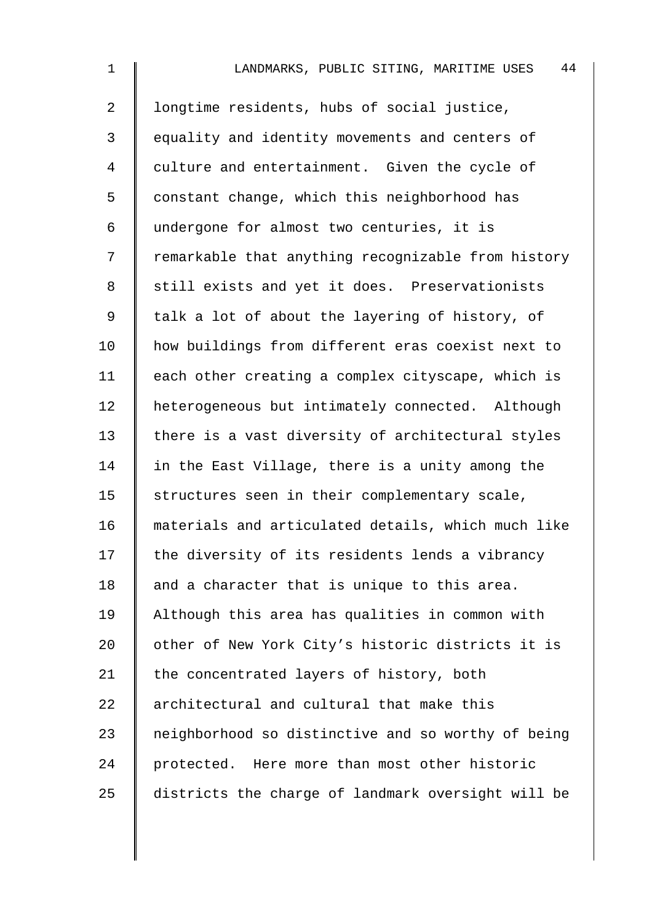| $\mathbf{1}$   | 44<br>LANDMARKS, PUBLIC SITING, MARITIME USES      |
|----------------|----------------------------------------------------|
| $\overline{a}$ | longtime residents, hubs of social justice,        |
| 3              | equality and identity movements and centers of     |
| 4              | culture and entertainment. Given the cycle of      |
| 5              | constant change, which this neighborhood has       |
| 6              | undergone for almost two centuries, it is          |
| 7              | remarkable that anything recognizable from history |
| 8              | still exists and yet it does. Preservationists     |
| $\mathsf 9$    | talk a lot of about the layering of history, of    |
| 10             | how buildings from different eras coexist next to  |
| 11             | each other creating a complex cityscape, which is  |
| 12             | heterogeneous but intimately connected. Although   |
| 13             | there is a vast diversity of architectural styles  |
| 14             | in the East Village, there is a unity among the    |
| 15             | structures seen in their complementary scale,      |
| 16             | materials and articulated details, which much like |
| 17             | the diversity of its residents lends a vibrancy    |
| 18             | and a character that is unique to this area.       |
| 19             | Although this area has qualities in common with    |
| 20             | other of New York City's historic districts it is  |
| 21             | the concentrated layers of history, both           |
| 22             | architectural and cultural that make this          |
| 23             | neighborhood so distinctive and so worthy of being |
| 24             | protected. Here more than most other historic      |
| 25             | districts the charge of landmark oversight will be |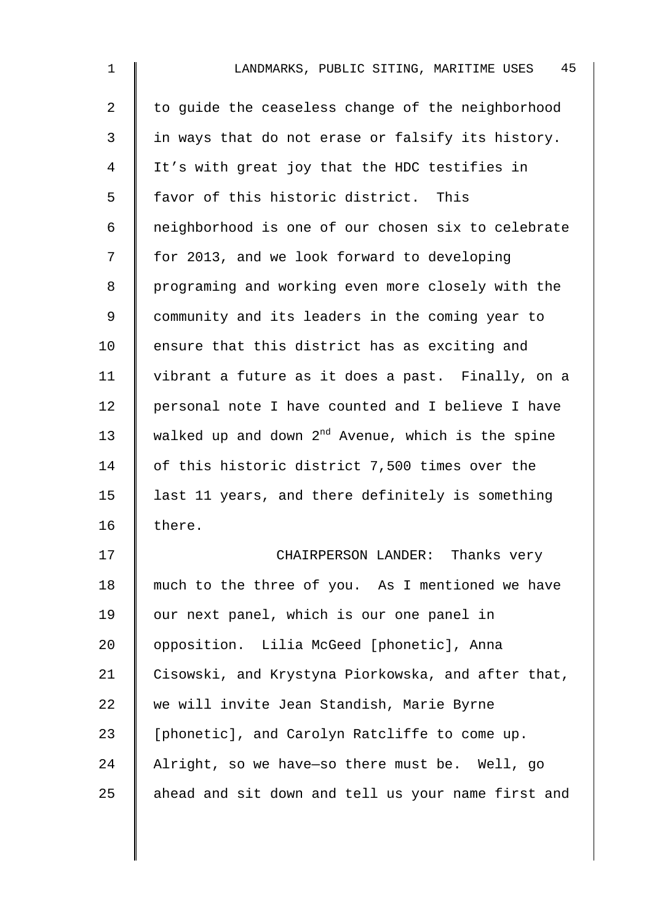| $\mathbf{1}$   | 45<br>LANDMARKS, PUBLIC SITING, MARITIME USES          |
|----------------|--------------------------------------------------------|
| $\overline{a}$ | to guide the ceaseless change of the neighborhood      |
| 3              | in ways that do not erase or falsify its history.      |
| 4              | It's with great joy that the HDC testifies in          |
| 5              | favor of this historic district. This                  |
| 6              | neighborhood is one of our chosen six to celebrate     |
| 7              | for 2013, and we look forward to developing            |
| 8              | programing and working even more closely with the      |
| $\mathsf 9$    | community and its leaders in the coming year to        |
| 10             | ensure that this district has as exciting and          |
| 11             | vibrant a future as it does a past. Finally, on a      |
| 12             | personal note I have counted and I believe I have      |
| 13             | walked up and down $2^{nd}$ Avenue, which is the spine |
| 14             | of this historic district 7,500 times over the         |
| 15             | last 11 years, and there definitely is something       |
| 16             | there.                                                 |
| 17             | CHAIRPERSON LANDER: Thanks very                        |
| 18             | much to the three of you. As I mentioned we have       |
| 19             | our next panel, which is our one panel in              |
| 20             | opposition. Lilia McGeed [phonetic], Anna              |
| 21             | Cisowski, and Krystyna Piorkowska, and after that,     |
| 22             | we will invite Jean Standish, Marie Byrne              |
| 23             | [phonetic], and Carolyn Ratcliffe to come up.          |
| 24             | Alright, so we have-so there must be. Well, go         |
| 25             | ahead and sit down and tell us your name first and     |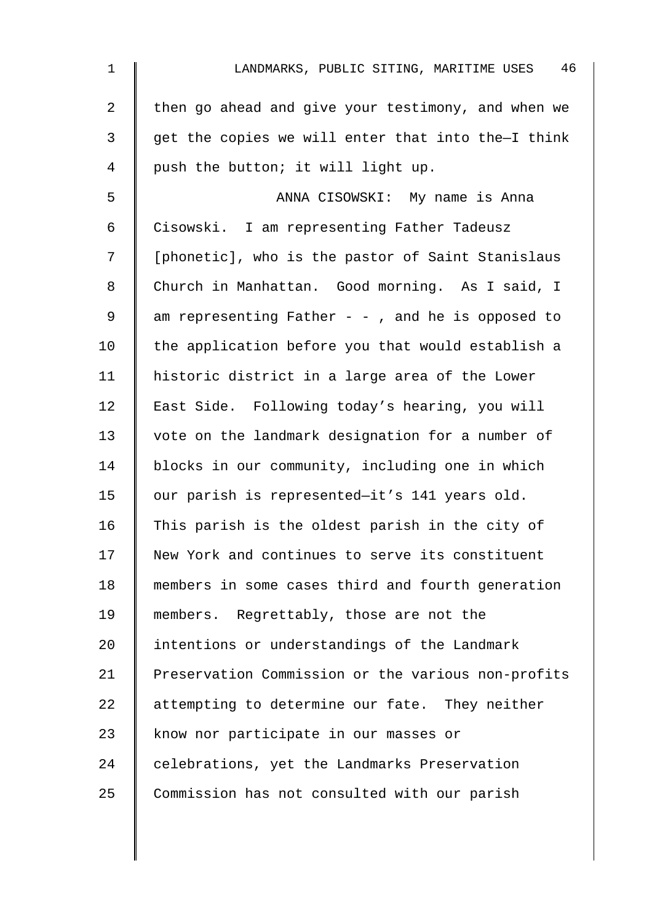| $\mathbf 1$ | 46<br>LANDMARKS, PUBLIC SITING, MARITIME USES      |
|-------------|----------------------------------------------------|
| 2           | then go ahead and give your testimony, and when we |
| 3           | get the copies we will enter that into the-I think |
| 4           | push the button; it will light up.                 |
| 5           | ANNA CISOWSKI: My name is Anna                     |
| 6           | Cisowski. I am representing Father Tadeusz         |
| 7           | [phonetic], who is the pastor of Saint Stanislaus  |
| 8           | Church in Manhattan. Good morning. As I said, I    |
| 9           | am representing Father - - , and he is opposed to  |
| 10          | the application before you that would establish a  |
| 11          | historic district in a large area of the Lower     |
| 12          | East Side. Following today's hearing, you will     |
| 13          | vote on the landmark designation for a number of   |
| 14          | blocks in our community, including one in which    |
| 15          | our parish is represented-it's 141 years old.      |
| 16          | This parish is the oldest parish in the city of    |
| 17          | New York and continues to serve its constituent    |
| 18          | members in some cases third and fourth generation  |
| 19          | members. Regrettably, those are not the            |
| 20          | intentions or understandings of the Landmark       |
| 21          | Preservation Commission or the various non-profits |
| 22          | attempting to determine our fate. They neither     |
| 23          | know nor participate in our masses or              |
| 24          | celebrations, yet the Landmarks Preservation       |
| 25          | Commission has not consulted with our parish       |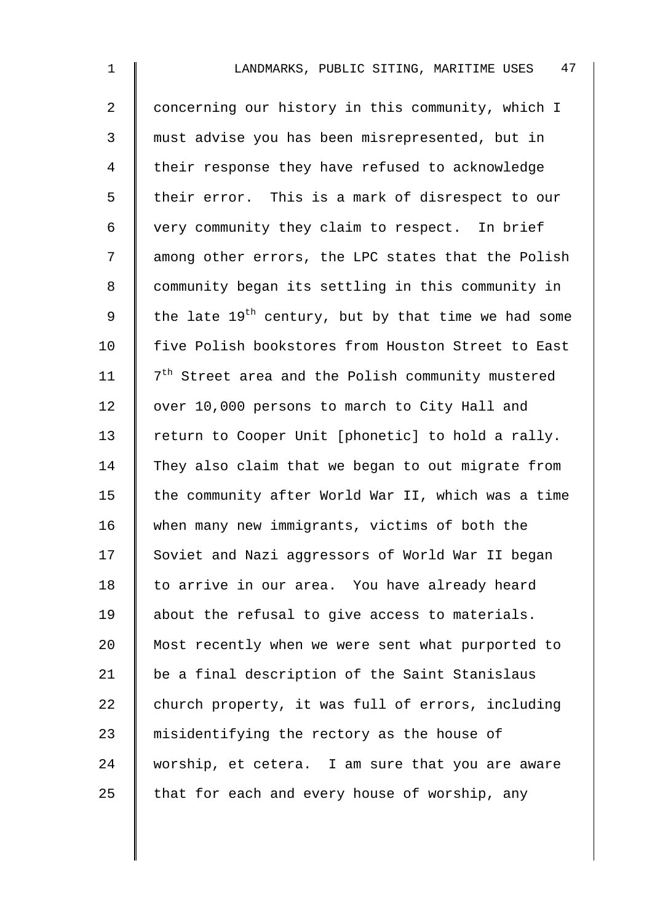| $\mathbf 1$ | 47<br>LANDMARKS, PUBLIC SITING, MARITIME USES                   |
|-------------|-----------------------------------------------------------------|
| 2           | concerning our history in this community, which I               |
| 3           | must advise you has been misrepresented, but in                 |
| 4           | their response they have refused to acknowledge                 |
| 5           | their error. This is a mark of disrespect to our                |
| 6           | very community they claim to respect. In brief                  |
| 7           | among other errors, the LPC states that the Polish              |
| 8           | community began its settling in this community in               |
| 9           | the late 19 <sup>th</sup> century, but by that time we had some |
| 10          | five Polish bookstores from Houston Street to East              |
| 11          | 7 <sup>th</sup> Street area and the Polish community mustered   |
| 12          | over 10,000 persons to march to City Hall and                   |
| 13          | return to Cooper Unit [phonetic] to hold a rally.               |
| 14          | They also claim that we began to out migrate from               |
| 15          | the community after World War II, which was a time              |
| 16          | when many new immigrants, victims of both the                   |
| 17          | Soviet and Nazi aggressors of World War II began                |
| 18          | to arrive in our area. You have already heard                   |
| 19          | about the refusal to give access to materials.                  |
| 20          | Most recently when we were sent what purported to               |
| 21          | be a final description of the Saint Stanislaus                  |
| 22          | church property, it was full of errors, including               |
| 23          | misidentifying the rectory as the house of                      |
| 24          | worship, et cetera. I am sure that you are aware                |
| 25          | that for each and every house of worship, any                   |
|             |                                                                 |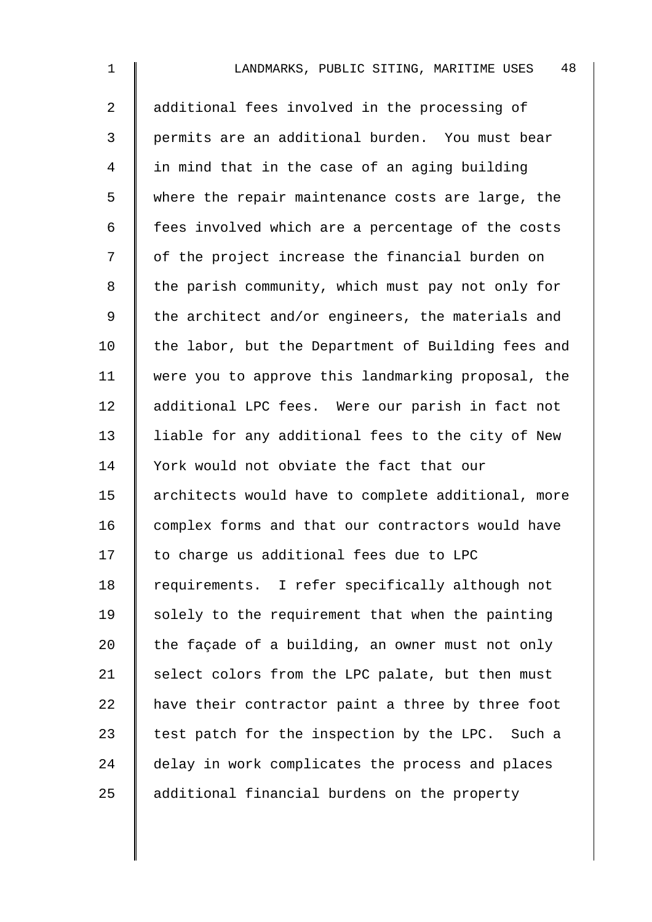| $\mathbf 1$ | 48<br>LANDMARKS, PUBLIC SITING, MARITIME USES      |
|-------------|----------------------------------------------------|
| 2           | additional fees involved in the processing of      |
| 3           | permits are an additional burden. You must bear    |
| 4           | in mind that in the case of an aging building      |
| 5           | where the repair maintenance costs are large, the  |
| 6           | fees involved which are a percentage of the costs  |
| 7           | of the project increase the financial burden on    |
| 8           | the parish community, which must pay not only for  |
| 9           | the architect and/or engineers, the materials and  |
| 10          | the labor, but the Department of Building fees and |
| 11          | were you to approve this landmarking proposal, the |
| 12          | additional LPC fees. Were our parish in fact not   |
| 13          | liable for any additional fees to the city of New  |
| 14          | York would not obviate the fact that our           |
| 15          | architects would have to complete additional, more |
| 16          | complex forms and that our contractors would have  |
| 17          | to charge us additional fees due to LPC            |
| 18          | requirements. I refer specifically although not    |
| 19          | solely to the requirement that when the painting   |
| 20          | the façade of a building, an owner must not only   |
| 21          | select colors from the LPC palate, but then must   |
| 22          | have their contractor paint a three by three foot  |
| 23          | test patch for the inspection by the LPC. Such a   |
| 24          | delay in work complicates the process and places   |
| 25          | additional financial burdens on the property       |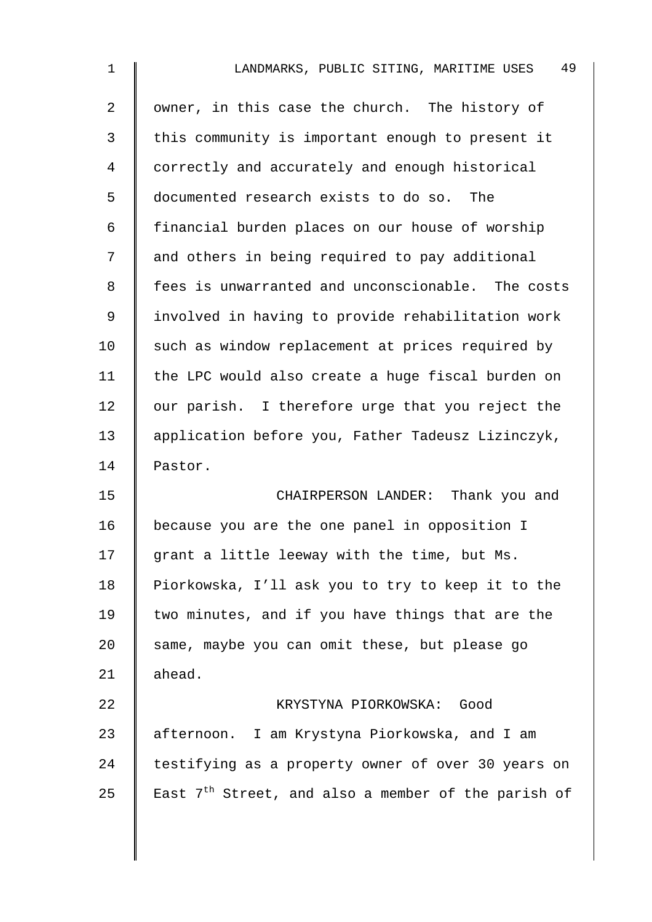| 1  | 49<br>LANDMARKS, PUBLIC SITING, MARITIME USES                   |
|----|-----------------------------------------------------------------|
| 2  | owner, in this case the church. The history of                  |
| 3  | this community is important enough to present it                |
| 4  | correctly and accurately and enough historical                  |
| 5  | documented research exists to do so. The                        |
| 6  | financial burden places on our house of worship                 |
| 7  | and others in being required to pay additional                  |
| 8  | fees is unwarranted and unconscionable. The costs               |
| 9  | involved in having to provide rehabilitation work               |
| 10 | such as window replacement at prices required by                |
| 11 | the LPC would also create a huge fiscal burden on               |
| 12 | our parish. I therefore urge that you reject the                |
| 13 | application before you, Father Tadeusz Lizinczyk,               |
| 14 | Pastor.                                                         |
| 15 | CHAIRPERSON LANDER: Thank you and                               |
| 16 | because you are the one panel in opposition I                   |
| 17 | grant a little leeway with the time, but Ms.                    |
| 18 | Piorkowska, I'll ask you to try to keep it to the               |
| 19 | two minutes, and if you have things that are the                |
| 20 | same, maybe you can omit these, but please go                   |
| 21 | ahead.                                                          |
| 22 | KRYSTYNA PIORKOWSKA:<br>Good                                    |
| 23 | afternoon. I am Krystyna Piorkowska, and I am                   |
| 24 | testifying as a property owner of over 30 years on              |
| 25 | East 7 <sup>th</sup> Street, and also a member of the parish of |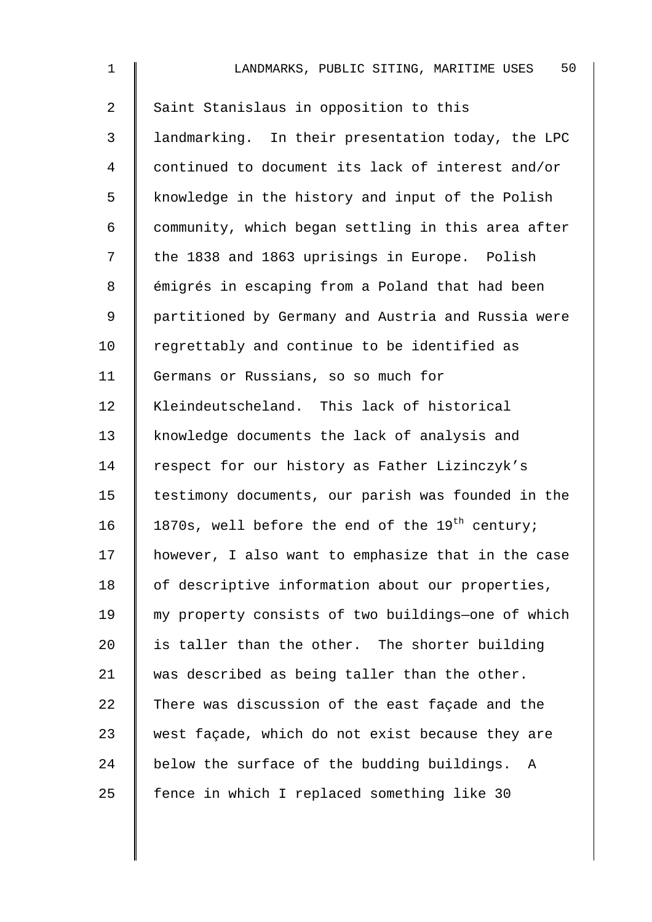| $\mathbf 1$    | 50<br>LANDMARKS, PUBLIC SITING, MARITIME USES               |
|----------------|-------------------------------------------------------------|
| $\overline{2}$ | Saint Stanislaus in opposition to this                      |
| 3              | landmarking. In their presentation today, the LPC           |
| 4              | continued to document its lack of interest and/or           |
| 5              | knowledge in the history and input of the Polish            |
| 6              | community, which began settling in this area after          |
| 7              | the 1838 and 1863 uprisings in Europe. Polish               |
| 8              | émigrés in escaping from a Poland that had been             |
| 9              | partitioned by Germany and Austria and Russia were          |
| 10             | regrettably and continue to be identified as                |
| 11             | Germans or Russians, so so much for                         |
| 12             | Kleindeutscheland. This lack of historical                  |
| 13             | knowledge documents the lack of analysis and                |
| 14             | respect for our history as Father Lizinczyk's               |
| 15             | testimony documents, our parish was founded in the          |
| 16             | 1870s, well before the end of the 19 <sup>th</sup> century; |
| 17             | however, I also want to emphasize that in the case          |
| 18             | of descriptive information about our properties,            |
| 19             | my property consists of two buildings-one of which          |
| 20             | is taller than the other. The shorter building              |
| 21             | was described as being taller than the other.               |
| 22             | There was discussion of the east façade and the             |
| 23             | west façade, which do not exist because they are            |
| 24             | below the surface of the budding buildings.<br>A            |
| 25             | fence in which I replaced something like 30                 |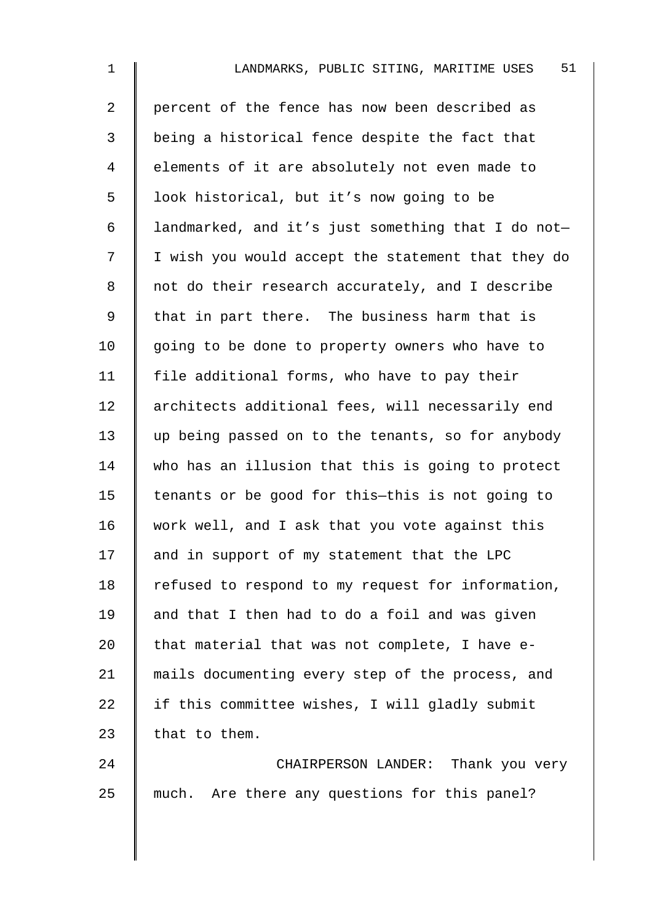| $\mathbf 1$ | 51<br>LANDMARKS, PUBLIC SITING, MARITIME USES      |
|-------------|----------------------------------------------------|
| 2           | percent of the fence has now been described as     |
| 3           | being a historical fence despite the fact that     |
| 4           | elements of it are absolutely not even made to     |
| 5           | look historical, but it's now going to be          |
| 6           | landmarked, and it's just something that I do not- |
| 7           | I wish you would accept the statement that they do |
| 8           | not do their research accurately, and I describe   |
| $\mathsf 9$ | that in part there. The business harm that is      |
| 10          | going to be done to property owners who have to    |
| 11          | file additional forms, who have to pay their       |
| 12          | architects additional fees, will necessarily end   |
| 13          | up being passed on to the tenants, so for anybody  |
| 14          | who has an illusion that this is going to protect  |
| 15          | tenants or be good for this-this is not going to   |
| 16          | work well, and I ask that you vote against this    |
| 17          | and in support of my statement that the LPC        |
| 18          | refused to respond to my request for information,  |
| 19          | and that I then had to do a foil and was given     |
| 20          | that material that was not complete, I have e-     |
| 21          | mails documenting every step of the process, and   |
| 22          | if this committee wishes, I will gladly submit     |
| 23          | that to them.                                      |
| 24          | CHAIRPERSON LANDER: Thank you very                 |
| 25          | much. Are there any questions for this panel?      |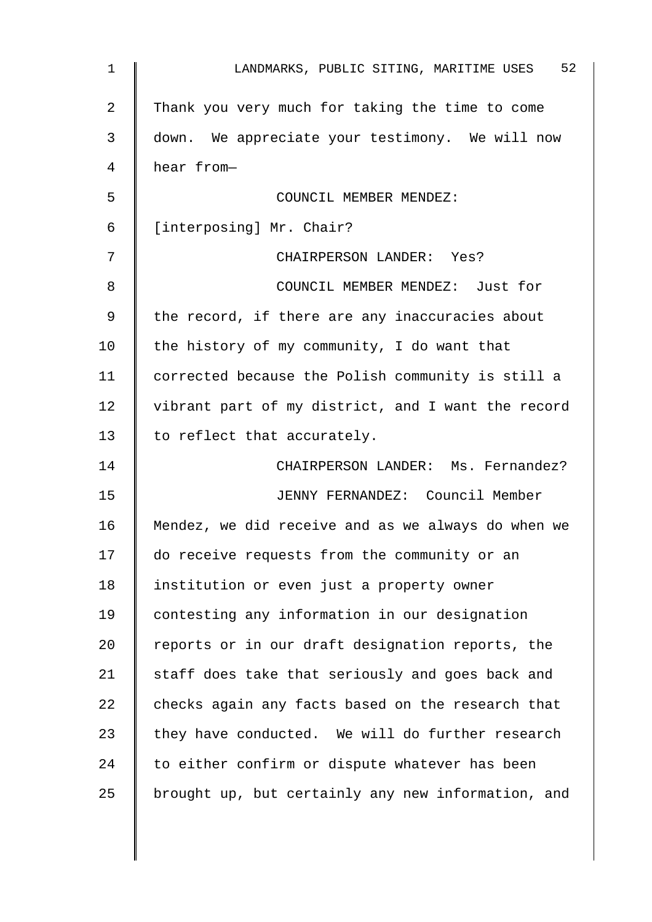| 1  | 52<br>LANDMARKS, PUBLIC SITING, MARITIME USES      |
|----|----------------------------------------------------|
| 2  | Thank you very much for taking the time to come    |
| 3  | down. We appreciate your testimony. We will now    |
| 4  | hear from-                                         |
| 5  | COUNCIL MEMBER MENDEZ:                             |
| 6  | [interposing] Mr. Chair?                           |
| 7  | CHAIRPERSON LANDER: Yes?                           |
| 8  | COUNCIL MEMBER MENDEZ: Just for                    |
| 9  | the record, if there are any inaccuracies about    |
| 10 | the history of my community, I do want that        |
| 11 | corrected because the Polish community is still a  |
| 12 | vibrant part of my district, and I want the record |
| 13 | to reflect that accurately.                        |
| 14 | CHAIRPERSON LANDER: Ms. Fernandez?                 |
| 15 | JENNY FERNANDEZ: Council Member                    |
| 16 | Mendez, we did receive and as we always do when we |
| 17 | do receive requests from the community or an       |
| 18 | institution or even just a property owner          |
| 19 | contesting any information in our designation      |
| 20 | reports or in our draft designation reports, the   |
| 21 | staff does take that seriously and goes back and   |
| 22 | checks again any facts based on the research that  |
| 23 | they have conducted. We will do further research   |
| 24 | to either confirm or dispute whatever has been     |
| 25 | brought up, but certainly any new information, and |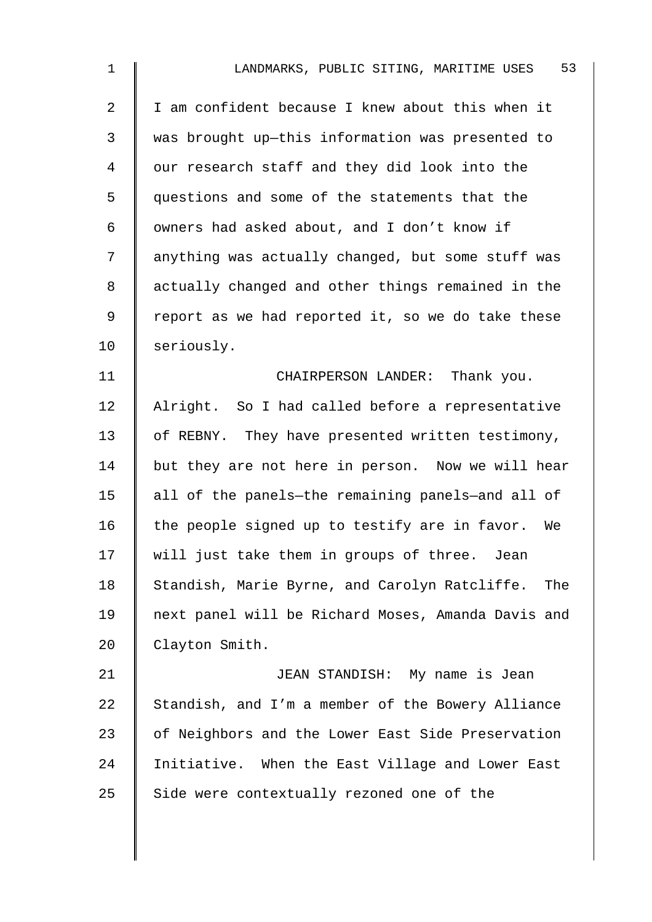| $\mathbf 1$    | 53<br>LANDMARKS, PUBLIC SITING, MARITIME USES        |
|----------------|------------------------------------------------------|
| $\overline{2}$ | I am confident because I knew about this when it     |
| 3              | was brought up-this information was presented to     |
| $\overline{4}$ | our research staff and they did look into the        |
| 5              | questions and some of the statements that the        |
| 6              | owners had asked about, and I don't know if          |
| 7              | anything was actually changed, but some stuff was    |
| 8              | actually changed and other things remained in the    |
| 9              | report as we had reported it, so we do take these    |
| 10             | seriously.                                           |
| 11             | CHAIRPERSON LANDER: Thank you.                       |
| 12             | Alright. So I had called before a representative     |
| 13             | of REBNY. They have presented written testimony,     |
| 14             | but they are not here in person. Now we will hear    |
| 15             | all of the panels-the remaining panels-and all of    |
| 16             | the people signed up to testify are in favor. We     |
| 17             | will just take them in groups of three. Jean         |
| 18             | Standish, Marie Byrne, and Carolyn Ratcliffe.<br>The |
| 19             | next panel will be Richard Moses, Amanda Davis and   |
| 20             | Clayton Smith.                                       |
| 21             | JEAN STANDISH: My name is Jean                       |
| 22             | Standish, and I'm a member of the Bowery Alliance    |
| 23             | of Neighbors and the Lower East Side Preservation    |
| 24             | Initiative. When the East Village and Lower East     |
| 25             | Side were contextually rezoned one of the            |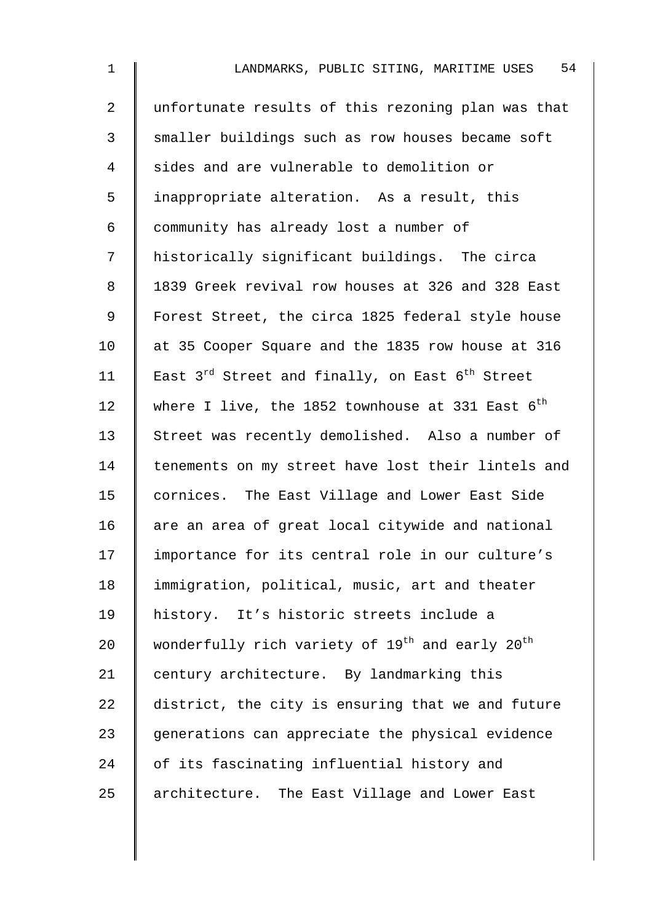| $\mathbf 1$    | 54<br>LANDMARKS, PUBLIC SITING, MARITIME USES                           |
|----------------|-------------------------------------------------------------------------|
| $\overline{2}$ | unfortunate results of this rezoning plan was that                      |
| 3              | smaller buildings such as row houses became soft                        |
| 4              | sides and are vulnerable to demolition or                               |
| 5              | inappropriate alteration. As a result, this                             |
| 6              | community has already lost a number of                                  |
| 7              | historically significant buildings. The circa                           |
| 8              | 1839 Greek revival row houses at 326 and 328 East                       |
| 9              | Forest Street, the circa 1825 federal style house                       |
| 10             | at 35 Cooper Square and the 1835 row house at 316                       |
| 11             | East $3^{rd}$ Street and finally, on East $6^{th}$ Street               |
| 12             | where I live, the 1852 townhouse at 331 East $6^{th}$                   |
| 13             | Street was recently demolished. Also a number of                        |
| 14             | tenements on my street have lost their lintels and                      |
| 15             | cornices. The East Village and Lower East Side                          |
| 16             | are an area of great local citywide and national                        |
| 17             | importance for its central role in our culture's                        |
| 18             | immigration, political, music, art and theater                          |
| 19             | history. It's historic streets include a                                |
| 20             | wonderfully rich variety of 19 <sup>th</sup> and early 20 <sup>th</sup> |
| 21             | century architecture. By landmarking this                               |
| 22             | district, the city is ensuring that we and future                       |
| 23             | generations can appreciate the physical evidence                        |
| 24             | of its fascinating influential history and                              |
| 25             | architecture. The East Village and Lower East                           |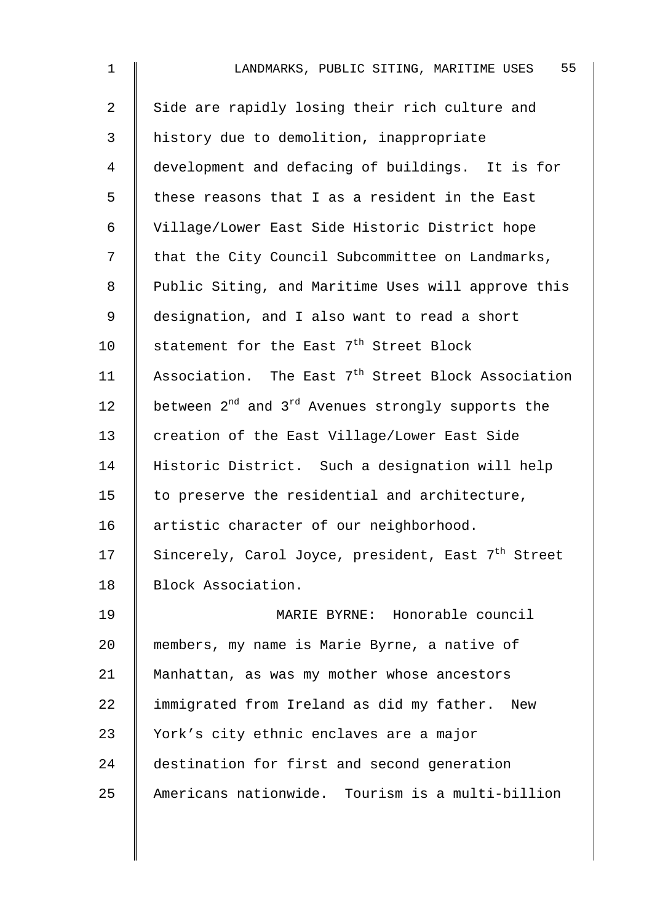| 1  | 55<br>LANDMARKS, PUBLIC SITING, MARITIME USES                             |
|----|---------------------------------------------------------------------------|
| 2  | Side are rapidly losing their rich culture and                            |
| 3  | history due to demolition, inappropriate                                  |
| 4  | development and defacing of buildings. It is for                          |
| 5  | these reasons that I as a resident in the East                            |
| 6  | Village/Lower East Side Historic District hope                            |
| 7  | that the City Council Subcommittee on Landmarks,                          |
| 8  | Public Siting, and Maritime Uses will approve this                        |
| 9  | designation, and I also want to read a short                              |
| 10 | statement for the East 7 <sup>th</sup> Street Block                       |
| 11 | Association. The East 7 <sup>th</sup> Street Block Association            |
| 12 | between 2 <sup>nd</sup> and 3 <sup>rd</sup> Avenues strongly supports the |
| 13 | creation of the East Village/Lower East Side                              |
| 14 | Historic District. Such a designation will help                           |
| 15 | to preserve the residential and architecture,                             |
| 16 | artistic character of our neighborhood.                                   |
| 17 | Sincerely, Carol Joyce, president, East 7 <sup>th</sup> Street            |
| 18 | Block Association.                                                        |
| 19 | MARIE BYRNE: Honorable council                                            |
| 20 | members, my name is Marie Byrne, a native of                              |
| 21 | Manhattan, as was my mother whose ancestors                               |
| 22 | immigrated from Ireland as did my father.<br>New                          |
| 23 | York's city ethnic enclaves are a major                                   |
| 24 | destination for first and second generation                               |
| 25 | Americans nationwide. Tourism is a multi-billion                          |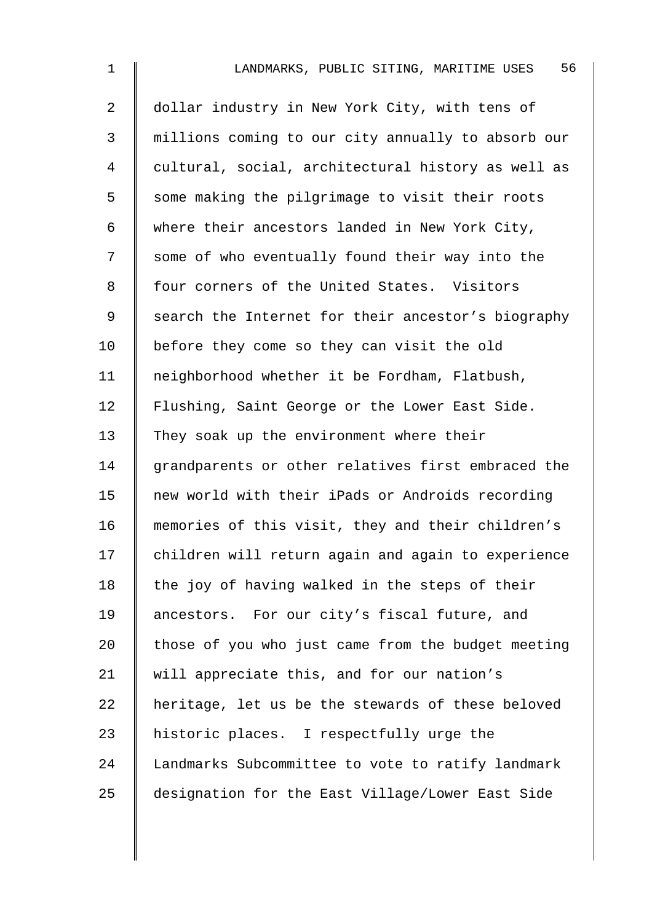| 1              | 56<br>LANDMARKS, PUBLIC SITING, MARITIME USES      |
|----------------|----------------------------------------------------|
| $\overline{a}$ | dollar industry in New York City, with tens of     |
| 3              | millions coming to our city annually to absorb our |
| 4              | cultural, social, architectural history as well as |
| 5              | some making the pilgrimage to visit their roots    |
| 6              | where their ancestors landed in New York City,     |
| 7              | some of who eventually found their way into the    |
| 8              | four corners of the United States. Visitors        |
| 9              | search the Internet for their ancestor's biography |
| 10             | before they come so they can visit the old         |
| 11             | neighborhood whether it be Fordham, Flatbush,      |
| 12             | Flushing, Saint George or the Lower East Side.     |
| 13             | They soak up the environment where their           |
| 14             | grandparents or other relatives first embraced the |
| 15             | new world with their iPads or Androids recording   |
| 16             | memories of this visit, they and their children's  |
| 17             | children will return again and again to experience |
| 18             | the joy of having walked in the steps of their     |
| 19             | ancestors. For our city's fiscal future, and       |
| 20             | those of you who just came from the budget meeting |
| 21             | will appreciate this, and for our nation's         |
| 22             | heritage, let us be the stewards of these beloved  |
| 23             | historic places. I respectfully urge the           |
| 24             | Landmarks Subcommittee to vote to ratify landmark  |
| 25             | designation for the East Village/Lower East Side   |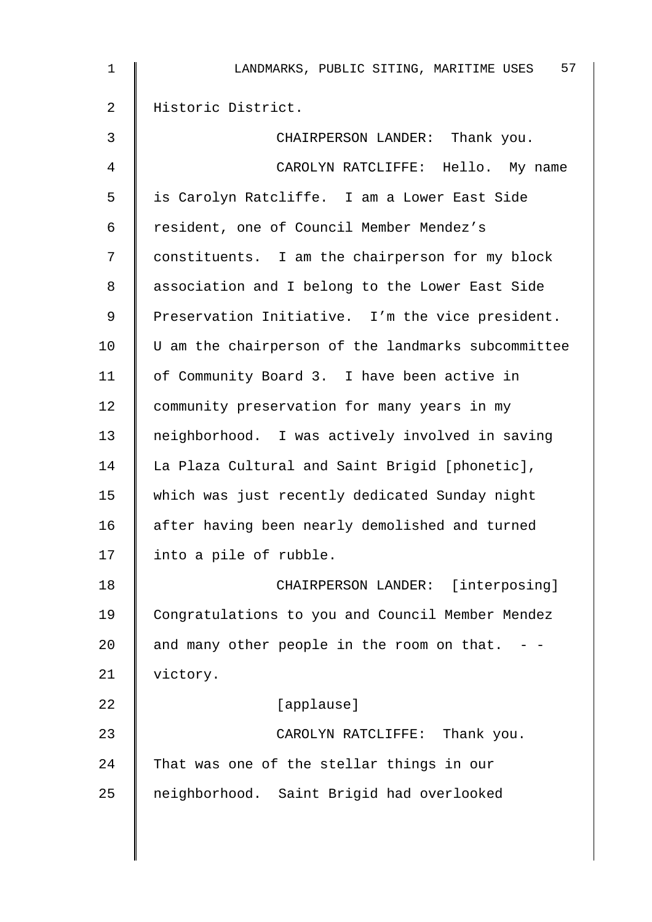| 1  | 57<br>LANDMARKS, PUBLIC SITING, MARITIME USES      |
|----|----------------------------------------------------|
| 2  | Historic District.                                 |
| 3  | CHAIRPERSON LANDER: Thank you.                     |
| 4  | CAROLYN RATCLIFFE: Hello. My name                  |
| 5  | is Carolyn Ratcliffe. I am a Lower East Side       |
| 6  | resident, one of Council Member Mendez's           |
| 7  | constituents. I am the chairperson for my block    |
| 8  | association and I belong to the Lower East Side    |
| 9  | Preservation Initiative. I'm the vice president.   |
| 10 | U am the chairperson of the landmarks subcommittee |
| 11 | of Community Board 3. I have been active in        |
| 12 | community preservation for many years in my        |
| 13 | neighborhood. I was actively involved in saving    |
| 14 | La Plaza Cultural and Saint Brigid [phonetic],     |
| 15 | which was just recently dedicated Sunday night     |
| 16 | after having been nearly demolished and turned     |
| 17 | into a pile of rubble.                             |
| 18 | CHAIRPERSON LANDER: [interposing]                  |
| 19 | Congratulations to you and Council Member Mendez   |
| 20 | and many other people in the room on that.         |
| 21 | victory.                                           |
| 22 | [applause]                                         |
| 23 | CAROLYN RATCLIFFE: Thank you.                      |
| 24 | That was one of the stellar things in our          |
| 25 | neighborhood. Saint Brigid had overlooked          |
|    |                                                    |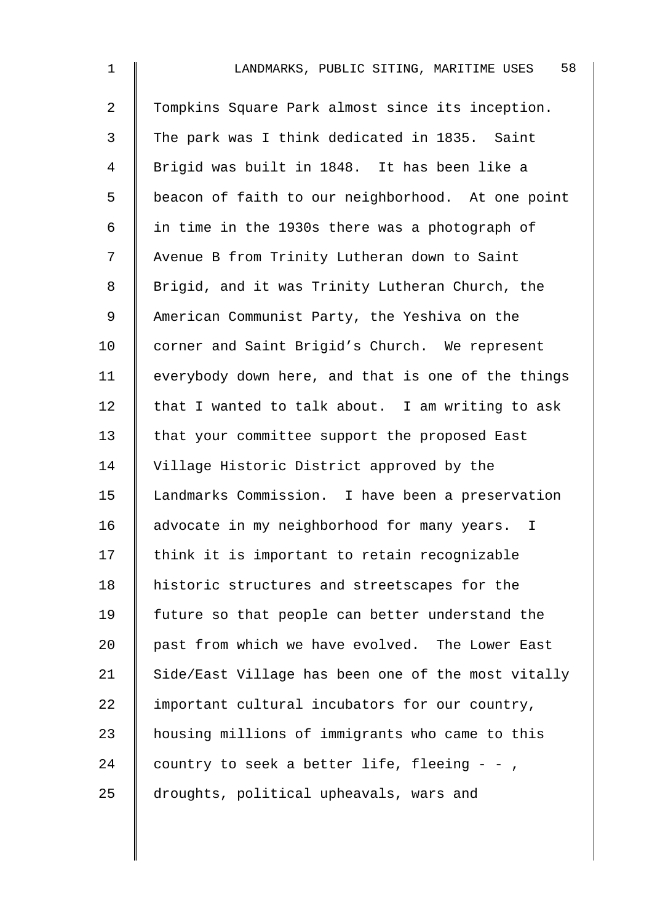| $\mathbf{1}$   | 58<br>LANDMARKS, PUBLIC SITING, MARITIME USES      |
|----------------|----------------------------------------------------|
| $\overline{2}$ | Tompkins Square Park almost since its inception.   |
| 3              | The park was I think dedicated in 1835. Saint      |
| 4              | Brigid was built in 1848. It has been like a       |
| 5              | beacon of faith to our neighborhood. At one point  |
| 6              | in time in the 1930s there was a photograph of     |
| 7              | Avenue B from Trinity Lutheran down to Saint       |
| 8              | Brigid, and it was Trinity Lutheran Church, the    |
| 9              | American Communist Party, the Yeshiva on the       |
| 10             | corner and Saint Brigid's Church. We represent     |
| 11             | everybody down here, and that is one of the things |
| 12             | that I wanted to talk about. I am writing to ask   |
| 13             | that your committee support the proposed East      |
| 14             | Village Historic District approved by the          |
| 15             | Landmarks Commission. I have been a preservation   |
| 16             | advocate in my neighborhood for many years. I      |
| 17             | think it is important to retain recognizable       |
| 18             | historic structures and streetscapes for the       |
| 19             | future so that people can better understand the    |
| 20             | past from which we have evolved. The Lower East    |
| 21             | Side/East Village has been one of the most vitally |
| 22             | important cultural incubators for our country,     |
| 23             | housing millions of immigrants who came to this    |
| 24             | country to seek a better life, fleeing - -,        |
| 25             | droughts, political upheavals, wars and            |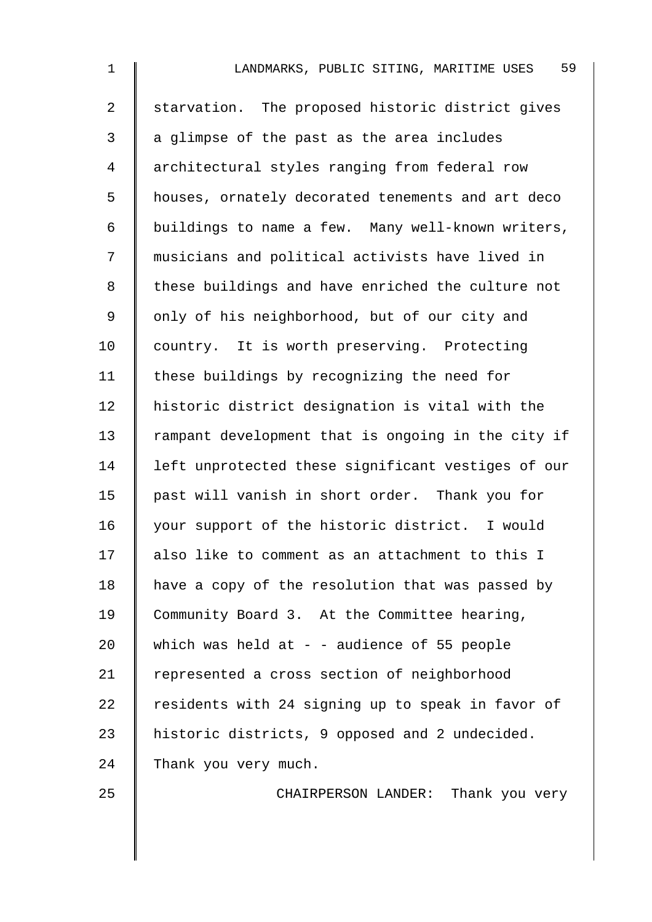| $\mathbf 1$    | 59<br>LANDMARKS, PUBLIC SITING, MARITIME USES      |
|----------------|----------------------------------------------------|
| $\overline{2}$ | starvation. The proposed historic district gives   |
| 3              | a glimpse of the past as the area includes         |
| 4              | architectural styles ranging from federal row      |
| 5              | houses, ornately decorated tenements and art deco  |
| 6              | buildings to name a few. Many well-known writers,  |
| 7              | musicians and political activists have lived in    |
| 8              | these buildings and have enriched the culture not  |
| 9              | only of his neighborhood, but of our city and      |
| 10             | country. It is worth preserving. Protecting        |
| 11             | these buildings by recognizing the need for        |
| 12             | historic district designation is vital with the    |
| 13             | rampant development that is ongoing in the city if |
| 14             | left unprotected these significant vestiges of our |
| 15             | past will vanish in short order. Thank you for     |
| 16             | your support of the historic district. I would     |
| 17             | also like to comment as an attachment to this I    |
| 18             | have a copy of the resolution that was passed by   |
| 19             | Community Board 3. At the Committee hearing,       |
| 20             | which was held at $-$ - audience of 55 people      |
| 21             | represented a cross section of neighborhood        |
| 22             | residents with 24 signing up to speak in favor of  |
| 23             | historic districts, 9 opposed and 2 undecided.     |
| 24             | Thank you very much.                               |
|                |                                                    |

25 CHAIRPERSON LANDER: Thank you very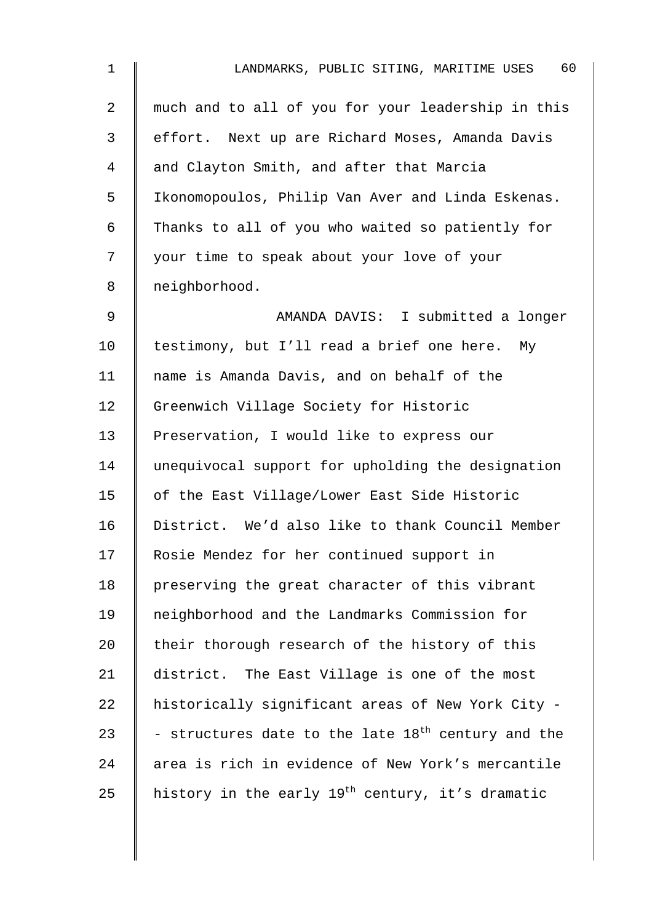| $\mathbf 1$    | 60<br>LANDMARKS, PUBLIC SITING, MARITIME USES                  |
|----------------|----------------------------------------------------------------|
| $\overline{a}$ | much and to all of you for your leadership in this             |
| 3              | effort. Next up are Richard Moses, Amanda Davis                |
| 4              | and Clayton Smith, and after that Marcia                       |
| 5              | Ikonomopoulos, Philip Van Aver and Linda Eskenas.              |
| 6              | Thanks to all of you who waited so patiently for               |
| 7              | your time to speak about your love of your                     |
| 8              | neighborhood.                                                  |
| 9              | AMANDA DAVIS: I submitted a longer                             |
| 10             | testimony, but I'll read a brief one here. My                  |
| 11             | name is Amanda Davis, and on behalf of the                     |
| 12             | Greenwich Village Society for Historic                         |
| 13             | Preservation, I would like to express our                      |
| 14             | unequivocal support for upholding the designation              |
| 15             | of the East Village/Lower East Side Historic                   |
| 16             | District. We'd also like to thank Council Member               |
| 17             | Rosie Mendez for her continued support in                      |
| 18             | preserving the great character of this vibrant                 |
| 19             | neighborhood and the Landmarks Commission for                  |
| 20             | their thorough research of the history of this                 |
| 21             | district. The East Village is one of the most                  |
| 22             | historically significant areas of New York City -              |
| 23             | - structures date to the late 18 <sup>th</sup> century and the |
| 24             | area is rich in evidence of New York's mercantile              |
| 25             | history in the early 19 <sup>th</sup> century, it's dramatic   |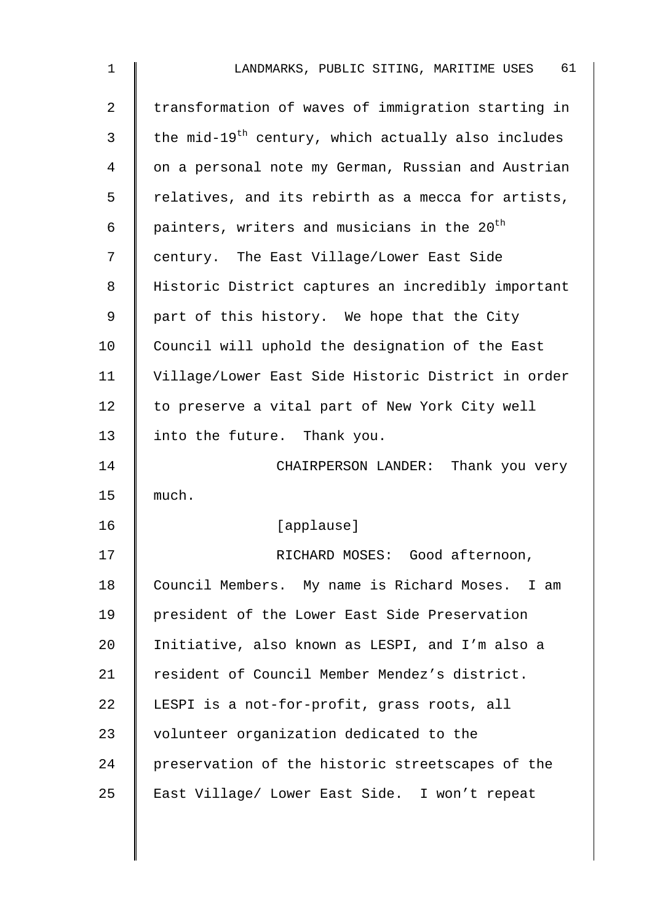| $\mathbf 1$    | 61<br>LANDMARKS, PUBLIC SITING, MARITIME USES                  |
|----------------|----------------------------------------------------------------|
| $\overline{a}$ | transformation of waves of immigration starting in             |
| 3              | the mid-19 <sup>th</sup> century, which actually also includes |
| 4              | on a personal note my German, Russian and Austrian             |
| 5              | relatives, and its rebirth as a mecca for artists,             |
| 6              | painters, writers and musicians in the 20 <sup>th</sup>        |
| 7              | century. The East Village/Lower East Side                      |
| 8              | Historic District captures an incredibly important             |
| 9              | part of this history. We hope that the City                    |
| 10             | Council will uphold the designation of the East                |
| 11             | Village/Lower East Side Historic District in order             |
| 12             | to preserve a vital part of New York City well                 |
| 13             | into the future. Thank you.                                    |
| 14             | CHAIRPERSON LANDER: Thank you very                             |
| 15             | much.                                                          |
| 16             | [applause]                                                     |
| 17             | RICHARD MOSES: Good afternoon,                                 |
| 18             | Council Members. My name is Richard Moses. I am                |
| 19             | president of the Lower East Side Preservation                  |
| 20             | Initiative, also known as LESPI, and I'm also a                |
| 21             | resident of Council Member Mendez's district.                  |
| 22             | LESPI is a not-for-profit, grass roots, all                    |
| 23             | volunteer organization dedicated to the                        |
| 24             | preservation of the historic streetscapes of the               |
| 25             | East Village/ Lower East Side. I won't repeat                  |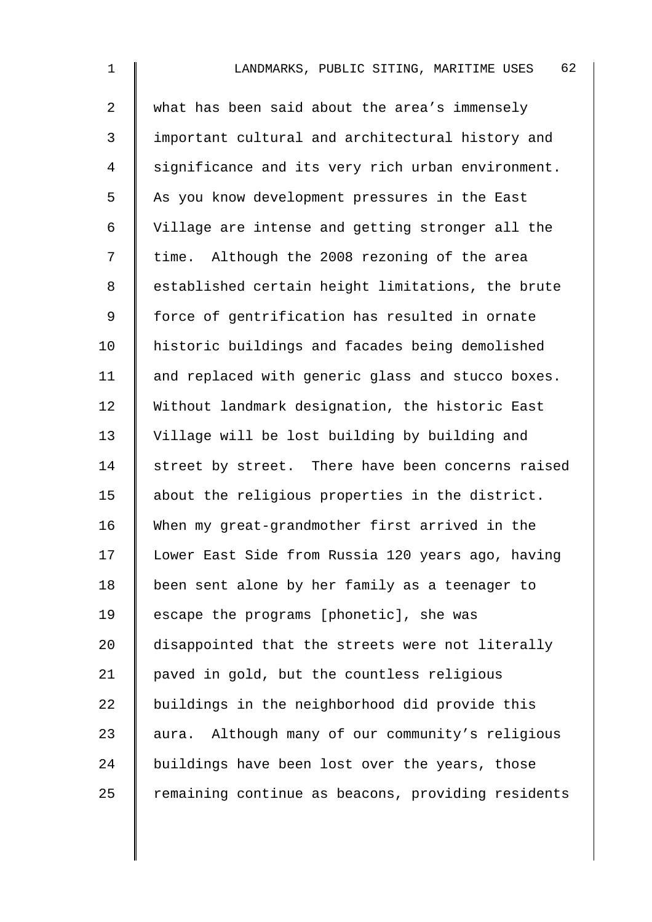| $\mathbf 1$    | 62<br>LANDMARKS, PUBLIC SITING, MARITIME USES       |
|----------------|-----------------------------------------------------|
| $\overline{a}$ | what has been said about the area's immensely       |
| $\mathfrak{Z}$ | important cultural and architectural history and    |
| $\overline{4}$ | significance and its very rich urban environment.   |
| 5              | As you know development pressures in the East       |
| 6              | Village are intense and getting stronger all the    |
| 7              | time. Although the 2008 rezoning of the area        |
| 8              | established certain height limitations, the brute   |
| $\mathsf 9$    | force of gentrification has resulted in ornate      |
| 10             | historic buildings and facades being demolished     |
| 11             | and replaced with generic glass and stucco boxes.   |
| 12             | Without landmark designation, the historic East     |
| 13             | Village will be lost building by building and       |
| 14             | street by street. There have been concerns raised   |
| 15             | about the religious properties in the district.     |
| 16             | When my great-grandmother first arrived in the      |
| 17             | Lower East Side from Russia 120 years ago, having   |
| 18             | been sent alone by her family as a teenager to      |
| 19             | escape the programs [phonetic], she was             |
| 20             | disappointed that the streets were not literally    |
| 21             | paved in gold, but the countless religious          |
| 22             | buildings in the neighborhood did provide this      |
| 23             | Although many of our community's religious<br>aura. |
| 24             | buildings have been lost over the years, those      |
| 25             | remaining continue as beacons, providing residents  |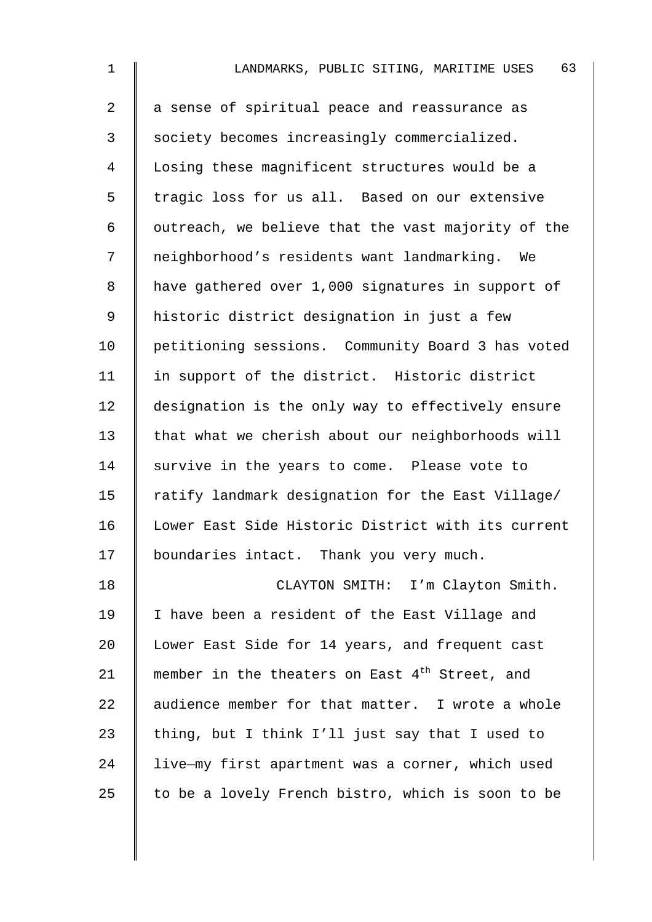| $\mathbf 1$    | 63<br>LANDMARKS, PUBLIC SITING, MARITIME USES              |
|----------------|------------------------------------------------------------|
| $\overline{a}$ | a sense of spiritual peace and reassurance as              |
| 3              | society becomes increasingly commercialized.               |
| 4              | Losing these magnificent structures would be a             |
| 5              | tragic loss for us all. Based on our extensive             |
| 6              | outreach, we believe that the vast majority of the         |
| 7              | neighborhood's residents want landmarking. We              |
| 8              | have gathered over 1,000 signatures in support of          |
| $\mathsf 9$    | historic district designation in just a few                |
| 10             | petitioning sessions. Community Board 3 has voted          |
| 11             | in support of the district. Historic district              |
| 12             | designation is the only way to effectively ensure          |
| 13             | that what we cherish about our neighborhoods will          |
| 14             | survive in the years to come. Please vote to               |
| 15             | ratify landmark designation for the East Village/          |
| 16             | Lower East Side Historic District with its current         |
| 17             | boundaries intact. Thank you very much.                    |
| 18             | CLAYTON SMITH: I'm Clayton Smith.                          |
| 19             | I have been a resident of the East Village and             |
| 20             | Lower East Side for 14 years, and frequent cast            |
| 21             | member in the theaters on East 4 <sup>th</sup> Street, and |
| 22             | audience member for that matter. I wrote a whole           |
| 23             | thing, but I think I'll just say that I used to            |
| 24             | live-my first apartment was a corner, which used           |
| 25             | to be a lovely French bistro, which is soon to be          |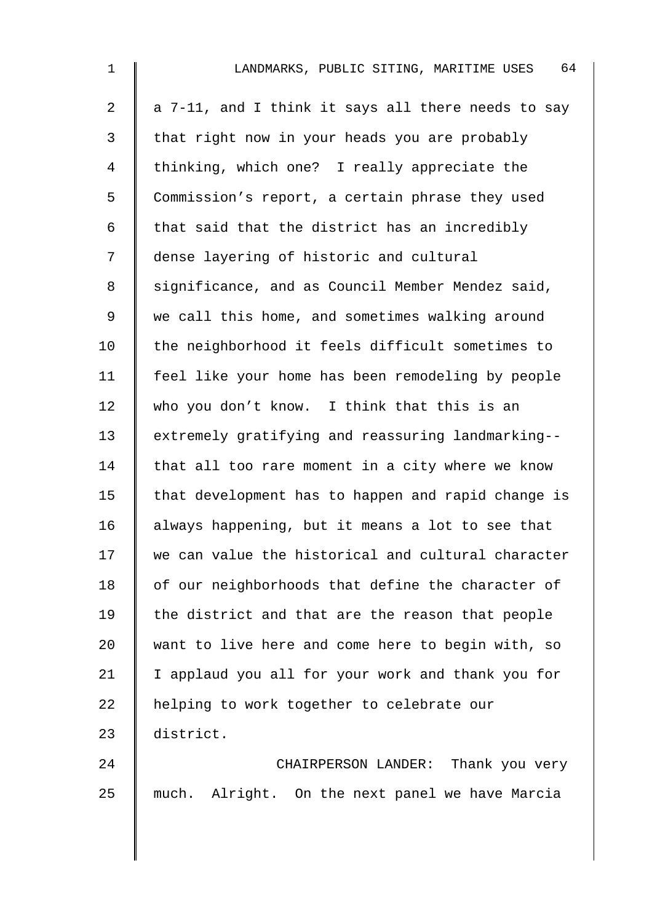| $\mathbf 1$    | 64<br>LANDMARKS, PUBLIC SITING, MARITIME USES      |
|----------------|----------------------------------------------------|
| 2              | a 7-11, and I think it says all there needs to say |
| 3              | that right now in your heads you are probably      |
| $\overline{4}$ | thinking, which one? I really appreciate the       |
| 5              | Commission's report, a certain phrase they used    |
| 6              | that said that the district has an incredibly      |
| 7              | dense layering of historic and cultural            |
| 8              | significance, and as Council Member Mendez said,   |
| 9              | we call this home, and sometimes walking around    |
| 10             | the neighborhood it feels difficult sometimes to   |
| 11             | feel like your home has been remodeling by people  |
| 12             | who you don't know. I think that this is an        |
| 13             | extremely gratifying and reassuring landmarking--  |
| 14             | that all too rare moment in a city where we know   |
| 15             | that development has to happen and rapid change is |
| 16             | always happening, but it means a lot to see that   |
| 17             | we can value the historical and cultural character |
| 18             | of our neighborhoods that define the character of  |
| 19             | the district and that are the reason that people   |
| 20             | want to live here and come here to begin with, so  |
| 21             | I applaud you all for your work and thank you for  |
| 22             | helping to work together to celebrate our          |
| 23             | district.                                          |
| 24             | CHAIRPERSON LANDER: Thank you very                 |
| 25             | Alright. On the next panel we have Marcia<br>much. |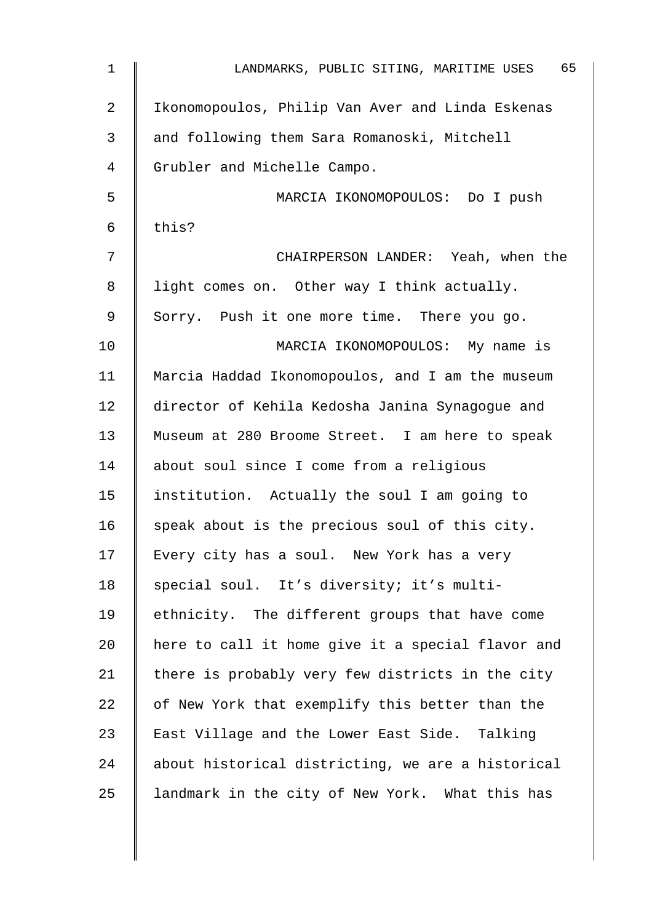| $\mathbf 1$    | 65<br>LANDMARKS, PUBLIC SITING, MARITIME USES     |
|----------------|---------------------------------------------------|
| $\overline{2}$ | Ikonomopoulos, Philip Van Aver and Linda Eskenas  |
| 3              | and following them Sara Romanoski, Mitchell       |
| 4              | Grubler and Michelle Campo.                       |
| 5              | MARCIA IKONOMOPOULOS: Do I push                   |
| 6              | this?                                             |
| 7              | CHAIRPERSON LANDER: Yeah, when the                |
| 8              | light comes on. Other way I think actually.       |
| 9              | Sorry. Push it one more time. There you go.       |
| 10             | MARCIA IKONOMOPOULOS: My name is                  |
| 11             | Marcia Haddad Ikonomopoulos, and I am the museum  |
| 12             | director of Kehila Kedosha Janina Synagogue and   |
| 13             | Museum at 280 Broome Street. I am here to speak   |
| 14             | about soul since I come from a religious          |
| 15             | institution. Actually the soul I am going to      |
| 16             | speak about is the precious soul of this city.    |
| 17             | Every city has a soul. New York has a very        |
| 18             | special soul. It's diversity; it's multi-         |
| 19             | ethnicity. The different groups that have come    |
| 20             | here to call it home give it a special flavor and |
| 21             | there is probably very few districts in the city  |
| 22             | of New York that exemplify this better than the   |
| 23             | East Village and the Lower East Side. Talking     |
| 24             | about historical districting, we are a historical |
| 25             | landmark in the city of New York. What this has   |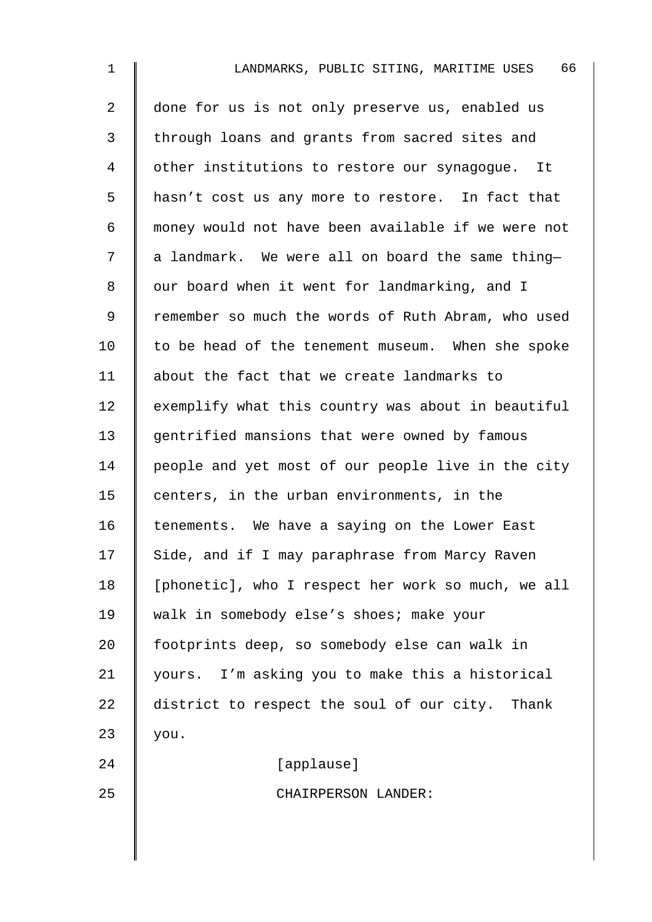| $\mathbf 1$ | 66<br>LANDMARKS, PUBLIC SITING, MARITIME USES      |
|-------------|----------------------------------------------------|
| 2           | done for us is not only preserve us, enabled us    |
| 3           | through loans and grants from sacred sites and     |
| 4           | other institutions to restore our synagogue. It    |
| 5           | hasn't cost us any more to restore. In fact that   |
| 6           | money would not have been available if we were not |
| 7           | a landmark. We were all on board the same thing-   |
| 8           | our board when it went for landmarking, and I      |
| 9           | remember so much the words of Ruth Abram, who used |
| 10          | to be head of the tenement museum. When she spoke  |
| 11          | about the fact that we create landmarks to         |
| 12          | exemplify what this country was about in beautiful |
| 13          | gentrified mansions that were owned by famous      |
| 14          | people and yet most of our people live in the city |
| 15          | centers, in the urban environments, in the         |
| 16          | tenements. We have a saying on the Lower East      |
| 17          | Side, and if I may paraphrase from Marcy Raven     |
| 18          | [phonetic], who I respect her work so much, we all |
| 19          | walk in somebody else's shoes; make your           |
| 20          | footprints deep, so somebody else can walk in      |
| 21          | yours. I'm asking you to make this a historical    |
| 22          | district to respect the soul of our city. Thank    |
| 23          | you.                                               |
| 24          | [applause]                                         |
| 25          | CHAIRPERSON LANDER:                                |
|             |                                                    |
|             |                                                    |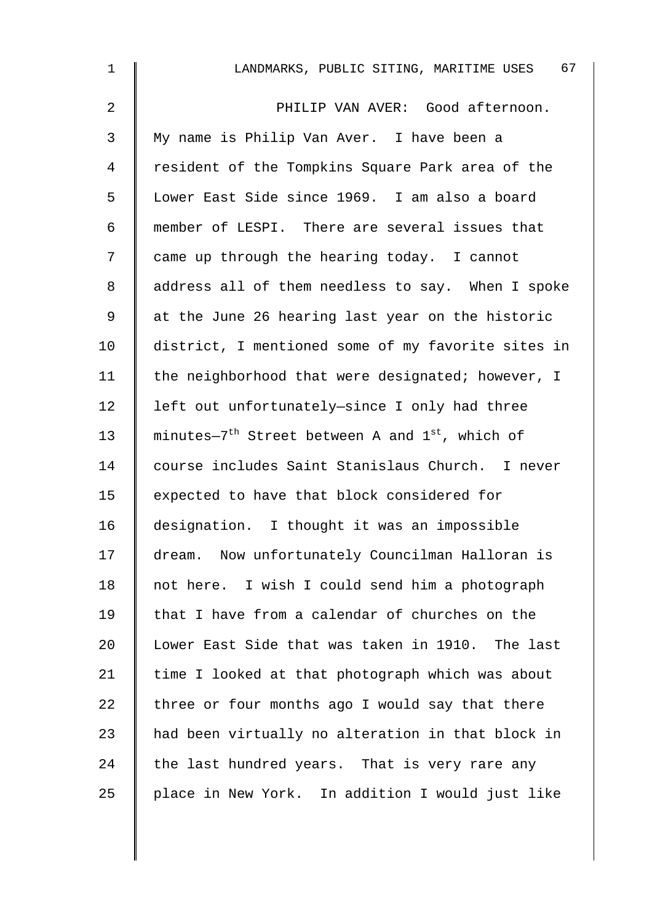| $\mathbf 1$    | 67<br>LANDMARKS, PUBLIC SITING, MARITIME USES                           |
|----------------|-------------------------------------------------------------------------|
| $\overline{a}$ | PHILIP VAN AVER: Good afternoon.                                        |
| 3              | My name is Philip Van Aver. I have been a                               |
| 4              | resident of the Tompkins Square Park area of the                        |
| 5              | Lower East Side since 1969. I am also a board                           |
| 6              | member of LESPI. There are several issues that                          |
| 7              | came up through the hearing today. I cannot                             |
| 8              | address all of them needless to say. When I spoke                       |
| 9              | at the June 26 hearing last year on the historic                        |
| 10             | district, I mentioned some of my favorite sites in                      |
| 11             | the neighborhood that were designated; however, I                       |
| 12             | left out unfortunately-since I only had three                           |
| 13             | minutes-7 <sup>th</sup> Street between A and 1 <sup>st</sup> , which of |
| 14             | course includes Saint Stanislaus Church. I never                        |
| 15             | expected to have that block considered for                              |
| 16             | designation. I thought it was an impossible                             |
| 17             | dream. Now unfortunately Councilman Halloran is                         |
| 18             | not here. I wish I could send him a photograph                          |
| 19             | that I have from a calendar of churches on the                          |
| 20             | Lower East Side that was taken in 1910. The last                        |
| 21             | time I looked at that photograph which was about                        |
| 22             | three or four months ago I would say that there                         |
| 23             | had been virtually no alteration in that block in                       |
| 24             | the last hundred years. That is very rare any                           |
| 25             | place in New York. In addition I would just like                        |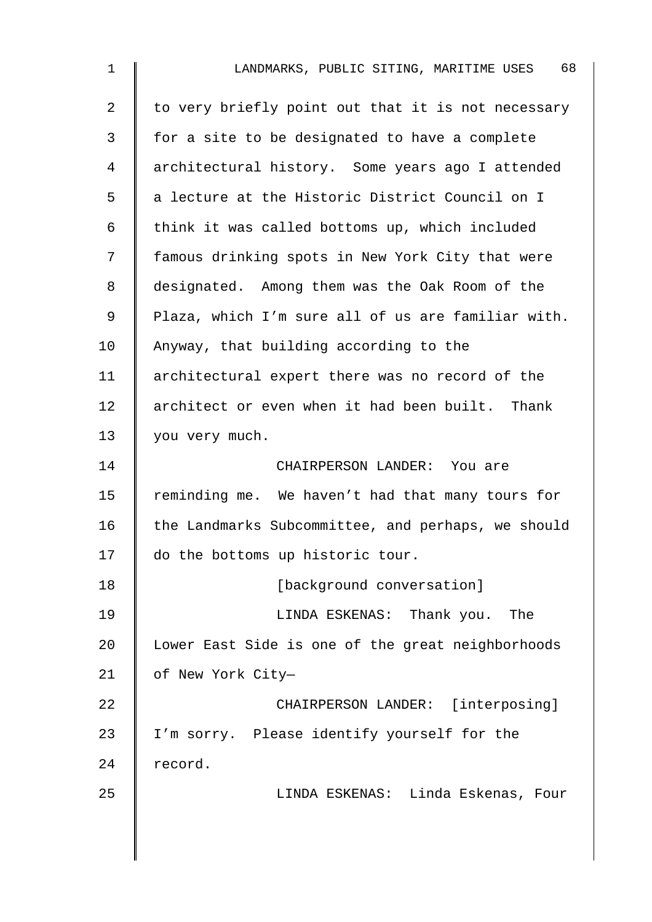| $\mathbf 1$    | 68<br>LANDMARKS, PUBLIC SITING, MARITIME USES      |
|----------------|----------------------------------------------------|
| $\overline{a}$ | to very briefly point out that it is not necessary |
| $\mathfrak{Z}$ | for a site to be designated to have a complete     |
| 4              | architectural history. Some years ago I attended   |
| 5              | a lecture at the Historic District Council on I    |
| 6              | think it was called bottoms up, which included     |
| 7              | famous drinking spots in New York City that were   |
| 8              | designated. Among them was the Oak Room of the     |
| 9              | Plaza, which I'm sure all of us are familiar with. |
| 10             | Anyway, that building according to the             |
| 11             | architectural expert there was no record of the    |
| 12             | architect or even when it had been built. Thank    |
| 13             | you very much.                                     |
| 14             | CHAIRPERSON LANDER: You are                        |
| 15             | reminding me. We haven't had that many tours for   |
| 16             | the Landmarks Subcommittee, and perhaps, we should |
| 17             | do the bottoms up historic tour.                   |
| 18             | [background conversation]                          |
| 19             | LINDA ESKENAS: Thank you.<br>The                   |
| 20             | Lower East Side is one of the great neighborhoods  |
| 21             | of New York City-                                  |
| 22             | CHAIRPERSON LANDER: [interposing]                  |
| 23             | I'm sorry. Please identify yourself for the        |
| 24             | record.                                            |
| 25             | LINDA ESKENAS: Linda Eskenas, Four                 |
|                |                                                    |
|                |                                                    |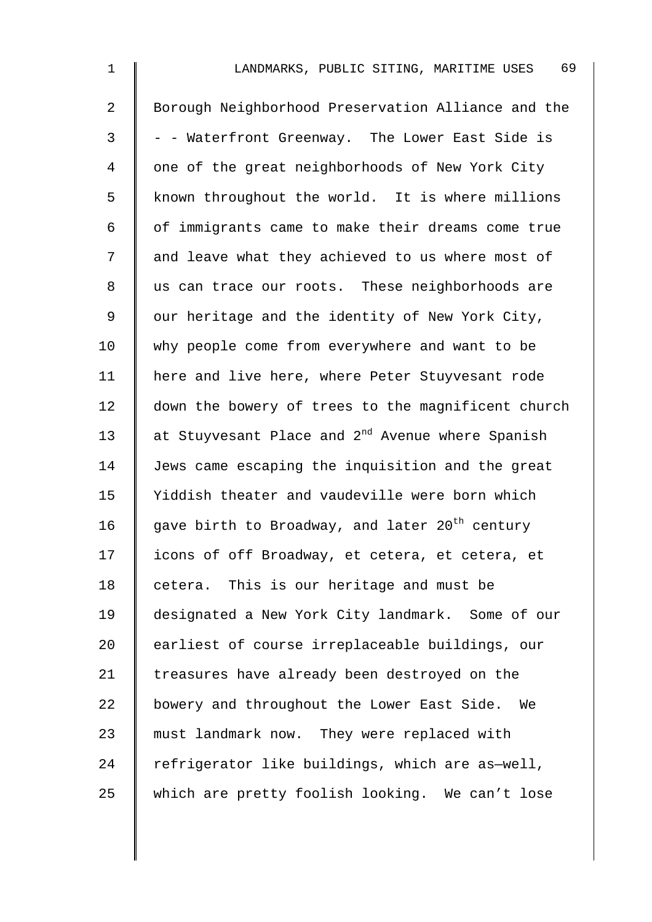| $\mathbf 1$    | 69<br>LANDMARKS, PUBLIC SITING, MARITIME USES                |
|----------------|--------------------------------------------------------------|
| $\overline{a}$ | Borough Neighborhood Preservation Alliance and the           |
| $\mathfrak{Z}$ | - - Waterfront Greenway. The Lower East Side is              |
| 4              | one of the great neighborhoods of New York City              |
| 5              | known throughout the world. It is where millions             |
| 6              | of immigrants came to make their dreams come true            |
| 7              | and leave what they achieved to us where most of             |
| 8              | us can trace our roots. These neighborhoods are              |
| 9              | our heritage and the identity of New York City,              |
| 10             | why people come from everywhere and want to be               |
| 11             | here and live here, where Peter Stuyvesant rode              |
| 12             | down the bowery of trees to the magnificent church           |
| 13             | at Stuyvesant Place and 2 <sup>nd</sup> Avenue where Spanish |
| 14             | Jews came escaping the inquisition and the great             |
| 15             | Yiddish theater and vaudeville were born which               |
| 16             | gave birth to Broadway, and later 20 <sup>th</sup> century   |
| 17             | icons of off Broadway, et cetera, et cetera, et              |
| 18             | cetera. This is our heritage and must be                     |
| 19             | designated a New York City landmark. Some of our             |
| 20             | earliest of course irreplaceable buildings, our              |
| 21             | treasures have already been destroyed on the                 |
| 22             | bowery and throughout the Lower East Side. We                |
| 23             | must landmark now. They were replaced with                   |
| 24             | refrigerator like buildings, which are as-well,              |
| 25             | which are pretty foolish looking. We can't lose              |
|                |                                                              |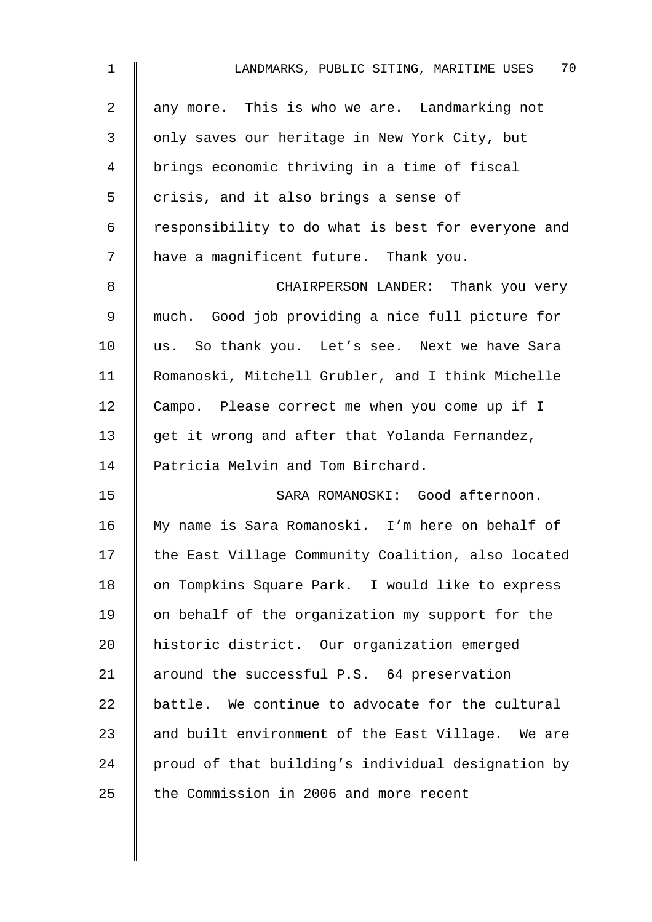| $\mathbf 1$ | 70<br>LANDMARKS, PUBLIC SITING, MARITIME USES      |
|-------------|----------------------------------------------------|
| 2           | any more. This is who we are. Landmarking not      |
| 3           | only saves our heritage in New York City, but      |
| 4           | brings economic thriving in a time of fiscal       |
| 5           | crisis, and it also brings a sense of              |
| 6           | responsibility to do what is best for everyone and |
| 7           | have a magnificent future. Thank you.              |
| 8           | CHAIRPERSON LANDER: Thank you very                 |
| 9           | much. Good job providing a nice full picture for   |
| 10          | us. So thank you. Let's see. Next we have Sara     |
| 11          | Romanoski, Mitchell Grubler, and I think Michelle  |
| 12          | Campo. Please correct me when you come up if I     |
| 13          | get it wrong and after that Yolanda Fernandez,     |
| 14          | Patricia Melvin and Tom Birchard.                  |
| 15          | SARA ROMANOSKI: Good afternoon.                    |
| 16          | My name is Sara Romanoski. I'm here on behalf of   |
| 17          | the East Village Community Coalition, also located |
| 18          | on Tompkins Square Park. I would like to express   |
| 19          | on behalf of the organization my support for the   |
| 20          | historic district. Our organization emerged        |
| 21          | around the successful P.S. 64 preservation         |
| 22          | battle. We continue to advocate for the cultural   |
| 23          | and built environment of the East Village. We are  |
| 24          | proud of that building's individual designation by |
| 25          | the Commission in 2006 and more recent             |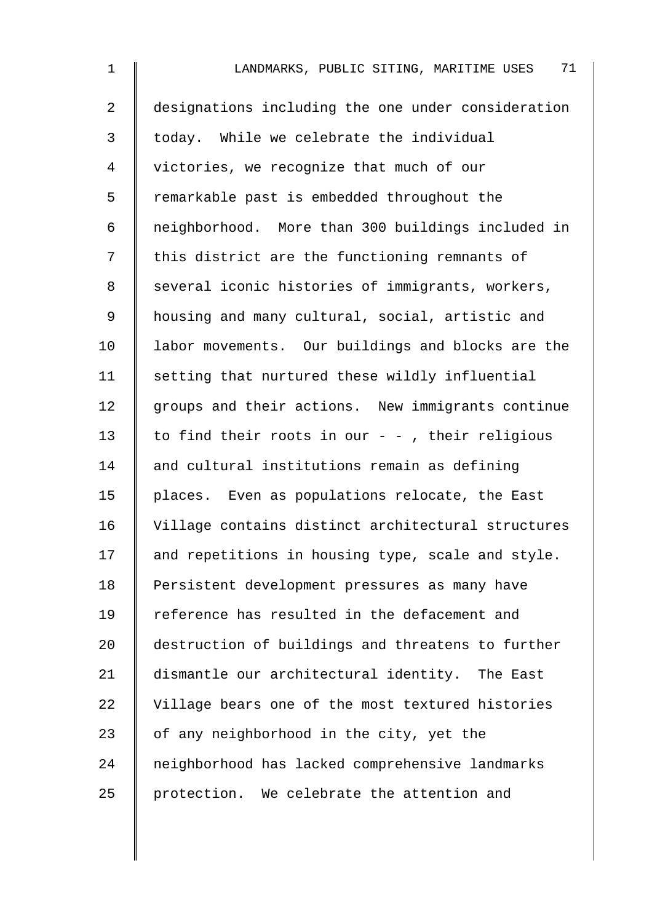| $\mathbf 1$    | 71<br>LANDMARKS, PUBLIC SITING, MARITIME USES      |
|----------------|----------------------------------------------------|
| $\overline{a}$ | designations including the one under consideration |
| 3              | today. While we celebrate the individual           |
| 4              | victories, we recognize that much of our           |
| 5              | remarkable past is embedded throughout the         |
| 6              | neighborhood. More than 300 buildings included in  |
| 7              | this district are the functioning remnants of      |
| 8              | several iconic histories of immigrants, workers,   |
| 9              | housing and many cultural, social, artistic and    |
| 10             | labor movements. Our buildings and blocks are the  |
| 11             | setting that nurtured these wildly influential     |
| 12             | groups and their actions. New immigrants continue  |
| 13             | to find their roots in our $-$ - , their religious |
| 14             | and cultural institutions remain as defining       |
| 15             | places. Even as populations relocate, the East     |
| 16             | Village contains distinct architectural structures |
| 17             | and repetitions in housing type, scale and style.  |
| 18             | Persistent development pressures as many have      |
| 19             | reference has resulted in the defacement and       |
| 20             | destruction of buildings and threatens to further  |
| 21             | dismantle our architectural identity. The East     |
| 22             | Village bears one of the most textured histories   |
| 23             | of any neighborhood in the city, yet the           |
| 24             | neighborhood has lacked comprehensive landmarks    |
| 25             | protection. We celebrate the attention and         |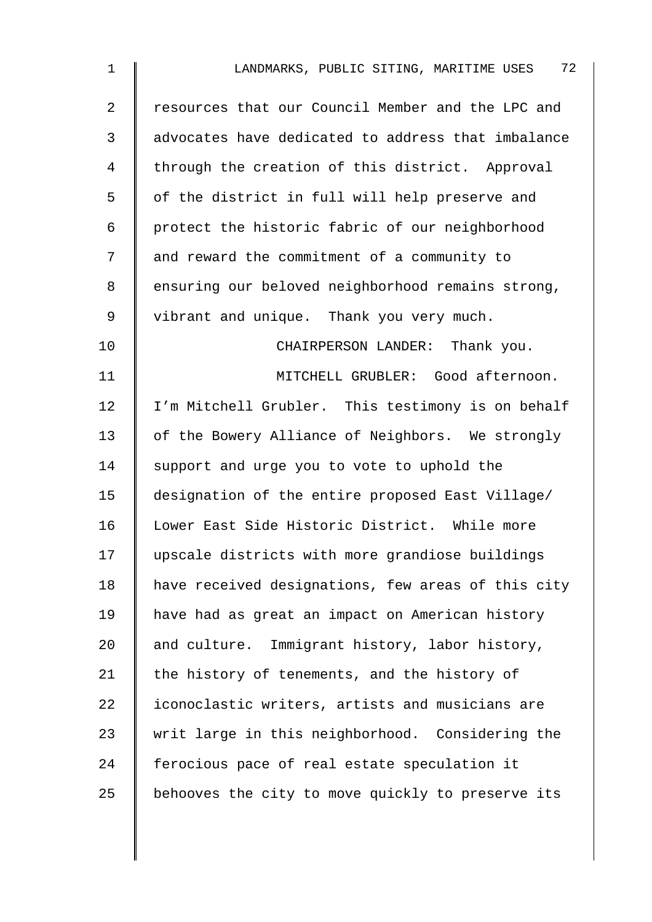| $\mathbf 1$    | 72<br>LANDMARKS, PUBLIC SITING, MARITIME USES      |
|----------------|----------------------------------------------------|
| $\overline{2}$ | resources that our Council Member and the LPC and  |
| 3              | advocates have dedicated to address that imbalance |
| 4              | through the creation of this district. Approval    |
| 5              | of the district in full will help preserve and     |
| 6              | protect the historic fabric of our neighborhood    |
| 7              | and reward the commitment of a community to        |
| 8              | ensuring our beloved neighborhood remains strong,  |
| 9              | vibrant and unique. Thank you very much.           |
| 10             | CHAIRPERSON LANDER: Thank you.                     |
| 11             | MITCHELL GRUBLER: Good afternoon.                  |
| 12             | I'm Mitchell Grubler. This testimony is on behalf  |
| 13             | of the Bowery Alliance of Neighbors. We strongly   |
| 14             | support and urge you to vote to uphold the         |
| 15             | designation of the entire proposed East Village/   |
| 16             | Lower East Side Historic District. While more      |
| 17             | upscale districts with more grandiose buildings    |
| 18             | have received designations, few areas of this city |
| 19             | have had as great an impact on American history    |
| 20             | and culture. Immigrant history, labor history,     |
| 21             | the history of tenements, and the history of       |
| 22             | iconoclastic writers, artists and musicians are    |
| 23             | writ large in this neighborhood. Considering the   |
| 24             | ferocious pace of real estate speculation it       |
| 25             | behooves the city to move quickly to preserve its  |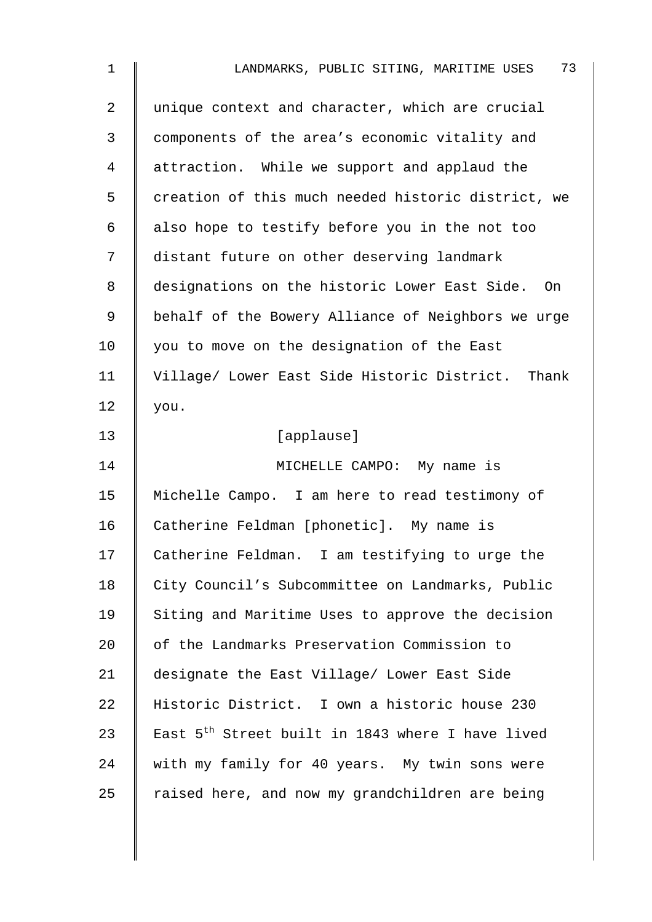| $\mathbf 1$    | 73<br>LANDMARKS, PUBLIC SITING, MARITIME USES                |
|----------------|--------------------------------------------------------------|
| $\overline{2}$ | unique context and character, which are crucial              |
| 3              | components of the area's economic vitality and               |
| 4              | attraction. While we support and applaud the                 |
| 5              | creation of this much needed historic district, we           |
| 6              | also hope to testify before you in the not too               |
| 7              | distant future on other deserving landmark                   |
| 8              | designations on the historic Lower East Side. On             |
| 9              | behalf of the Bowery Alliance of Neighbors we urge           |
| 10             | you to move on the designation of the East                   |
| 11             | Village/ Lower East Side Historic District. Thank            |
| 12             | you.                                                         |
| 13             | [applause]                                                   |
| 14             | MICHELLE CAMPO: My name is                                   |
| 15             | Michelle Campo. I am here to read testimony of               |
| 16             | Catherine Feldman [phonetic]. My name is                     |
| 17             | Catherine Feldman. I am testifying to urge the               |
| 18             | City Council's Subcommittee on Landmarks, Public             |
| 19             | Siting and Maritime Uses to approve the decision             |
| 20             | of the Landmarks Preservation Commission to                  |
| 21             | designate the East Village/ Lower East Side                  |
| 22             | Historic District. I own a historic house 230                |
| 23             | East 5 <sup>th</sup> Street built in 1843 where I have lived |
| 24             | with my family for 40 years. My twin sons were               |
| 25             | raised here, and now my grandchildren are being              |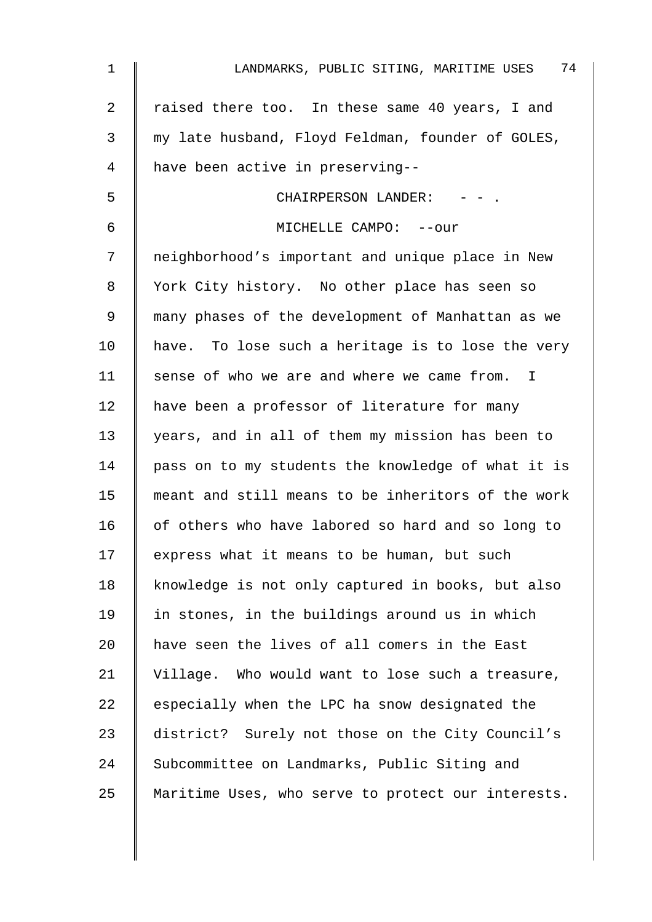| $\mathbf 1$ | 74<br>LANDMARKS, PUBLIC SITING, MARITIME USES      |
|-------------|----------------------------------------------------|
| 2           | raised there too. In these same 40 years, I and    |
| 3           | my late husband, Floyd Feldman, founder of GOLES,  |
| 4           | have been active in preserving--                   |
| 5           | CHAIRPERSON LANDER:                                |
| 6           | MICHELLE CAMPO: -- our                             |
| 7           | neighborhood's important and unique place in New   |
| 8           | York City history. No other place has seen so      |
| 9           | many phases of the development of Manhattan as we  |
| 10          | have. To lose such a heritage is to lose the very  |
| 11          | sense of who we are and where we came from. I      |
| 12          | have been a professor of literature for many       |
| 13          | years, and in all of them my mission has been to   |
| 14          | pass on to my students the knowledge of what it is |
| 15          | meant and still means to be inheritors of the work |
| 16          | of others who have labored so hard and so long to  |
| 17          | express what it means to be human, but such        |
| 18          | knowledge is not only captured in books, but also  |
| 19          | in stones, in the buildings around us in which     |
| 20          | have seen the lives of all comers in the East      |
| 21          | Village. Who would want to lose such a treasure,   |
| 22          | especially when the LPC ha snow designated the     |
| 23          | district? Surely not those on the City Council's   |
| 24          | Subcommittee on Landmarks, Public Siting and       |
| 25          | Maritime Uses, who serve to protect our interests. |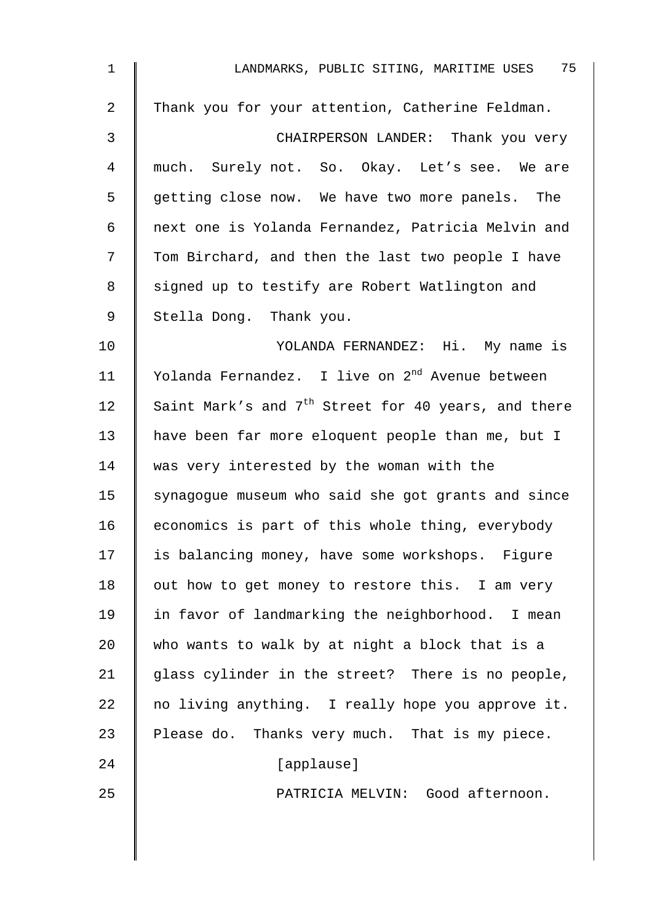| 1  | LANDMARKS, PUBLIC SITING, MARITIME USES 75                      |
|----|-----------------------------------------------------------------|
| 2  | Thank you for your attention, Catherine Feldman.                |
| 3  | CHAIRPERSON LANDER: Thank you very                              |
| 4  | much. Surely not. So. Okay. Let's see. We are                   |
| 5  | getting close now. We have two more panels. The                 |
| 6  | next one is Yolanda Fernandez, Patricia Melvin and              |
| 7  | Tom Birchard, and then the last two people I have               |
| 8  | signed up to testify are Robert Watlington and                  |
| 9  | Stella Dong. Thank you.                                         |
| 10 | YOLANDA FERNANDEZ: Hi. My name is                               |
| 11 | Yolanda Fernandez. I live on 2 <sup>nd</sup> Avenue between     |
| 12 | Saint Mark's and 7 <sup>th</sup> Street for 40 years, and there |
| 13 | have been far more eloquent people than me, but I               |
| 14 | was very interested by the woman with the                       |
| 15 | synagogue museum who said she got grants and since              |
| 16 | economics is part of this whole thing, everybody                |
| 17 | is balancing money, have some workshops. Figure                 |
| 18 | out how to get money to restore this. I am very                 |
| 19 | in favor of landmarking the neighborhood. I mean                |
| 20 | who wants to walk by at night a block that is a                 |
| 21 | glass cylinder in the street? There is no people,               |
| 22 | no living anything. I really hope you approve it.               |
| 23 | Please do. Thanks very much. That is my piece.                  |
| 24 | [applause]                                                      |
| 25 | PATRICIA MELVIN: Good afternoon.                                |
|    |                                                                 |
|    |                                                                 |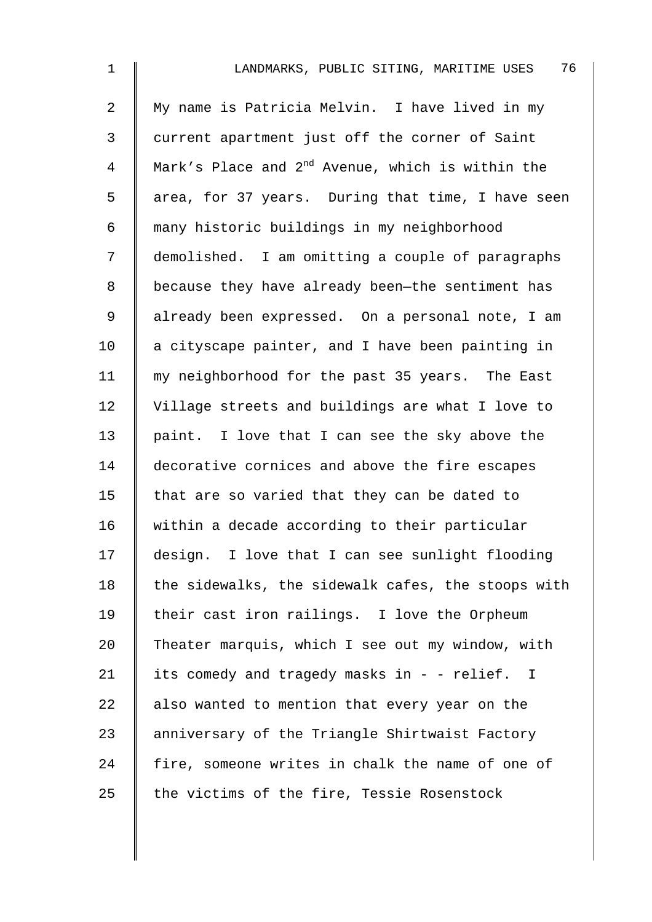| $\mathbf 1$    | 76<br>LANDMARKS, PUBLIC SITING, MARITIME USES                |
|----------------|--------------------------------------------------------------|
| $\overline{a}$ | My name is Patricia Melvin. I have lived in my               |
| 3              | current apartment just off the corner of Saint               |
| 4              | Mark's Place and 2 <sup>nd</sup> Avenue, which is within the |
| 5              | area, for 37 years. During that time, I have seen            |
| 6              | many historic buildings in my neighborhood                   |
| 7              | demolished. I am omitting a couple of paragraphs             |
| 8              | because they have already been-the sentiment has             |
| 9              | already been expressed. On a personal note, I am             |
| 10             | a cityscape painter, and I have been painting in             |
| 11             | my neighborhood for the past 35 years. The East              |
| 12             | Village streets and buildings are what I love to             |
| 13             | paint. I love that I can see the sky above the               |
| 14             | decorative cornices and above the fire escapes               |
| 15             | that are so varied that they can be dated to                 |
| 16             | within a decade according to their particular                |
| 17             | design. I love that I can see sunlight flooding              |
| 18             | the sidewalks, the sidewalk cafes, the stoops with           |
| 19             | their cast iron railings. I love the Orpheum                 |
| 20             | Theater marquis, which I see out my window, with             |
| 21             | its comedy and tragedy masks in - - relief. I                |
| 22             | also wanted to mention that every year on the                |
| 23             | anniversary of the Triangle Shirtwaist Factory               |
| 24             | fire, someone writes in chalk the name of one of             |
| 25             | the victims of the fire, Tessie Rosenstock                   |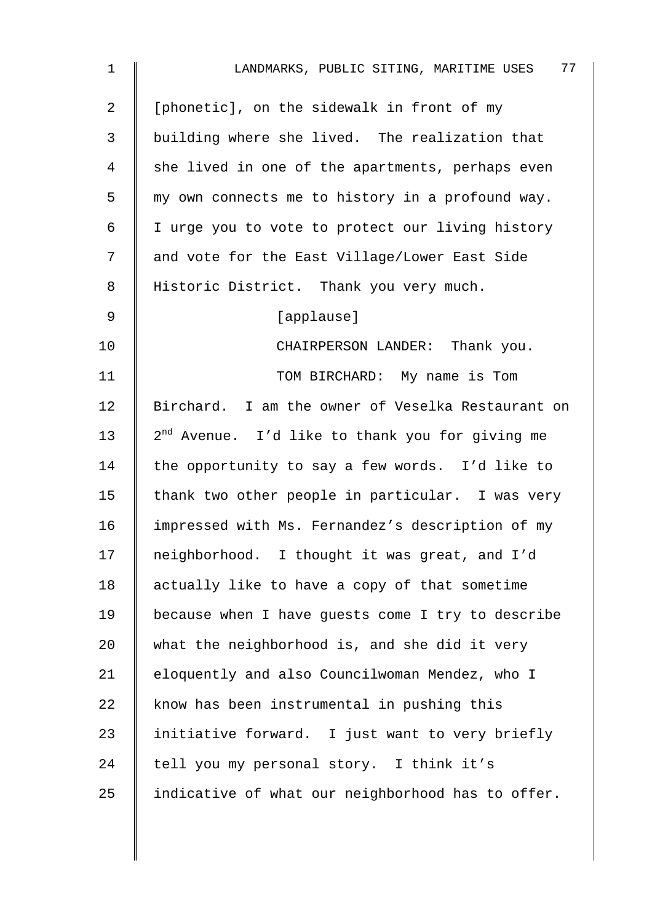| $\mathbf{1}$ | 77<br>LANDMARKS, PUBLIC SITING, MARITIME USES               |
|--------------|-------------------------------------------------------------|
| 2            | [phonetic], on the sidewalk in front of my                  |
| 3            | building where she lived. The realization that              |
| 4            | she lived in one of the apartments, perhaps even            |
| 5            | my own connects me to history in a profound way.            |
| 6            | I urge you to vote to protect our living history            |
| 7            | and vote for the East Village/Lower East Side               |
| 8            | Historic District. Thank you very much.                     |
| $\mathsf 9$  | [applause]                                                  |
| 10           | CHAIRPERSON LANDER: Thank you.                              |
| 11           | TOM BIRCHARD: My name is Tom                                |
| 12           | Birchard. I am the owner of Veselka Restaurant on           |
| 13           | 2 <sup>nd</sup> Avenue. I'd like to thank you for giving me |
| 14           | the opportunity to say a few words. I'd like to             |
| 15           | thank two other people in particular. I was very            |
| 16           | impressed with Ms. Fernandez's description of my            |
| 17           | neighborhood. I thought it was great, and I'd               |
| 18           | actually like to have a copy of that sometime               |
| 19           | because when I have guests come I try to describe           |
| 20           | what the neighborhood is, and she did it very               |
| 21           | eloquently and also Councilwoman Mendez, who I              |
| 22           | know has been instrumental in pushing this                  |
| 23           | initiative forward. I just want to very briefly             |
| 24           | tell you my personal story. I think it's                    |
| 25           | indicative of what our neighborhood has to offer.           |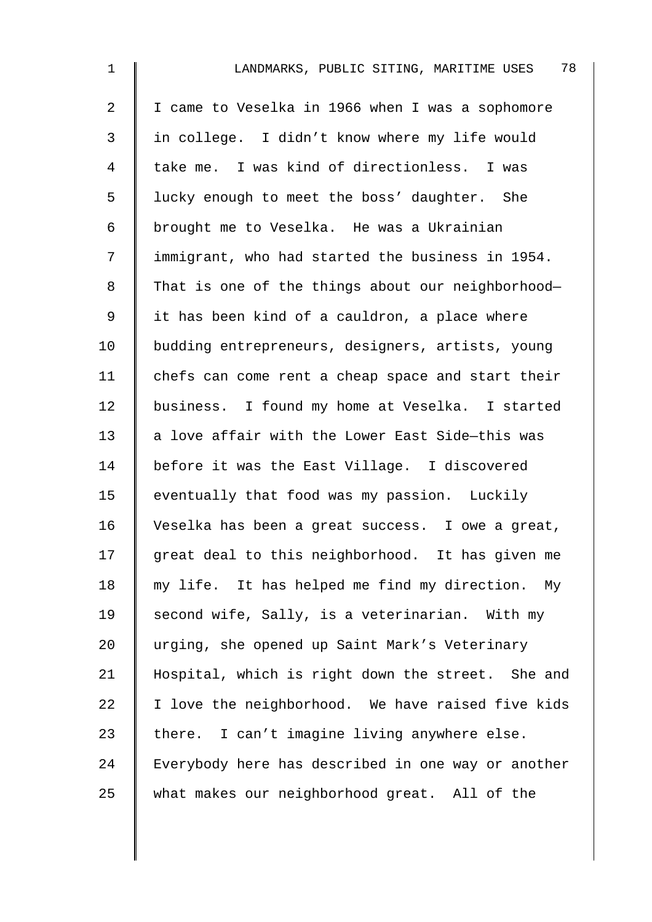| $\mathbf 1$    | 78<br>LANDMARKS, PUBLIC SITING, MARITIME USES      |
|----------------|----------------------------------------------------|
| $\overline{a}$ | I came to Veselka in 1966 when I was a sophomore   |
| 3              | in college. I didn't know where my life would      |
| $\overline{4}$ | take me. I was kind of directionless. I was        |
| 5              | lucky enough to meet the boss' daughter. She       |
| 6              | brought me to Veselka. He was a Ukrainian          |
| 7              | immigrant, who had started the business in 1954.   |
| 8              | That is one of the things about our neighborhood-  |
| 9              | it has been kind of a cauldron, a place where      |
| 10             | budding entrepreneurs, designers, artists, young   |
| 11             | chefs can come rent a cheap space and start their  |
| 12             | business. I found my home at Veselka. I started    |
| 13             | a love affair with the Lower East Side-this was    |
| 14             | before it was the East Village. I discovered       |
| 15             | eventually that food was my passion. Luckily       |
| 16             | Veselka has been a great success. I owe a great,   |
| 17             | great deal to this neighborhood. It has given me   |
| 18             | my life. It has helped me find my direction.<br>Мy |
| 19             | second wife, Sally, is a veterinarian. With my     |
| 20             | urging, she opened up Saint Mark's Veterinary      |
| 21             | Hospital, which is right down the street. She and  |
| 22             | I love the neighborhood. We have raised five kids  |
| 23             | there. I can't imagine living anywhere else.       |
| 24             | Everybody here has described in one way or another |
| 25             | what makes our neighborhood great. All of the      |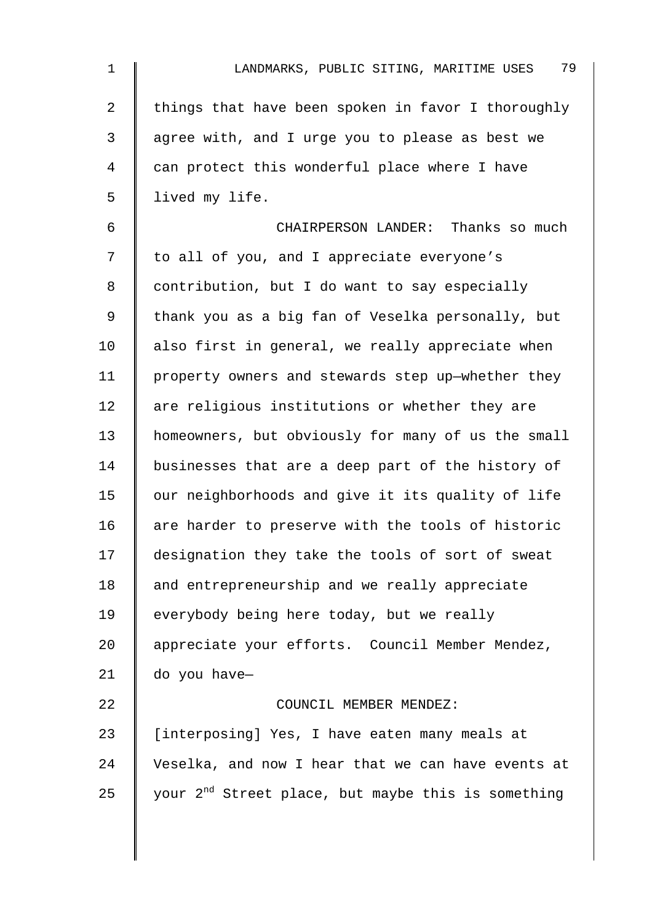| $\mathbf 1$    | 79<br>LANDMARKS, PUBLIC SITING, MARITIME USES                  |
|----------------|----------------------------------------------------------------|
| $\overline{2}$ | things that have been spoken in favor I thoroughly             |
| $\mathfrak{Z}$ | agree with, and I urge you to please as best we                |
| $\overline{4}$ | can protect this wonderful place where I have                  |
| 5              | lived my life.                                                 |
| 6              | CHAIRPERSON LANDER: Thanks so much                             |
| 7              | to all of you, and I appreciate everyone's                     |
| 8              | contribution, but I do want to say especially                  |
| 9              | thank you as a big fan of Veselka personally, but              |
| 10             | also first in general, we really appreciate when               |
| 11             | property owners and stewards step up-whether they              |
| 12             | are religious institutions or whether they are                 |
| 13             | homeowners, but obviously for many of us the small             |
| 14             | businesses that are a deep part of the history of              |
| 15             | our neighborhoods and give it its quality of life              |
| 16             | are harder to preserve with the tools of historic              |
| 17             | designation they take the tools of sort of sweat               |
| 18             | and entrepreneurship and we really appreciate                  |
| 19             | everybody being here today, but we really                      |
| 20             | appreciate your efforts. Council Member Mendez,                |
| 21             | do you have-                                                   |
| 22             | COUNCIL MEMBER MENDEZ:                                         |
| 23             | [interposing] Yes, I have eaten many meals at                  |
| 24             | Veselka, and now I hear that we can have events at             |
| 25             | your 2 <sup>nd</sup> Street place, but maybe this is something |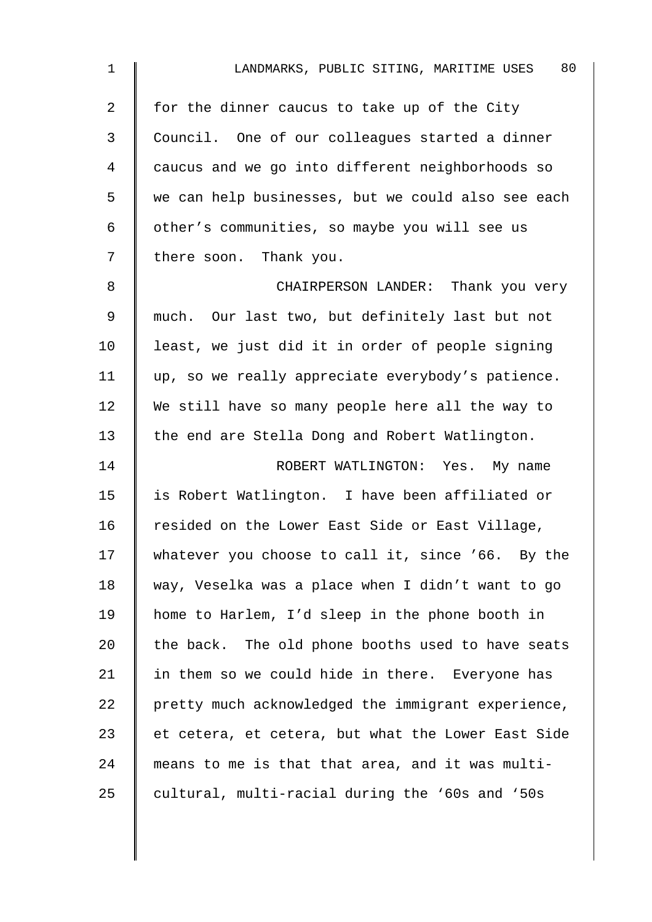| $\mathbf 1$    | 80<br>LANDMARKS, PUBLIC SITING, MARITIME USES      |
|----------------|----------------------------------------------------|
| $\overline{2}$ | for the dinner caucus to take up of the City       |
| 3              | Council. One of our colleagues started a dinner    |
| 4              | caucus and we go into different neighborhoods so   |
| 5              | we can help businesses, but we could also see each |
| 6              | other's communities, so maybe you will see us      |
| 7              | there soon. Thank you.                             |
| 8              | CHAIRPERSON LANDER: Thank you very                 |
| 9              | much. Our last two, but definitely last but not    |
| 10             | least, we just did it in order of people signing   |
| 11             | up, so we really appreciate everybody's patience.  |
| 12             | We still have so many people here all the way to   |
| 13             | the end are Stella Dong and Robert Watlington.     |
| 14             | ROBERT WATLINGTON: Yes. My name                    |
| 15             | is Robert Watlington. I have been affiliated or    |
| 16             | resided on the Lower East Side or East Village,    |
| 17             | whatever you choose to call it, since '66. By the  |
| 18             | way, Veselka was a place when I didn't want to go  |
| 19             | home to Harlem, I'd sleep in the phone booth in    |
| 20             | the back. The old phone booths used to have seats  |
| 21             | in them so we could hide in there. Everyone has    |
| 22             | pretty much acknowledged the immigrant experience, |
| 23             | et cetera, et cetera, but what the Lower East Side |
| 24             | means to me is that that area, and it was multi-   |
| 25             | cultural, multi-racial during the '60s and '50s    |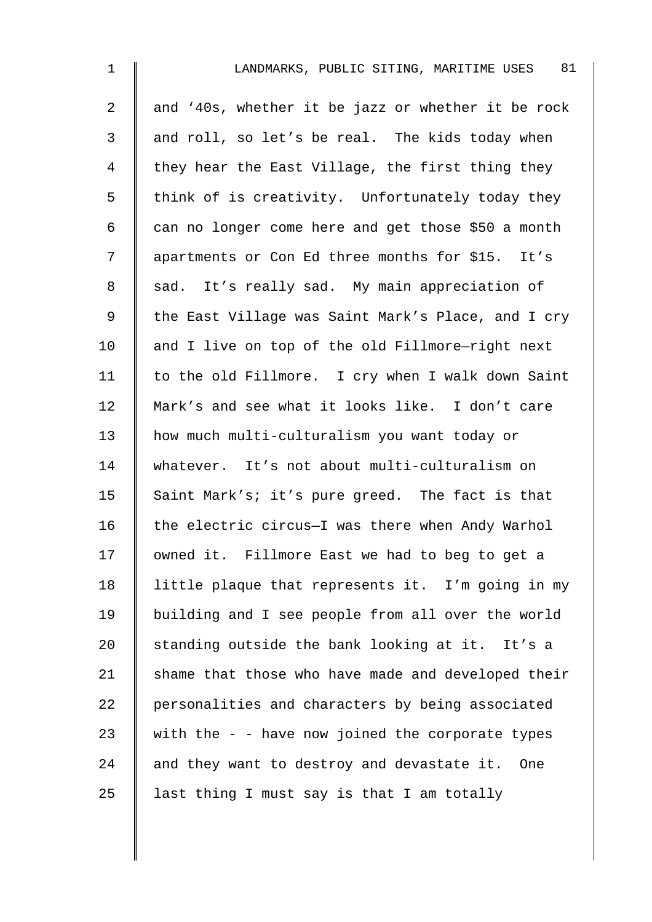| $\mathbf 1$    | 81<br>LANDMARKS, PUBLIC SITING, MARITIME USES      |
|----------------|----------------------------------------------------|
| $\overline{a}$ | and '40s, whether it be jazz or whether it be rock |
| 3              | and roll, so let's be real. The kids today when    |
| 4              | they hear the East Village, the first thing they   |
| 5              | think of is creativity. Unfortunately today they   |
| 6              | can no longer come here and get those \$50 a month |
| 7              | apartments or Con Ed three months for \$15. It's   |
| 8              | sad. It's really sad. My main appreciation of      |
| $\mathsf 9$    | the East Village was Saint Mark's Place, and I cry |
| 10             | and I live on top of the old Fillmore-right next   |
| 11             | to the old Fillmore. I cry when I walk down Saint  |
| 12             | Mark's and see what it looks like. I don't care    |
| 13             | how much multi-culturalism you want today or       |
| 14             | whatever. It's not about multi-culturalism on      |
| 15             | Saint Mark's; it's pure greed. The fact is that    |
| 16             | the electric circus-I was there when Andy Warhol   |
| 17             | owned it. Fillmore East we had to beg to get a     |
| 18             | little plaque that represents it. I'm going in my  |
| 19             | building and I see people from all over the world  |
| 20             | standing outside the bank looking at it. It's a    |
| 21             | shame that those who have made and developed their |
| 22             | personalities and characters by being associated   |
| 23             | with the $-$ - have now joined the corporate types |
| 24             | and they want to destroy and devastate it. One     |
| 25             | last thing I must say is that I am totally         |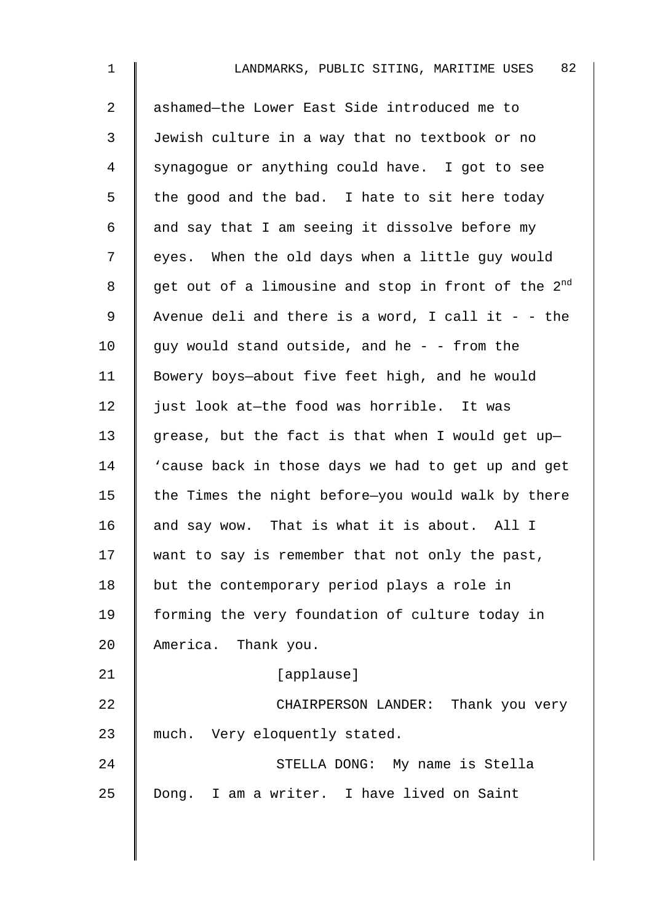| $\mathbf 1$    | 82<br>LANDMARKS, PUBLIC SITING, MARITIME USES                   |
|----------------|-----------------------------------------------------------------|
| $\overline{2}$ | ashamed-the Lower East Side introduced me to                    |
| 3              | Jewish culture in a way that no textbook or no                  |
| 4              | synagogue or anything could have. I got to see                  |
| 5              | the good and the bad. I hate to sit here today                  |
| 6              | and say that I am seeing it dissolve before my                  |
| 7              | eyes. When the old days when a little guy would                 |
| 8              | get out of a limousine and stop in front of the 2 <sup>nd</sup> |
| 9              | Avenue deli and there is a word, I call it - - the              |
| 10             | guy would stand outside, and he - - from the                    |
| 11             | Bowery boys-about five feet high, and he would                  |
| 12             | just look at-the food was horrible. It was                      |
| 13             | grease, but the fact is that when I would get up-               |
| 14             | 'cause back in those days we had to get up and get              |
| 15             | the Times the night before-you would walk by there              |
| 16             | and say wow. That is what it is about. All I                    |
| 17             | want to say is remember that not only the past,                 |
| 18             | but the contemporary period plays a role in                     |
| 19             | forming the very foundation of culture today in                 |
| 20             | America. Thank you.                                             |
| 21             | [applause]                                                      |
| 22             | CHAIRPERSON LANDER: Thank you very                              |
| 23             | much. Very eloquently stated.                                   |
| 24             | STELLA DONG: My name is Stella                                  |
| 25             | Dong. I am a writer. I have lived on Saint                      |
|                |                                                                 |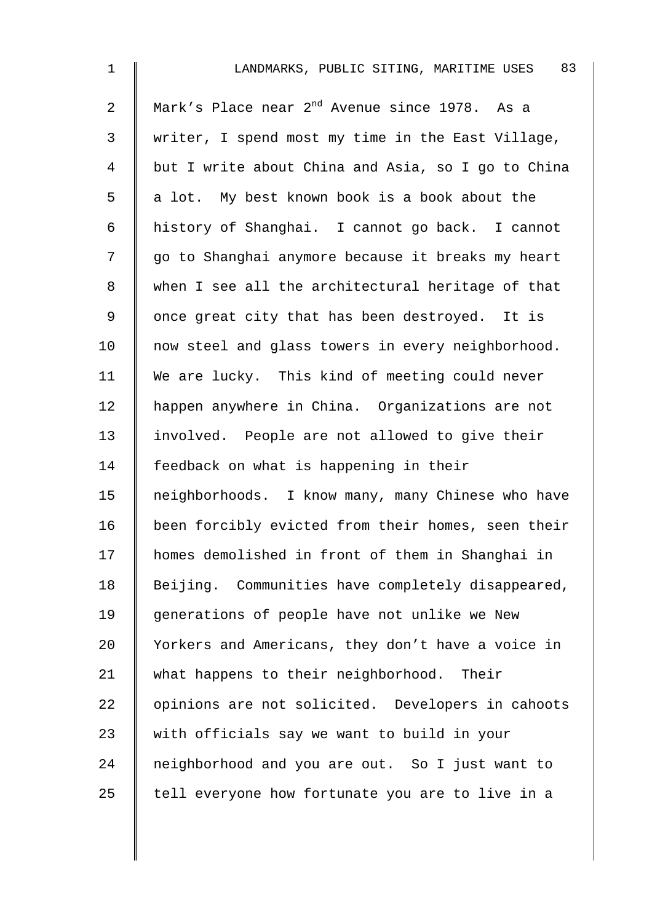| $\mathbf 1$    | 83<br>LANDMARKS, PUBLIC SITING, MARITIME USES             |
|----------------|-----------------------------------------------------------|
| $\overline{2}$ | Mark's Place near 2 <sup>nd</sup> Avenue since 1978. As a |
| 3              | writer, I spend most my time in the East Village,         |
| 4              | but I write about China and Asia, so I go to China        |
| 5              | a lot. My best known book is a book about the             |
| 6              | history of Shanghai. I cannot go back. I cannot           |
| 7              | go to Shanghai anymore because it breaks my heart         |
| 8              | when I see all the architectural heritage of that         |
| $\mathsf 9$    | once great city that has been destroyed. It is            |
| 10             | now steel and glass towers in every neighborhood.         |
| 11             | We are lucky. This kind of meeting could never            |
| 12             | happen anywhere in China. Organizations are not           |
| 13             | involved. People are not allowed to give their            |
| 14             | feedback on what is happening in their                    |
| 15             | neighborhoods. I know many, many Chinese who have         |
| 16             | been forcibly evicted from their homes, seen their        |
| 17             | homes demolished in front of them in Shanghai in          |
| 18             | Beijing. Communities have completely disappeared,         |
| 19             | generations of people have not unlike we New              |
| 20             | Yorkers and Americans, they don't have a voice in         |
| 21             | what happens to their neighborhood. Their                 |
| 22             | opinions are not solicited. Developers in cahoots         |
| 23             | with officials say we want to build in your               |
| 24             | neighborhood and you are out. So I just want to           |
| 25             | tell everyone how fortunate you are to live in a          |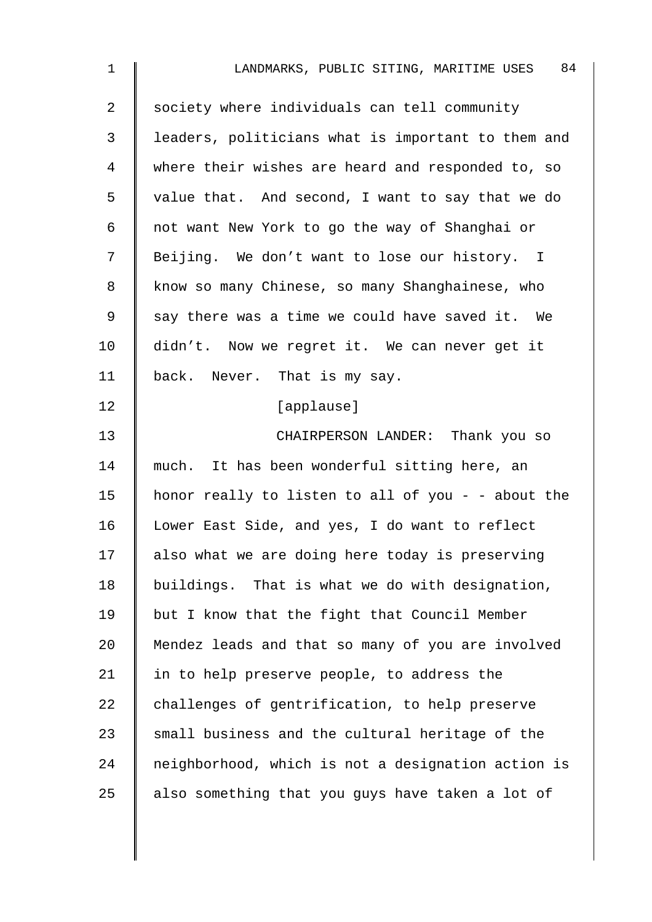| $\mathbf 1$    | 84<br>LANDMARKS, PUBLIC SITING, MARITIME USES      |
|----------------|----------------------------------------------------|
| $\overline{2}$ | society where individuals can tell community       |
| 3              | leaders, politicians what is important to them and |
| 4              | where their wishes are heard and responded to, so  |
| 5              | value that. And second, I want to say that we do   |
| 6              | not want New York to go the way of Shanghai or     |
| 7              | Beijing. We don't want to lose our history. I      |
| 8              | know so many Chinese, so many Shanghainese, who    |
| 9              | say there was a time we could have saved it. We    |
| 10             | didn't. Now we regret it. We can never get it      |
| 11             | back. Never. That is my say.                       |
| 12             | [applause]                                         |
| 13             | CHAIRPERSON LANDER: Thank you so                   |
| 14             | much. It has been wonderful sitting here, an       |
| 15             | honor really to listen to all of you - - about the |
| 16             | Lower East Side, and yes, I do want to reflect     |
| 17             | also what we are doing here today is preserving    |
| 18             | buildings. That is what we do with designation,    |
| 19             | but I know that the fight that Council Member      |
| 20             | Mendez leads and that so many of you are involved  |
| 21             | in to help preserve people, to address the         |
| 22             | challenges of gentrification, to help preserve     |
| 23             | small business and the cultural heritage of the    |
| 24             | neighborhood, which is not a designation action is |
| 25             | also something that you guys have taken a lot of   |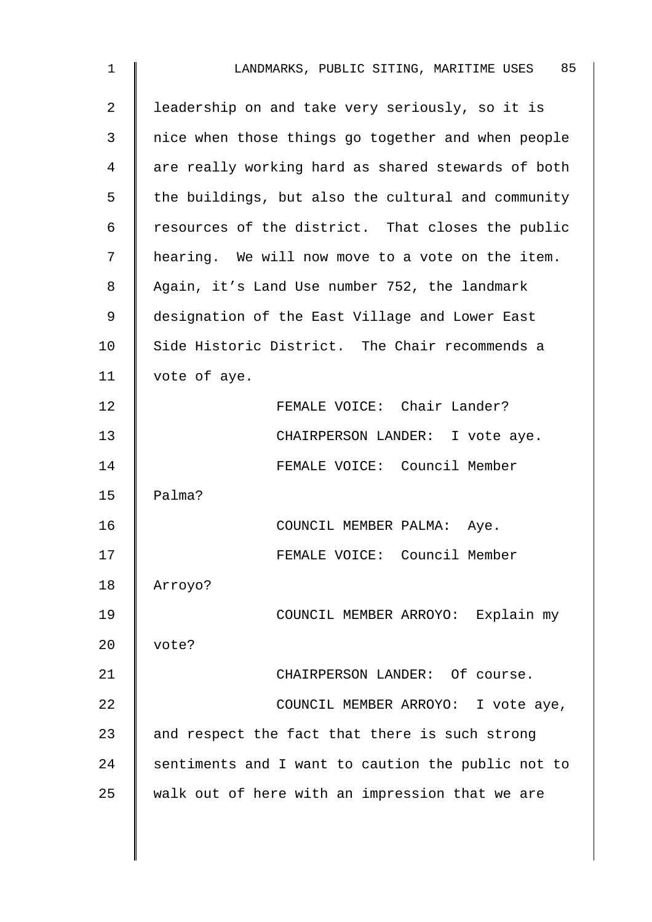| 1  | 85<br>LANDMARKS, PUBLIC SITING, MARITIME USES      |
|----|----------------------------------------------------|
| 2  | leadership on and take very seriously, so it is    |
| 3  | nice when those things go together and when people |
| 4  | are really working hard as shared stewards of both |
| 5  | the buildings, but also the cultural and community |
| 6  | resources of the district. That closes the public  |
| 7  | hearing. We will now move to a vote on the item.   |
| 8  | Again, it's Land Use number 752, the landmark      |
| 9  | designation of the East Village and Lower East     |
| 10 | Side Historic District. The Chair recommends a     |
| 11 | vote of aye.                                       |
| 12 | FEMALE VOICE: Chair Lander?                        |
| 13 | CHAIRPERSON LANDER: I vote aye.                    |
| 14 | FEMALE VOICE: Council Member                       |
| 15 | Palma?                                             |
| 16 | COUNCIL MEMBER PALMA: Aye.                         |
| 17 | FEMALE VOICE: Council Member                       |
| 18 | Arroyo?                                            |
| 19 | COUNCIL MEMBER ARROYO: Explain my                  |
| 20 | vote?                                              |
| 21 | CHAIRPERSON LANDER: Of course.                     |
| 22 | COUNCIL MEMBER ARROYO: I vote aye,                 |
| 23 | and respect the fact that there is such strong     |
| 24 | sentiments and I want to caution the public not to |
| 25 | walk out of here with an impression that we are    |
|    |                                                    |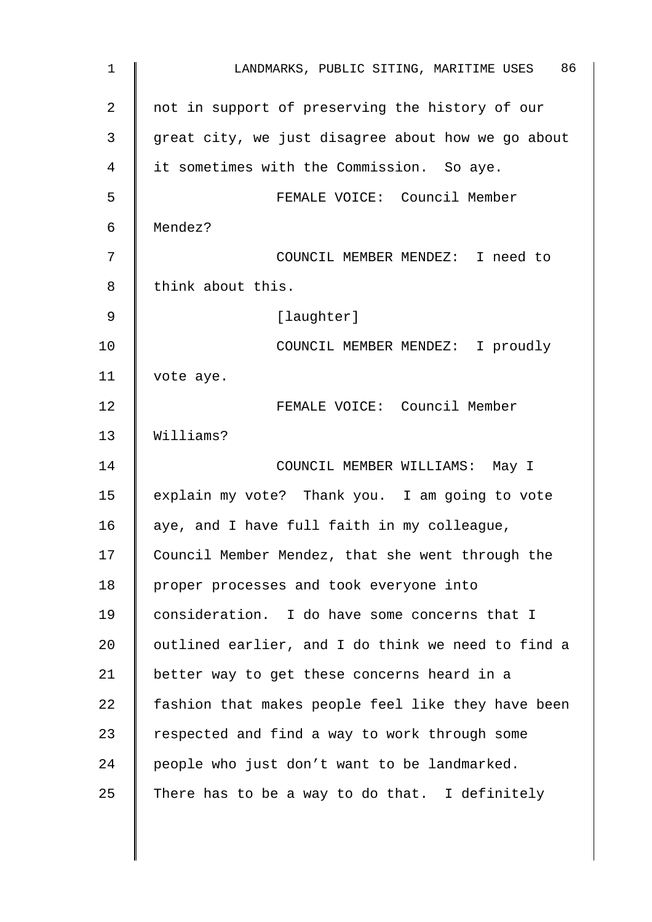| 1              | 86<br>LANDMARKS, PUBLIC SITING, MARITIME USES      |
|----------------|----------------------------------------------------|
| $\overline{2}$ | not in support of preserving the history of our    |
| 3              | great city, we just disagree about how we go about |
| 4              | it sometimes with the Commission. So aye.          |
| 5              | FEMALE VOICE: Council Member                       |
| 6              | Mendez?                                            |
| 7              | COUNCIL MEMBER MENDEZ: I need to                   |
| 8              | think about this.                                  |
| 9              | [laughter]                                         |
| 10             | COUNCIL MEMBER MENDEZ: I proudly                   |
| 11             | vote aye.                                          |
| 12             | FEMALE VOICE: Council Member                       |
| 13             | Williams?                                          |
| 14             | COUNCIL MEMBER WILLIAMS: May I                     |
| 15             | explain my vote? Thank you. I am going to vote     |
| 16             | aye, and I have full faith in my colleague,        |
| 17             | Council Member Mendez, that she went through the   |
| 18             | proper processes and took everyone into            |
| 19             | consideration. I do have some concerns that I      |
| 20             | outlined earlier, and I do think we need to find a |
| 21             | better way to get these concerns heard in a        |
| 22             | fashion that makes people feel like they have been |
| 23             | respected and find a way to work through some      |
| 24             | people who just don't want to be landmarked.       |
| 25             | There has to be a way to do that. I definitely     |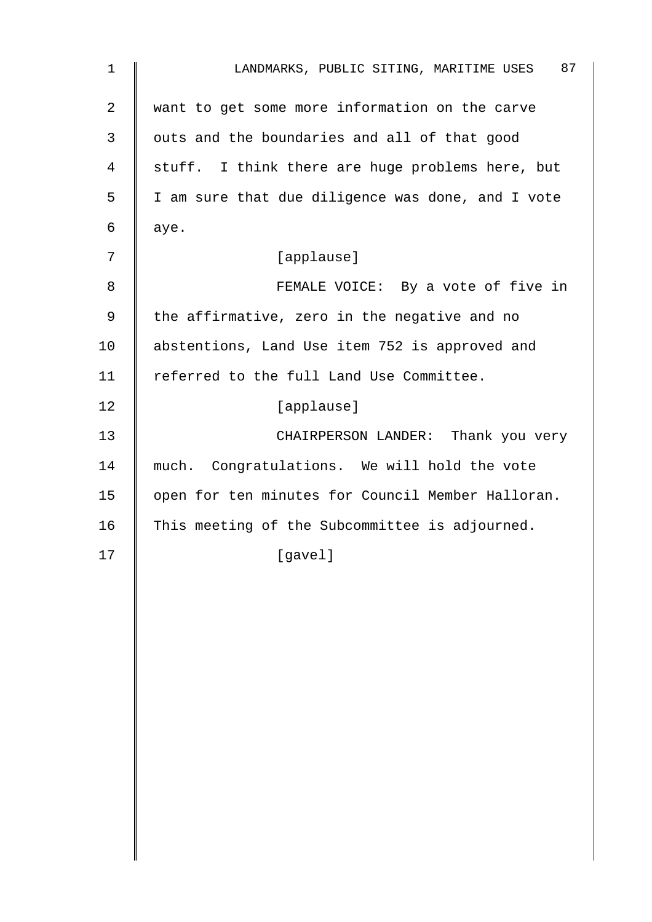| $\mathbf{1}$ | 87<br>LANDMARKS, PUBLIC SITING, MARITIME USES     |
|--------------|---------------------------------------------------|
| 2            | want to get some more information on the carve    |
| 3            | outs and the boundaries and all of that good      |
| 4            | stuff. I think there are huge problems here, but  |
| 5            | I am sure that due diligence was done, and I vote |
| 6            | aye.                                              |
| 7            | [applause]                                        |
| 8            | FEMALE VOICE: By a vote of five in                |
| 9            | the affirmative, zero in the negative and no      |
| 10           | abstentions, Land Use item 752 is approved and    |
| 11           | referred to the full Land Use Committee.          |
| 12           | [applause]                                        |
| 13           | CHAIRPERSON LANDER: Thank you very                |
| 14           | much. Congratulations. We will hold the vote      |
| 15           | open for ten minutes for Council Member Halloran. |
| 16           | This meeting of the Subcommittee is adjourned.    |
| 17           | [gavel]                                           |
|              |                                                   |
|              |                                                   |
|              |                                                   |
|              |                                                   |
|              |                                                   |
|              |                                                   |
|              |                                                   |
|              |                                                   |
|              |                                                   |
|              |                                                   |